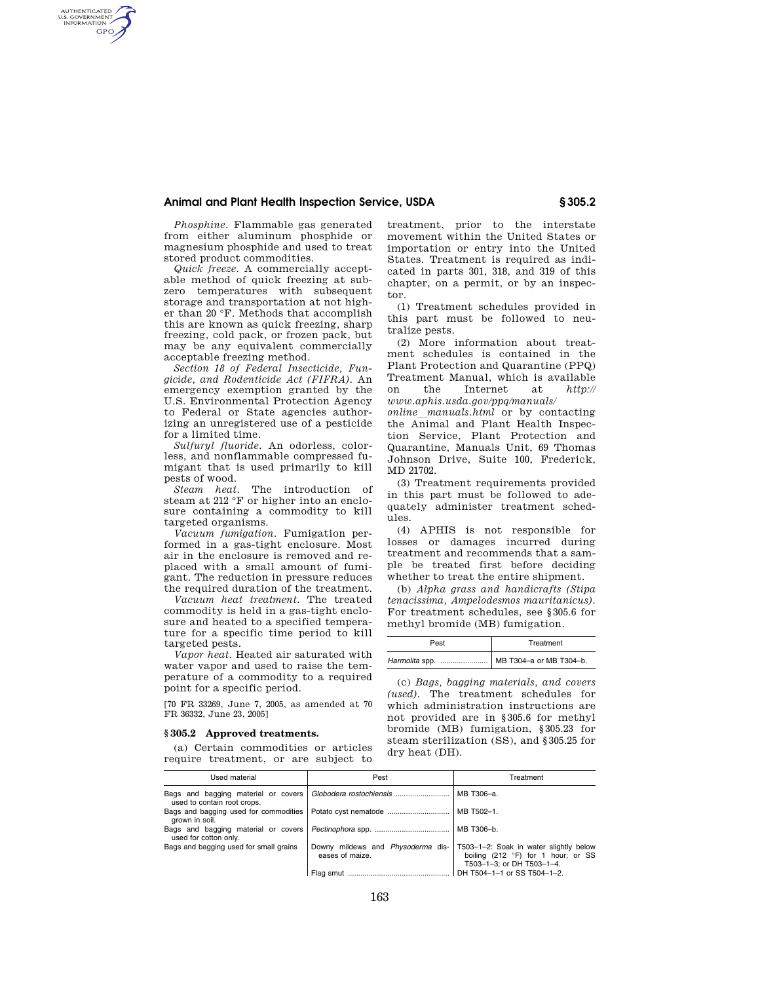*Phosphine.* Flammable gas generated from either aluminum phosphide or magnesium phosphide and used to treat stored product commodities.

AUTHENTICATED<br>U.S. GOVERNMENT<br>INFORMATION **GPO** 

> *Quick freeze.* A commercially acceptable method of quick freezing at subzero temperatures with subsequent storage and transportation at not higher than 20 °F. Methods that accomplish this are known as quick freezing, sharp freezing, cold pack, or frozen pack, but may be any equivalent commercially acceptable freezing method.

> *Section 18 of Federal Insecticide, Fungicide, and Rodenticide Act (FIFRA).* An emergency exemption granted by the U.S. Environmental Protection Agency to Federal or State agencies authorizing an unregistered use of a pesticide for a limited time.

> *Sulfuryl fluoride.* An odorless, colorless, and nonflammable compressed fumigant that is used primarily to kill pests of wood.

> *Steam heat.* The introduction of steam at 212 °F or higher into an enclosure containing a commodity to kill targeted organisms.

> *Vacuum fumigation.* Fumigation performed in a gas-tight enclosure. Most air in the enclosure is removed and replaced with a small amount of fumigant. The reduction in pressure reduces the required duration of the treatment.

> *Vacuum heat treatment.* The treated commodity is held in a gas-tight enclosure and heated to a specified temperature for a specific time period to kill targeted pests.

> *Vapor heat.* Heated air saturated with water vapor and used to raise the temperature of a commodity to a required point for a specific period.

> [70 FR 33269, June 7, 2005, as amended at 70 FR 36332, June 23, 2005]

### **§ 305.2 Approved treatments.**

(a) Certain commodities or articles require treatment, or are subject to treatment, prior to the interstate movement within the United States or importation or entry into the United States. Treatment is required as indicated in parts 301, 318, and 319 of this chapter, on a permit, or by an inspector.

(1) Treatment schedules provided in this part must be followed to neutralize pests.

(2) More information about treatment schedules is contained in the Plant Protection and Quarantine (PPQ) Treatment Manual, which is available on the Internet at *http:// www.aphis.usda.gov/ppq/manuals/* 

*online*l*manuals.html* or by contacting the Animal and Plant Health Inspection Service, Plant Protection and Quarantine, Manuals Unit, 69 Thomas Johnson Drive, Suite 100, Frederick, MD 21702.

(3) Treatment requirements provided in this part must be followed to adequately administer treatment schedules.

(4) APHIS is not responsible for losses or damages incurred during treatment and recommends that a sample be treated first before deciding whether to treat the entire shipment.

(b) *Alpha grass and handicrafts (Stipa tenacissima, Ampelodesmos mauritanicus).*  For treatment schedules, see §305.6 for methyl bromide (MB) fumigation.

| Pest                                     | Treatment |  |
|------------------------------------------|-----------|--|
| Harmolita spp.   MB T304-a or MB T304-b. |           |  |

(c) *Bags, bagging materials, and covers (used).* The treatment schedules for which administration instructions are not provided are in §305.6 for methyl bromide (MB) fumigation, §305.23 for steam sterilization (SS), and §305.25 for dry heat (DH).

| Used material                          | Pest                                                 | Treatment                                                                                                 |  |
|----------------------------------------|------------------------------------------------------|-----------------------------------------------------------------------------------------------------------|--|
| used to contain root crops.            |                                                      | MB T306-a.                                                                                                |  |
| grown in soil.                         |                                                      | MB T502-1.                                                                                                |  |
| used for cotton only.                  |                                                      | MB T306-b.                                                                                                |  |
| Bags and bagging used for small grains | Downy mildews and Physoderma dis-<br>eases of maize. | T503-1-2: Soak in water slightly below<br>boiling (212 °F) for 1 hour; or SS<br>T503-1-3: or DH T503-1-4. |  |
|                                        | Flag smut                                            | DH T504-1-1 or SS T504-1-2.                                                                               |  |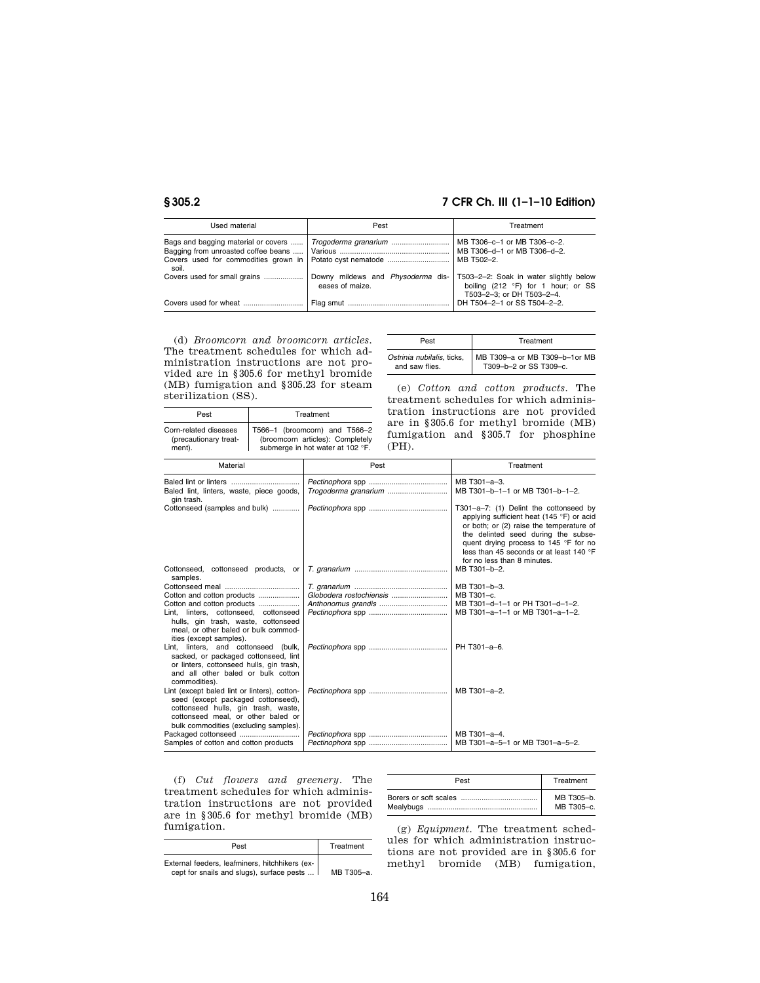Corn-related diseases (precautionary treatment).

### **§ 305.2 7 CFR Ch. III (1–1–10 Edition)**

| Used material                                                                        | Pest                                                 | Treatment                                                                                                 |  |
|--------------------------------------------------------------------------------------|------------------------------------------------------|-----------------------------------------------------------------------------------------------------------|--|
| Bags and bagging material or covers<br>Covers used for commodities grown in<br>soil. | Trogoderma granarium                                 | MB T306-c-1 or MB T306-c-2.<br>MB T306-d-1 or MB T306-d-2.<br>MB T502-2.                                  |  |
| Covers used for small grains                                                         | Downy mildews and Physoderma dis-<br>eases of maize. | T503-2-2: Soak in water slightly below<br>boiling (212 °F) for 1 hour; or SS<br>T503-2-3: or DH T503-2-4. |  |
|                                                                                      |                                                      | DH T504-2-1 or SS T504-2-2.                                                                               |  |

(d) *Broomcorn and broomcorn articles.*  The treatment schedules for which administration instructions are not provided are in §305.6 for methyl bromide (MB) fumigation and §305.23 for steam sterilization (SS).

Pest **Treatment** 

T566–1 (broomcorn) and T566–2

| Pest                       | Treatment                     |
|----------------------------|-------------------------------|
| Ostrinia nubilalis, ticks, | MB T309-a or MB T309-b-1or MB |
| and saw flies.             | T309-b-2 or SS T309-c.        |

(e) *Cotton and cotton products.* The treatment schedules for which administration instructions are not provided are in §305.6 for methyl bromide (MB) fumigation and §305.7 for phosphine (PH).

| (precautionary treat-<br>ment).                                                                                                                                                                             | (broomcorn articles): Completely<br>(PH).<br>submerge in hot water at 102 °F. | rannsaoron anu yooo. Ior phosphine                                                                                                                                                                                                                                                        |  |
|-------------------------------------------------------------------------------------------------------------------------------------------------------------------------------------------------------------|-------------------------------------------------------------------------------|-------------------------------------------------------------------------------------------------------------------------------------------------------------------------------------------------------------------------------------------------------------------------------------------|--|
| Material                                                                                                                                                                                                    | Pest                                                                          | Treatment                                                                                                                                                                                                                                                                                 |  |
| Baled lint, linters, waste, piece goods,<br>gin trash.                                                                                                                                                      |                                                                               | MB T301-a-3.<br>MB T301-b-1-1 or MB T301-b-1-2.                                                                                                                                                                                                                                           |  |
| Cottonseed (samples and bulk)                                                                                                                                                                               |                                                                               | T301-a-7: (1) Delint the cottonseed by<br>applying sufficient heat (145 °F) or acid<br>or both; or (2) raise the temperature of<br>the delinted seed during the subse-<br>quent drying process to 145 °F for no<br>less than 45 seconds or at least 140 °F<br>for no less than 8 minutes. |  |
| Cottonseed, cottonseed products, or<br>samples.                                                                                                                                                             |                                                                               | MB T301-b-2.                                                                                                                                                                                                                                                                              |  |
| Cotton and cotton products<br>Cotton and cotton products<br>Lint, linters, cottonseed, cottonseed<br>hulls, gin trash, waste, cottonseed<br>meal, or other baled or bulk commod-<br>ities (except samples). |                                                                               | MB T301-b-3.<br>MB T301-c.<br>MB T301-d-1-1 or PH T301-d-1-2.<br>MB T301-a-1-1 or MB T301-a-1-2.                                                                                                                                                                                          |  |
| Lint, linters, and cottonseed (bulk,<br>sacked, or packaged cottonseed, lint<br>or linters, cottonseed hulls, gin trash,<br>and all other baled or bulk cotton<br>commodities).                             |                                                                               | PH T301-a-6.                                                                                                                                                                                                                                                                              |  |
| Lint (except baled lint or linters), cotton-<br>seed (except packaged cottonseed),<br>cottonseed hulls, gin trash, waste,<br>cottonseed meal, or other baled or<br>bulk commodities (excluding samples).    |                                                                               | MB T301-a-2.                                                                                                                                                                                                                                                                              |  |
| Samples of cotton and cotton products                                                                                                                                                                       |                                                                               | MB T301-a-4.<br>MB T301-a-5-1 or MB T301-a-5-2.                                                                                                                                                                                                                                           |  |

(f) *Cut flowers and greenery.* The treatment schedules for which administration instructions are not provided are in §305.6 for methyl bromide (MB) fumigation.

| Pest                                                                                        | Treatment  |
|---------------------------------------------------------------------------------------------|------------|
| External feeders, leafminers, hitchhikers (ex-<br>cept for snails and slugs), surface pests | MB T305-a. |

| Pest | Treatment  |
|------|------------|
|      | MB T305-b. |
|      | MB T305-c. |

(g) *Equipment.* The treatment schedules for which administration instructions are not provided are in §305.6 for methyl bromide (MB) fumigation,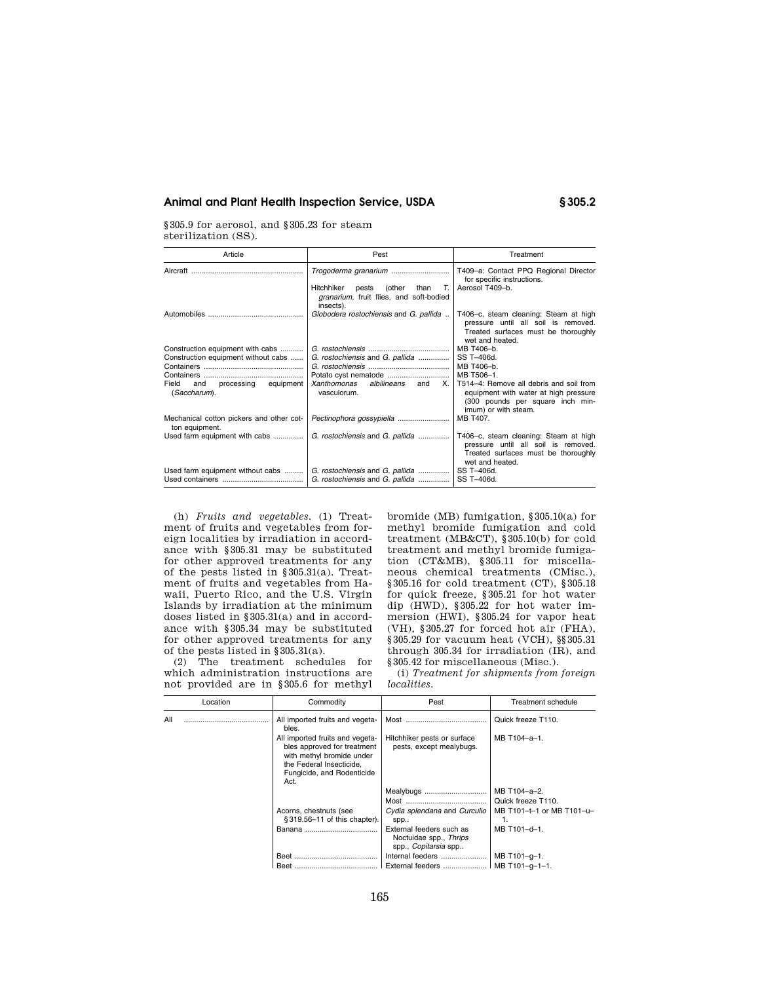§305.9 for aerosol, and §305.23 for steam sterilization (SS).

| Article                                                    | Pest                                                                                                         | Treatment                                                                                                                                    |  |
|------------------------------------------------------------|--------------------------------------------------------------------------------------------------------------|----------------------------------------------------------------------------------------------------------------------------------------------|--|
|                                                            |                                                                                                              | T409-a: Contact PPQ Regional Director<br>for specific instructions.                                                                          |  |
|                                                            | Hitchhiker<br>(other<br>than<br>$T_{\rm c}$<br>pests<br>granarium, fruit flies, and soft-bodied<br>insects). | Aerosol T409-b.                                                                                                                              |  |
|                                                            | Globodera rostochiensis and G. pallida                                                                       | T406-c, steam cleaning: Steam at high<br>pressure until all soil is removed.<br>Treated surfaces must be thoroughly<br>wet and heated.       |  |
| Construction equipment with cabs                           |                                                                                                              | MB T406-b.                                                                                                                                   |  |
| Construction equipment without cabs                        | G. rostochiensis and G. pallida                                                                              | SS T-406d.<br>MB T406-b.                                                                                                                     |  |
|                                                            |                                                                                                              | MB T506-1.                                                                                                                                   |  |
| processing<br>Field<br>equipment<br>and<br>(Saccharum).    | albilineans<br>Xanthomonas<br>X.<br>and<br>vasculorum.                                                       | T514-4: Remove all debris and soil from<br>equipment with water at high pressure<br>(300 pounds per square inch min-<br>imum) or with steam. |  |
| Mechanical cotton pickers and other cot-<br>ton equipment. |                                                                                                              | MB T407.                                                                                                                                     |  |
| Used farm equipment with cabs                              | G. rostochiensis and G. pallida                                                                              | T406-c, steam cleaning: Steam at high<br>pressure until all soil is removed.<br>Treated surfaces must be thoroughly<br>wet and heated.       |  |
| Used farm equipment without cabs                           | G. rostochiensis and G. pallida                                                                              | SS T-406d.                                                                                                                                   |  |
|                                                            | G. rostochiensis and G. pallida                                                                              | SS T-406d.                                                                                                                                   |  |

(h) *Fruits and vegetables.* (1) Treatment of fruits and vegetables from foreign localities by irradiation in accordance with §305.31 may be substituted for other approved treatments for any of the pests listed in §305.31(a). Treatment of fruits and vegetables from Hawaii, Puerto Rico, and the U.S. Virgin Islands by irradiation at the minimum doses listed in §305.31(a) and in accordance with §305.34 may be substituted for other approved treatments for any of the pests listed in §305.31(a).

(2) The treatment schedules for which administration instructions are not provided are in §305.6 for methyl

 $\overline{a}$ 

bromide (MB) fumigation, §305.10(a) for methyl bromide fumigation and cold treatment (MB&CT), §305.10(b) for cold treatment and methyl bromide fumigation (CT&MB), §305.11 for miscellaneous chemical treatments (CMisc.), §305.16 for cold treatment (CT), §305.18 for quick freeze, §305.21 for hot water dip (HWD), §305.22 for hot water immersion (HWI), §305.24 for vapor heat (VH), §305.27 for forced hot air (FHA), §305.29 for vacuum heat (VCH), §§305.31 through 305.34 for irradiation (IR), and §305.42 for miscellaneous (Misc.).

(i) *Treatment for shipments from foreign localities.* 

|     | Location | Commodity                                                                                                                                                     | Pest                                                                       | Treatment schedule              |
|-----|----------|---------------------------------------------------------------------------------------------------------------------------------------------------------------|----------------------------------------------------------------------------|---------------------------------|
| All |          | All imported fruits and vegeta-<br>bles.                                                                                                                      |                                                                            | Quick freeze T110.              |
|     |          | All imported fruits and vegeta-<br>bles approved for treatment<br>with methyl bromide under<br>the Federal Insecticide,<br>Fungicide, and Rodenticide<br>Act. | Hitchhiker pests or surface<br>pests, except mealybugs.                    | MB T104-a-1.                    |
|     |          |                                                                                                                                                               | Mealybugs                                                                  | MB T104-a-2.                    |
|     |          |                                                                                                                                                               |                                                                            | Quick freeze T110.              |
|     |          | Acorns, chestnuts (see<br>§ 319.56-11 of this chapter).                                                                                                       | Cydia splendana and Curculio<br>spp                                        | MB T101-t-1 or MB T101-u-<br>1. |
|     |          |                                                                                                                                                               | External feeders such as<br>Noctuidae spp., Thrips<br>spp., Copitarsia spp | MB T101-d-1.                    |
|     |          | <b>Beet</b>                                                                                                                                                   | Internal feeders                                                           | MB T101-g-1.                    |
|     |          | <b>Beet</b>                                                                                                                                                   | External feeders    MB T101-q-1-1.                                         |                                 |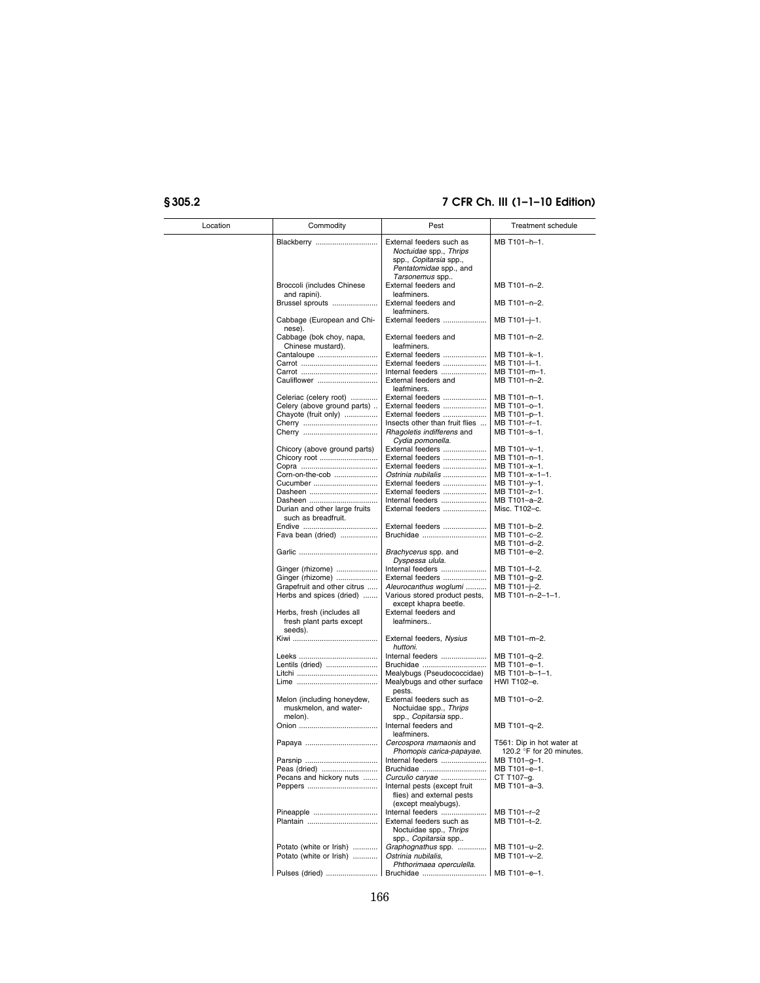| Location | Commodity                                                         | Pest                                                                             | Treatment schedule                                    |
|----------|-------------------------------------------------------------------|----------------------------------------------------------------------------------|-------------------------------------------------------|
|          | Blackberry                                                        | External feeders such as<br>Noctuidae spp., Thrips                               | MB T101-h-1.                                          |
|          |                                                                   | spp., Copitarsia spp.,<br>Pentatomidae spp., and<br>Tarsonemus spp               |                                                       |
|          | Broccoli (includes Chinese<br>and rapini).                        | External feeders and<br>leafminers.                                              | MB T101-n-2.                                          |
|          | Brussel sprouts                                                   | External feeders and<br>leafminers.                                              | MB T101-n-2.                                          |
|          | Cabbage (European and Chi-<br>nese).                              | External feeders                                                                 | MB T101-j-1.                                          |
|          | Cabbage (bok choy, napa,<br>Chinese mustard).                     | External feeders and<br>leafminers.                                              | MB T101-n-2.                                          |
|          | Cantaloupe                                                        | External feeders                                                                 | MB T101-k-1.                                          |
|          |                                                                   | External feeders                                                                 | MB T101-l-1.                                          |
|          |                                                                   | Internal feeders                                                                 | MB T101-m-1.                                          |
|          | Cauliflower                                                       | External feeders and<br>leafminers.                                              | MB T101-n-2.                                          |
|          | Celeriac (celery root)                                            | External feeders                                                                 | MB T101-n-1.                                          |
|          | Celery (above ground parts)                                       | External feeders                                                                 | MB T101-0-1.                                          |
|          | Chayote (fruit only)                                              | External feeders                                                                 | MB T101-p-1.                                          |
|          |                                                                   | Insects other than fruit flies                                                   | MB T101-r-1.                                          |
|          |                                                                   | Rhagoletis indifferens and<br>Cydia pomonella.                                   | MB T101-s-1.                                          |
|          | Chicory (above ground parts)                                      | External feeders                                                                 | MB T101-y-1.                                          |
|          | Chicory root                                                      | External feeders                                                                 | MB T101-n-1.                                          |
|          |                                                                   | External feeders                                                                 | MB T101-x-1.                                          |
|          | Corn-on-the-cob                                                   | Ostrinia nubilalis                                                               | MB T101-x-1-1.                                        |
|          | Cucumber                                                          | External feeders                                                                 | MB T101-y-1.                                          |
|          | Dasheen                                                           | External feeders                                                                 | MB T101-z-1.                                          |
|          | Dasheen                                                           | Internal feeders                                                                 | MB T101-a-2.                                          |
|          | Durian and other large fruits<br>such as breadfruit.              | External feeders                                                                 | Misc. T102-c.                                         |
|          |                                                                   | External feeders                                                                 | MB T101-b-2.                                          |
|          | Fava bean (dried)                                                 | Bruchidae                                                                        | MB T101-c-2.                                          |
|          |                                                                   |                                                                                  | MB T101-d-2.                                          |
|          |                                                                   | Brachycerus spp. and<br>Dyspessa ulula.                                          | MB T101-e-2.                                          |
|          | Ginger (rhizome)                                                  | Internal feeders                                                                 | MB T101-f-2.                                          |
|          | Ginger (rhizome)                                                  | External feeders                                                                 | MB T101-g-2.                                          |
|          | Grapefruit and other citrus                                       | Aleurocanthus woglumi                                                            | MB T101-j-2.                                          |
|          | Herbs and spices (dried)                                          | Various stored product pests,<br>except khapra beetle.                           | MB T101-n-2-1-1.                                      |
|          | Herbs, fresh (includes all<br>fresh plant parts except<br>seeds). | External feeders and<br>leafminers                                               |                                                       |
|          |                                                                   | External feeders, Nysius<br>huttoni.                                             | MB T101-m-2.                                          |
|          |                                                                   | Internal feeders                                                                 | MB T101-q-2.                                          |
|          | Lentils (dried)                                                   | Bruchidae                                                                        | MB T101-e-1.                                          |
|          |                                                                   | Mealybugs (Pseudococcidae)                                                       | MB T101-b-1-1.                                        |
|          |                                                                   | Mealybugs and other surface<br>pests.                                            | HWI T102-e.                                           |
|          | Melon (including honeydew,<br>muskmelon, and water-               | External feeders such as<br>Noctuidae spp., Thrips                               | MB T101-o-2.                                          |
|          | melon).                                                           | spp., <i>Copitarsia</i> spp<br>Internal feeders and<br>leafminers.               | MB T101-q-2.                                          |
|          |                                                                   | Cercospora mamaonis and<br>Phomopis carica-papayae.                              | T561: Dip in hot water at<br>120.2 °F for 20 minutes. |
|          |                                                                   | Internal feeders                                                                 | MB T101-g-1.                                          |
|          | Peas (dried)                                                      | Bruchidae                                                                        | MB T101-e-1.                                          |
|          | Pecans and hickory nuts                                           | Curculio carvae                                                                  | CT T107-g.                                            |
|          |                                                                   | Internal pests (except fruit<br>flies) and external pests<br>(except mealybugs). | MB T101-a-3.                                          |
|          | Pineapple                                                         | Internal feeders                                                                 | MB T101-r-2                                           |
|          | Plantain                                                          | External feeders such as<br>Noctuidae spp., Thrips<br>spp., Copitarsia spp       | MB T101-t-2.                                          |
|          | Potato (white or Irish)                                           | Graphognathus spp.                                                               | MB T101-u-2.                                          |
|          | Potato (white or Irish)                                           | Ostrinia nubilalis,<br>Phthorimaea operculella.                                  | MB T101-v-2.                                          |
|          |                                                                   |                                                                                  | MB T101-e-1.                                          |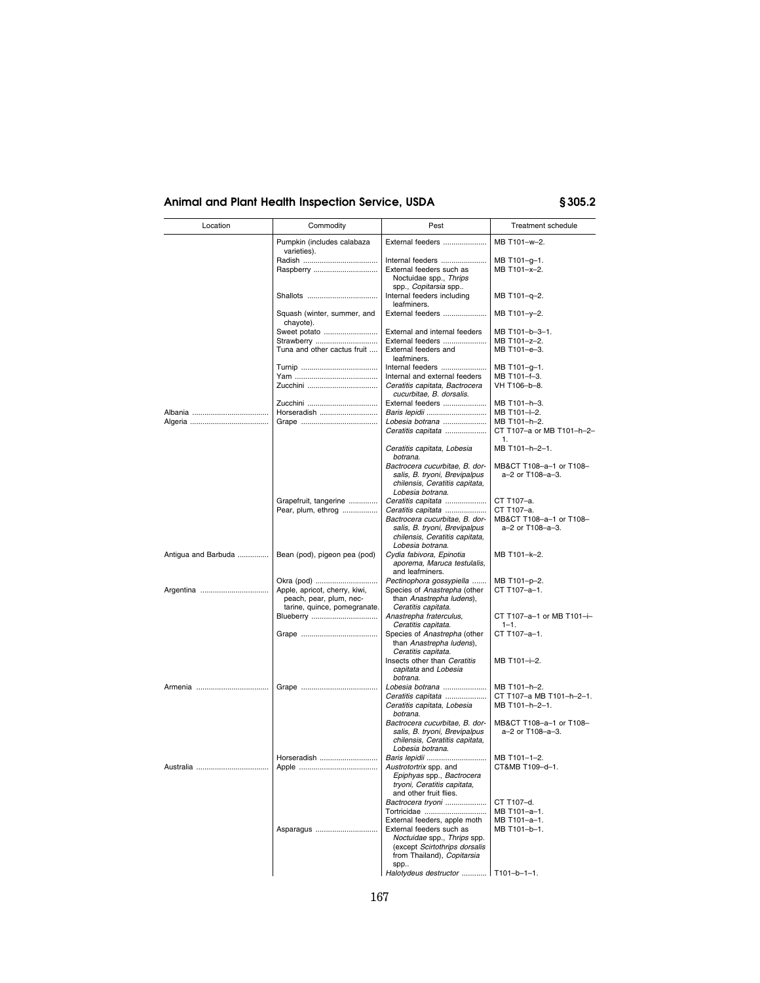| Location            | Commodity                                                              | Pest                                                                                                                              | Treatment schedule                                                              |
|---------------------|------------------------------------------------------------------------|-----------------------------------------------------------------------------------------------------------------------------------|---------------------------------------------------------------------------------|
|                     | Pumpkin (includes calabaza<br>varieties).                              | External feeders                                                                                                                  | MB T101-w-2.                                                                    |
|                     | Raspberry                                                              | Internal feeders<br>External feeders such as<br>Noctuidae spp., Thrips                                                            | MB T101-g-1.<br>MB T101-x-2.                                                    |
|                     | Shallots                                                               | spp., Copitarsia spp<br>Internal feeders including<br>leafminers.                                                                 | MB T101-q-2.                                                                    |
|                     | Squash (winter, summer, and<br>chayote).                               | External feeders                                                                                                                  | MB T101-y-2.                                                                    |
|                     | Sweet potato<br>Strawberry<br>Tuna and other cactus fruit              | External and internal feeders<br>External feeders<br>External feeders and<br>leafminers.                                          | MB T101-b-3-1.<br>MB T101-z-2.<br>MB T101-e-3.                                  |
|                     | Zucchini                                                               | Internal feeders<br>Internal and external feeders<br>Ceratitis capitata, Bactrocera<br>cucurbitae, B. dorsalis.                   | MB T101-g-1.<br>MB T101-f-3.<br>VH T106-b-8.                                    |
|                     | Horseradish                                                            | External feeders<br>Baris lepidii<br>Lobesia botrana<br>Ceratitis capitata                                                        | MB T101-h-3.<br>MB T101-I-2.<br>MB T101-h-2.<br>CT T107-a or MB T101-h-2-<br>1. |
|                     |                                                                        | Ceratitis capitata, Lobesia<br>botrana.                                                                                           | MB T101-h-2-1.                                                                  |
|                     |                                                                        | Bactrocera cucurbitae, B. dor-<br>salis, B. tryoni, Brevipalpus<br>chilensis, Ceratitis capitata,<br>Lobesia botrana.             | MB&CT T108-a-1 or T108-<br>a-2 or T108-a-3.                                     |
|                     | Grapefruit, tangerine<br>Pear, plum, ethrog                            | Ceratitis capitata<br>Ceratitis capitata                                                                                          | CT T107-a.<br>CT T107-a.                                                        |
|                     |                                                                        | Bactrocera cucurbitae, B. dor-<br>salis, B. tryoni, Brevipalpus<br>chilensis, Ceratitis capitata,<br>Lobesia botrana.             | MB&CT T108-a-1 or T108-<br>a-2 or T108-a-3.                                     |
| Antigua and Barbuda | Bean (pod), pigeon pea (pod)                                           | Cydia fabivora, Epinotia<br>aporema, Maruca testulalis,<br>and leafminers.                                                        | MB T101-k-2.                                                                    |
| Argentina           | Okra (pod)<br>Apple, apricot, cherry, kiwi,<br>peach, pear, plum, nec- | Pectinophora gossypiella<br>Species of Anastrepha (other<br>than Anastrepha ludens),<br>Ceratitis capitata.                       | MB T101-p-2.<br>CT T107-a-1.                                                    |
|                     | tarine, quince, pomegranate.<br>Blueberry                              | Anastrepha fraterculus,<br>Ceratitis capitata.                                                                                    | CT T107-a-1 or MB T101-i-<br>$1 - 1$ .                                          |
|                     |                                                                        | Species of Anastrepha (other<br>than Anastrepha ludens),<br>Ceratitis capitata.                                                   | CT T107-a-1.                                                                    |
|                     |                                                                        | Insects other than Ceratitis<br>capitata and Lobesia<br>botrana.                                                                  | MB T101-i-2.                                                                    |
|                     |                                                                        | Lobesia botrana<br>Ceratitis capitata<br>Ceratitis capitata, Lobesia                                                              | MB T101-h-2.<br>CT T107-a MB T101-h-2-1.<br>MB T101-h-2-1.                      |
|                     |                                                                        | botrana.<br>Bactrocera cucurbitae, B. dor-<br>salis, B. tryoni, Brevipalpus<br>chilensis, Ceratitis capitata,<br>Lobesia botrana. | MB&CT T108-a-1 or T108-<br>a-2 or T108-a-3.                                     |
| Australia           | Horseradish<br>Apple                                                   | Baris lepidii<br>Austrotortrix spp. and<br>Epiphyas spp., Bactrocera<br>tryoni, Ceratitis capitata,<br>and other fruit flies.     | MB T101-1-2.<br>CT&MB T109-d-1                                                  |
|                     | Asparagus                                                              | Bactrocera tryoni<br>Tortricidae<br>External feeders, apple moth<br>External feeders such as                                      | CT T107-d.<br>MB T101-a-1.<br>MB T101-a-1.<br>MB T101-b-1.                      |
|                     |                                                                        | Noctuidae spp., Thrips spp.<br>(except Scirtothrips dorsalis<br>from Thailand), Copitarsia<br>spp                                 |                                                                                 |
|                     |                                                                        | Halotydeus destructor    T101-b-1-1.                                                                                              |                                                                                 |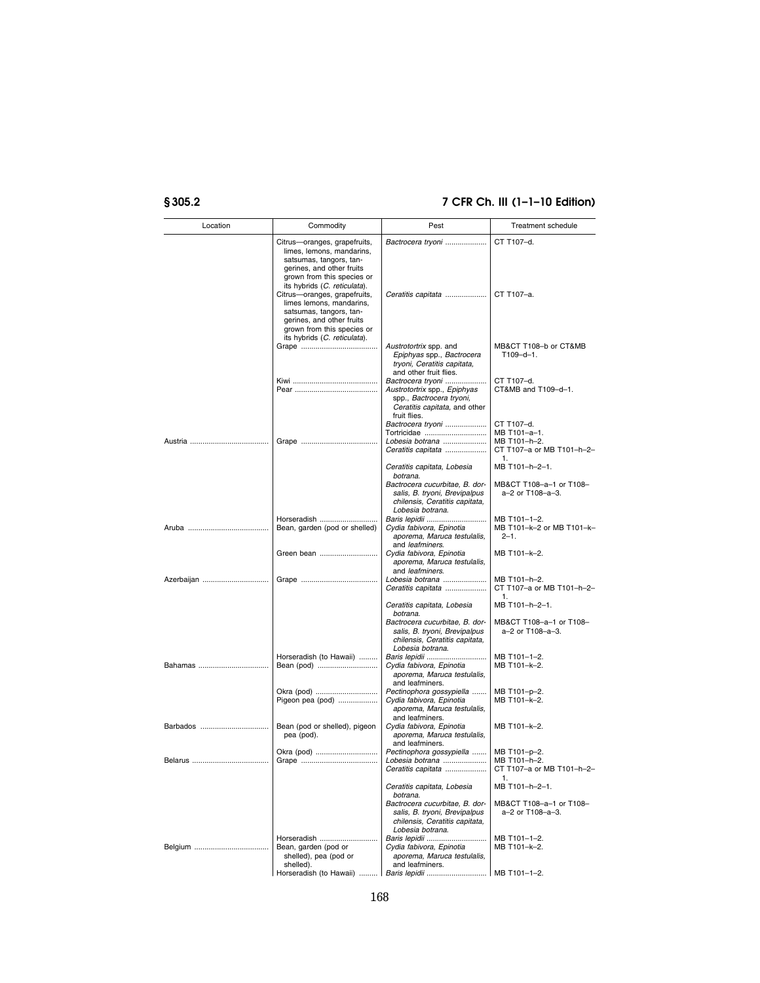| Location   | Commodity                                                                                                                                                                                                                                                                                                                                                         | Pest                                                                                                                              | Treatment schedule                                              |
|------------|-------------------------------------------------------------------------------------------------------------------------------------------------------------------------------------------------------------------------------------------------------------------------------------------------------------------------------------------------------------------|-----------------------------------------------------------------------------------------------------------------------------------|-----------------------------------------------------------------|
|            | Citrus-oranges, grapefruits,<br>limes, lemons, mandarins,<br>satsumas, tangors, tan-<br>gerines, and other fruits<br>grown from this species or<br>its hybrids (C. reticulata).<br>Citrus-oranges, grapefruits,<br>limes lemons, mandarins,<br>satsumas, tangors, tan-<br>gerines, and other fruits<br>grown from this species or<br>its hybrids (C. reticulata). | Bactrocera tryoni<br>Ceratitis capitata                                                                                           | CT T107-d.<br>CT T107-a.                                        |
|            |                                                                                                                                                                                                                                                                                                                                                                   | Austrotortrix spp. and<br>Epiphyas spp., Bactrocera<br>tryoni, Ceratitis capitata,<br>and other fruit flies.                      | MB&CT T108-b or CT&MB<br>$T109 - d - 1.$                        |
|            |                                                                                                                                                                                                                                                                                                                                                                   | Bactrocera tryoni<br>Austrotortrix spp., Epiphyas<br>spp., Bactrocera tryoni,<br>Ceratitis capitata, and other<br>fruit flies.    | CT T107-d.<br>CT&MB and T109-d-1.                               |
|            |                                                                                                                                                                                                                                                                                                                                                                   | Bactrocera tryoni                                                                                                                 | CT T107-d.                                                      |
|            |                                                                                                                                                                                                                                                                                                                                                                   | Tortricidae<br>Lobesia botrana<br>Ceratitis capitata                                                                              | MB T101-a-1.<br>MB T101-h-2.<br>CT T107-a or MB T101-h-2-<br>1. |
|            |                                                                                                                                                                                                                                                                                                                                                                   | Ceratitis capitata, Lobesia                                                                                                       | MB T101-h-2-1.                                                  |
|            |                                                                                                                                                                                                                                                                                                                                                                   | botrana.<br>Bactrocera cucurbitae, B. dor-<br>salis, B. tryoni, Brevipalpus<br>chilensis, Ceratitis capitata,<br>Lobesia botrana. | MB&CT T108-a-1 or T108-<br>a-2 or T108-a-3.                     |
|            | Horseradish<br>Bean, garden (pod or shelled)                                                                                                                                                                                                                                                                                                                      | Cydia fabivora, Epinotia<br>aporema, Maruca testulalis,<br>and leafminers.                                                        | MB T101-1-2.<br>MB T101-k-2 or MB T101-k-<br>$2 - 1$ .          |
|            | Green bean                                                                                                                                                                                                                                                                                                                                                        | Cydia fabivora, Epinotia<br>aporema, Maruca testulalis,<br>and leafminers.                                                        | MB T101-k-2.                                                    |
| Azerbaijan |                                                                                                                                                                                                                                                                                                                                                                   | Lobesia botrana<br>Ceratitis capitata                                                                                             | MB T101-h-2.<br>CT T107-a or MB T101-h-2-<br>1.                 |
|            |                                                                                                                                                                                                                                                                                                                                                                   | Ceratitis capitata, Lobesia<br>botrana.                                                                                           | MB T101-h-2-1.                                                  |
|            |                                                                                                                                                                                                                                                                                                                                                                   | Bactrocera cucurbitae, B. dor-<br>salis, B. tryoni, Brevipalpus<br>chilensis, Ceratitis capitata,<br>Lobesia botrana.             | MB&CT T108-a-1 or T108-<br>a-2 or T108-a-3.                     |
|            | Horseradish (to Hawaii)                                                                                                                                                                                                                                                                                                                                           | Baris lepidii<br>Cydia fabivora, Epinotia<br>aporema, Maruca testulalis,<br>and leafminers.                                       | MB T101-1-2.<br>MB T101-k-2.                                    |
|            | Okra (pod)<br>Pigeon pea (pod)                                                                                                                                                                                                                                                                                                                                    | Pectinophora gossypiella<br>Cydia fabivora, Epinotia<br>aporema, Maruca testulalis,<br>and leafminers.                            | MB T101-p-2.<br>MB T101-k-2.                                    |
| Barbados   | Bean (pod or shelled), pigeon<br>pea (pod).                                                                                                                                                                                                                                                                                                                       | Cydia fabivora, Epinotia<br>aporema, Maruca testulalis,<br>and leafminers.                                                        | MB T101-k-2.                                                    |
|            | Okra (pod)                                                                                                                                                                                                                                                                                                                                                        | Pectinophora gossypiella<br>Lobesia botrana<br>Ceratitis capitata                                                                 | MB T101-p-2.<br>MB T101-h-2.<br>CT T107-a or MB T101-h-2-<br>1. |
|            |                                                                                                                                                                                                                                                                                                                                                                   | Ceratitis capitata, Lobesia<br>botrana.<br>Bactrocera cucurbitae, B. dor-                                                         | MB T101-h-2-1.<br>MB&CT T108-a-1 or T108-                       |
|            |                                                                                                                                                                                                                                                                                                                                                                   | salis, B. tryoni, Brevipalpus<br>chilensis, Ceratitis capitata,<br>Lobesia botrana.                                               | a-2 or T108-a-3.                                                |
|            | Horseradish                                                                                                                                                                                                                                                                                                                                                       | Baris lepidii                                                                                                                     | MB T101-1-2.                                                    |
|            | Bean, garden (pod or<br>shelled), pea (pod or<br>shelled).                                                                                                                                                                                                                                                                                                        | Cydia fabivora, Epinotia<br>aporema, Maruca testulalis,<br>and leafminers.                                                        | MB T101-k-2.                                                    |
|            |                                                                                                                                                                                                                                                                                                                                                                   | Horseradish (to Hawaii)    Baris lepidii    MB T101-1-2.                                                                          |                                                                 |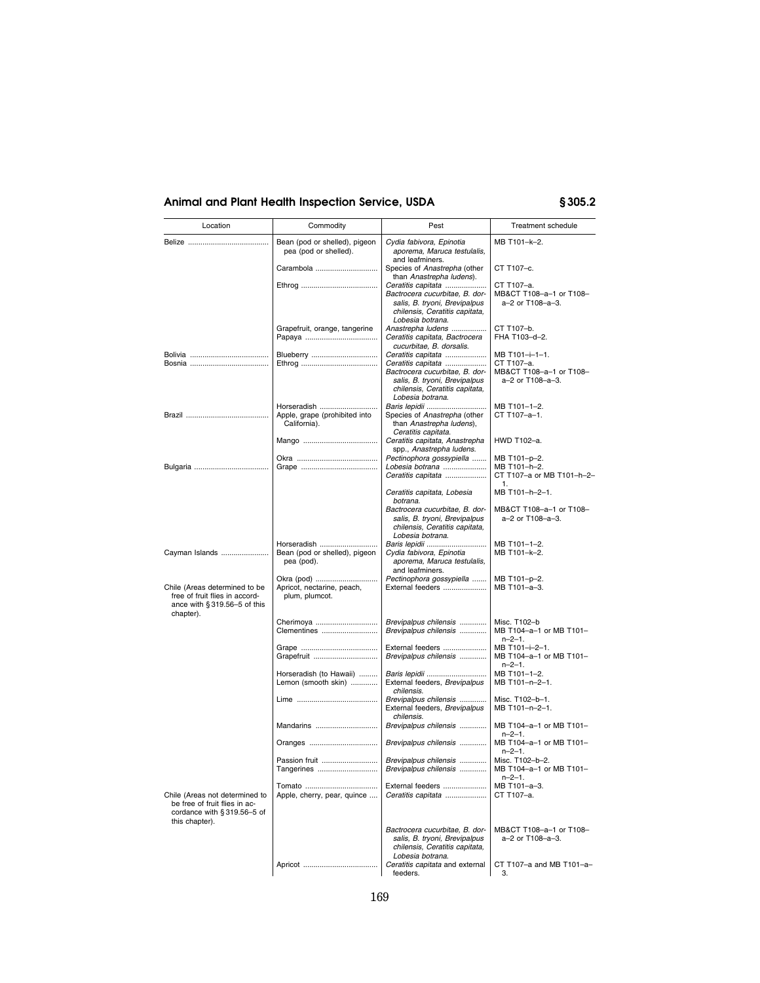| Location                                                                                                        | Commodity                                                  | Pest                                                                                                                                        | Treatment schedule                                          |
|-----------------------------------------------------------------------------------------------------------------|------------------------------------------------------------|---------------------------------------------------------------------------------------------------------------------------------------------|-------------------------------------------------------------|
|                                                                                                                 | Bean (pod or shelled), pigeon<br>pea (pod or shelled).     | Cydia fabivora, Epinotia<br>aporema, Maruca testulalis,                                                                                     | MB T101-k-2.                                                |
|                                                                                                                 | Carambola                                                  | and leafminers.<br>Species of Anastrepha (other<br>than Anastrepha ludens).                                                                 | CT T107-c.                                                  |
|                                                                                                                 |                                                            | Ceratitis capitata                                                                                                                          | CT T107-a.                                                  |
|                                                                                                                 |                                                            | Bactrocera cucurbitae, B. dor-<br>salis, B. tryoni, Brevipalpus<br>chilensis, Ceratitis capitata,                                           | MB&CT T108-a-1 or T108-<br>a-2 or T108-a-3.                 |
|                                                                                                                 | Grapefruit, orange, tangerine                              | Lobesia botrana.<br>Anastrepha ludens                                                                                                       | CT T107-b.                                                  |
|                                                                                                                 |                                                            | Ceratitis capitata, Bactrocera<br>cucurbitae, B. dorsalis.                                                                                  | FHA T103-d-2.                                               |
|                                                                                                                 | Blueberry                                                  | Ceratitis capitata                                                                                                                          | MB T101-i-1-1.                                              |
|                                                                                                                 |                                                            | Ceratitis capitata<br>Bactrocera cucurbitae, B. dor-<br>salis, B. tryoni, Brevipalpus<br>chilensis, Ceratitis capitata,<br>Lobesia botrana. | CT T107-a.<br>MB&CT T108-a-1 or T108-<br>a-2 or T108-a-3.   |
|                                                                                                                 | Horseradish                                                | Baris lepidii                                                                                                                               | MB T101-1-2.                                                |
|                                                                                                                 | Apple, grape (prohibited into<br>California).              | Species of Anastrepha (other<br>than Anastrepha ludens),<br>Ceratitis capitata.                                                             | CT T107-a-1.                                                |
|                                                                                                                 |                                                            | Ceratitis capitata, Anastrepha<br>spp., Anastrepha ludens.                                                                                  | HWD T102-a.                                                 |
|                                                                                                                 |                                                            | Pectinophora gossypiella<br>Lobesia botrana                                                                                                 | MB T101-p-2.<br>MB T101-h-2.                                |
|                                                                                                                 |                                                            | Ceratitis capitata                                                                                                                          | CT T107-a or MB T101-h-2-<br>1.                             |
|                                                                                                                 |                                                            | Ceratitis capitata, Lobesia<br>botrana.                                                                                                     | MB T101-h-2-1.                                              |
|                                                                                                                 |                                                            | Bactrocera cucurbitae, B. dor-<br>salis, B. tryoni, Brevipalpus<br>chilensis, Ceratitis capitata,<br>Lobesia botrana.                       | MB&CT T108-a-1 or T108-<br>a–2 or T108–a–3.                 |
|                                                                                                                 | Horseradish                                                |                                                                                                                                             | MB T101-1-2.                                                |
| Cayman Islands                                                                                                  | Bean (pod or shelled), pigeon<br>pea (pod).                | Cydia fabivora, Epinotia<br>aporema, Maruca testulalis,<br>and leafminers.                                                                  | MB T101-k-2.                                                |
| Chile (Areas determined to be<br>free of fruit flies in accord-<br>ance with $§ 319.56-5$ of this               | Okra (pod)<br>Apricot, nectarine, peach,<br>plum, plumcot. | Pectinophora gossypiella<br>External feeders                                                                                                | MB T101-p-2.<br>MB T101-a-3.                                |
| chapter).                                                                                                       | Cherimoya                                                  | Brevipalpus chilensis                                                                                                                       | Misc. T102-b                                                |
|                                                                                                                 | Clementines                                                | Brevipalpus chilensis                                                                                                                       | MB T104-a-1 or MB T101-<br>$n - 2 - 1$ .                    |
|                                                                                                                 | Grapefruit                                                 | External feeders<br>Brevipalpus chilensis                                                                                                   | MB T101-i-2-1.<br>MB T104-a-1 or MB T101-<br>$n - 2 - 1$ .  |
|                                                                                                                 | Horseradish (to Hawaii)<br>Lemon (smooth skin)             | Baris lepidii<br>External feeders, Brevipalpus<br>chilensis.                                                                                | MB T101-1-2.<br>MB T101-n-2-1.                              |
|                                                                                                                 |                                                            | Brevipalpus chilensis<br>External feeders, Brevipalpus<br>chilensis.                                                                        | Misc. T102-b-1.<br>MB T101-n-2-1.                           |
|                                                                                                                 | Mandarins                                                  | Brevipalpus chilensis                                                                                                                       | MB T104-a-1 or MB T101-<br>$n - 2 - 1$ .                    |
|                                                                                                                 | Oranges                                                    | Brevipalpus chilensis                                                                                                                       | MB T104-a-1 or MB T101-<br>$n - 2 - 1$ .                    |
|                                                                                                                 | Passion fruit<br>Tangerines                                | Brevipalpus chilensis<br>Brevipalpus chilensis                                                                                              | Misc. T102-b-2.<br>MB T104-a-1 or MB T101-<br>$n - 2 - 1$ . |
| Chile (Areas not determined to<br>be free of fruit flies in ac-<br>cordance with §319.56-5 of<br>this chapter). | Apple, cherry, pear, quince                                | External feeders<br>Ceratitis capitata                                                                                                      | MB T101-a-3.<br>CT T107-a.                                  |
|                                                                                                                 |                                                            | Bactrocera cucurbitae, B. dor-<br>salis, B. tryoni, Brevipalpus<br>chilensis, Ceratitis capitata,<br>Lobesia botrana.                       | MB&CT T108-a-1 or T108-<br>a-2 or T108-a-3.                 |
|                                                                                                                 |                                                            | Ceratitis capitata and external<br>feeders.                                                                                                 | CT T107-a and MB T101-a-<br>3.                              |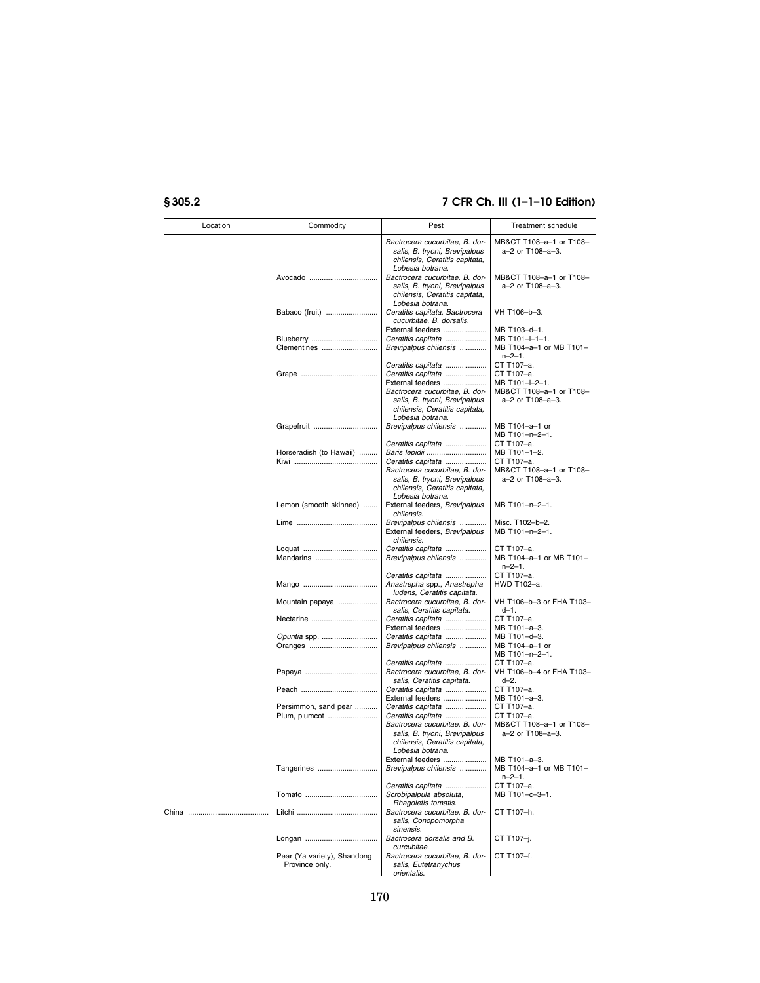| Location | Commodity                                     | Pest                                                                                                                                                                                  | Treatment schedule                                                                        |
|----------|-----------------------------------------------|---------------------------------------------------------------------------------------------------------------------------------------------------------------------------------------|-------------------------------------------------------------------------------------------|
|          |                                               | Bactrocera cucurbitae, B. dor-<br>salis, B. tryoni, Brevipalpus<br>chilensis, Ceratitis capitata,<br>Lobesia botrana.                                                                 | MB&CT T108-a-1 or T108-<br>a-2 or T108-a-3.                                               |
|          | Avocado                                       | Bactrocera cucurbitae, B. dor-<br>salis, B. tryoni, Brevipalpus<br>chilensis, Ceratitis capitata,<br>Lobesia botrana.                                                                 | MB&CT T108-a-1 or T108-<br>a-2 or T108-a-3.                                               |
|          | Babaco (fruit)                                | Ceratitis capitata, Bactrocera<br>cucurbitae, B. dorsalis.                                                                                                                            | VH T106-b-3.                                                                              |
|          |                                               | External feeders                                                                                                                                                                      | MB T103-d-1.                                                                              |
|          | Blueberry<br>Clementines                      | Ceratitis capitata<br>Brevipalpus chilensis                                                                                                                                           | MB T101-i-1-1.<br>MB T104-a-1 or MB T101-<br>$n - 2 - 1$ .                                |
|          |                                               | Ceratitis capitata<br>Ceratitis capitata<br>External feeders<br>Bactrocera cucurbitae, B. dor-<br>salis, B. tryoni, Brevipalpus<br>chilensis, Ceratitis capitata,<br>Lobesia botrana. | CT T107-a.<br>CT T107-a.<br>MB T101-i-2-1.<br>MB&CT T108-a-1 or T108-<br>a-2 or T108-a-3. |
|          | Grapefruit                                    | Brevipalpus chilensis                                                                                                                                                                 | MB T104-a-1 or<br>MB T101-n-2-1.                                                          |
|          | Horseradish (to Hawaii)                       | Ceratitis capitata<br>Baris lepidii                                                                                                                                                   | CT T107-a.<br>MB T101-1-2.                                                                |
|          |                                               | Ceratitis capitata<br>Bactrocera cucurbitae, B. dor-<br>salis, B. tryoni, Brevipalpus<br>chilensis, Ceratitis capitata,<br>Lobesia botrana.                                           | CT T107-a.<br>MB&CT T108-a-1 or T108-<br>a-2 or T108-a-3.                                 |
|          | Lemon (smooth skinned)                        | External feeders, Brevipalpus<br>chilensis.                                                                                                                                           | MB T101-n-2-1.                                                                            |
|          |                                               | Brevipalpus chilensis<br>External feeders, Brevipalpus<br>chilensis.                                                                                                                  | Misc. T102-b-2.<br>MB T101-n-2-1.                                                         |
|          | Mandarins                                     | Ceratitis capitata<br>Brevipalpus chilensis                                                                                                                                           | CT T107-a.<br>MB T104-a-1 or MB T101-<br>$n - 2 - 1$ .                                    |
|          |                                               | Ceratitis capitata<br>Anastrepha spp., Anastrepha<br>ludens, Ceratitis capitata.                                                                                                      | CT T107-a.<br>HWD T102-a.                                                                 |
|          | Mountain papaya                               | Bactrocera cucurbitae, B. dor-<br>salis, Ceratitis capitata.                                                                                                                          | VH T106-b-3 or FHA T103-<br>$d-1$ .                                                       |
|          | Nectarine                                     | Ceratitis capitata<br>External feeders                                                                                                                                                | CT T107-a.<br>MB T101-a-3.                                                                |
|          | Opuntia spp.<br>Oranges                       | Ceratitis capitata<br>Brevipalpus chilensis                                                                                                                                           | MB T101-d-3.<br>MB T104-a-1 or<br>MB T101-n-2-1.                                          |
|          |                                               | Ceratitis capitata<br>Bactrocera cucurbitae, B. dor-<br>salis, Ceratitis capitata.                                                                                                    | CT T107-a.<br>VH T106-b-4 or FHA T103-<br>d-2.                                            |
|          |                                               | Ceratitis capitata<br>External feeders                                                                                                                                                | CT T107-a.<br>MB T101-a-3.<br>CT T107-a.                                                  |
|          | Persimmon, sand pear<br>Plum, plumcot         | Ceratitis capitata<br>Ceratitis capitata<br>Bactrocera cucurbitae, B. dor-<br>salis, B. tryoni, Brevipalpus<br>chilensis, Ceratitis capitata,<br>Lobesia botrana.                     | CT T107-a.<br>MB&CT T108-a-1 or T108-<br>a-2 or T108-a-3.                                 |
|          | Tangerines                                    | External feeders<br>Brevipalpus chilensis                                                                                                                                             | MB T101-a-3.<br>MB T104-a-1 or MB T101-<br>$n - 2 - 1$ .                                  |
|          |                                               | Ceratitis capitata<br>Scrobipalpula absoluta,<br>Rhagoletis tomatis.                                                                                                                  | CT T107-a.<br>MB T101-c-3-1.                                                              |
|          |                                               | Bactrocera cucurbitae, B. dor-<br>salis, Conopomorpha<br>sinensis.                                                                                                                    | CT T107-h.                                                                                |
|          |                                               | Bactrocera dorsalis and B.<br>curcubitae.                                                                                                                                             | CT T107-j.                                                                                |
|          | Pear (Ya variety), Shandong<br>Province only. | Bactrocera cucurbitae. B. dor-<br>salis, Eutetranychus<br>orientalis.                                                                                                                 | CT T107-f.                                                                                |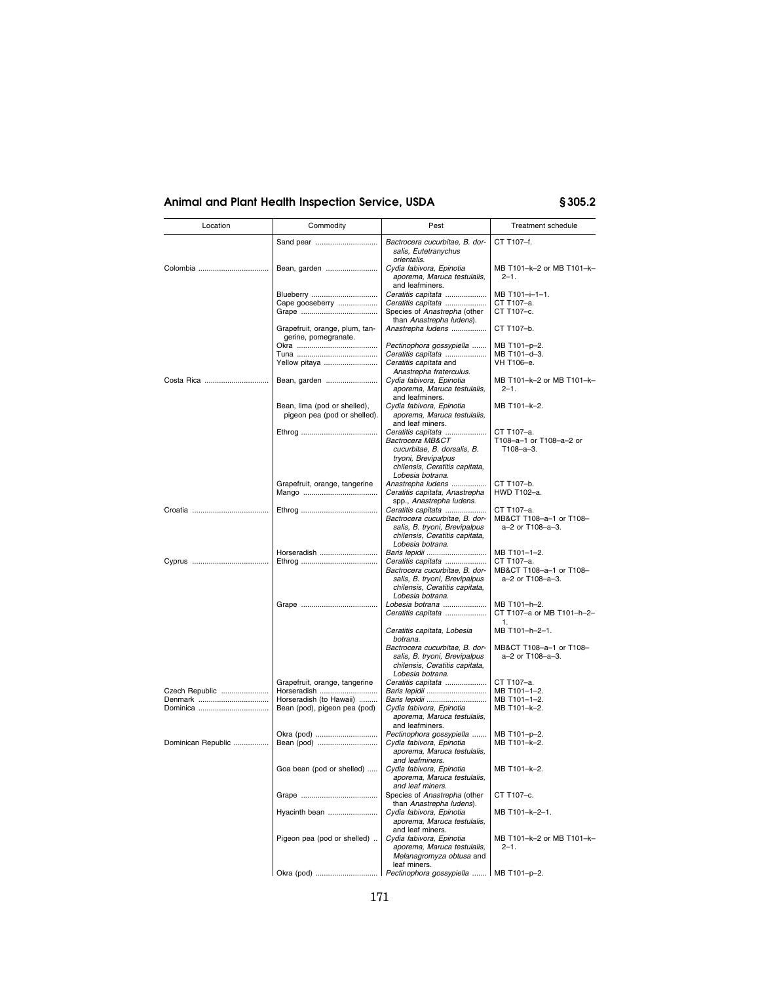| Location           | Commodity                                               | Pest                                                                                      | Treatment schedule                          |
|--------------------|---------------------------------------------------------|-------------------------------------------------------------------------------------------|---------------------------------------------|
|                    | Sand pear                                               | Bactrocera cucurbitae, B. dor-<br>salis, Eutetranychus                                    | CT T107-f.                                  |
| Colombia           | Bean, garden                                            | orientalis.<br>Cydia fabivora, Epinotia<br>aporema, Maruca testulalis,<br>and leafminers. | MB T101-k-2 or MB T101-k-<br>$2 - 1$ .      |
|                    | Blueberry                                               | Ceratitis capitata                                                                        | MB T101-i-1-1.                              |
|                    | Cape gooseberry                                         | Ceratitis capitata                                                                        | CT T107-a.                                  |
|                    |                                                         | Species of Anastrepha (other<br>than Anastrepha ludens).                                  | CT T107-c.                                  |
|                    | Grapefruit, orange, plum, tan-<br>gerine, pomegranate.  | Anastrepha ludens                                                                         | CT T107-b.                                  |
|                    |                                                         | Pectinophora gossypiella                                                                  | MB T101-p-2.<br>MB T101-d-3.                |
|                    | Yellow pitaya                                           | Ceratitis capitata<br>Ceratitis capitata and<br>Anastrepha fraterculus.                   | VH T106-e.                                  |
|                    | Bean, garden                                            | Cydia fabivora, Epinotia<br>aporema, Maruca testulalis,                                   | MB T101-k-2 or MB T101-k-<br>$2 - 1$ .      |
|                    | Bean, lima (pod or shelled),                            | and leafminers.<br>Cydia fabivora, Epinotia                                               | MB T101-k-2.                                |
|                    | pigeon pea (pod or shelled).                            | aporema, Maruca testulalis,<br>and leaf miners.                                           |                                             |
|                    |                                                         | Ceratitis capitata                                                                        | CT T107-a.                                  |
|                    |                                                         | Bactrocera MB&CT<br>cucurbitae, B. dorsalis, B.                                           | T108-a-1 or T108-a-2 or<br>T108-a-3.        |
|                    |                                                         | tryoni, Brevipalpus<br>chilensis, Ceratitis capitata,<br>Lobesia botrana.                 |                                             |
|                    | Grapefruit, orange, tangerine                           | Anastrepha ludens                                                                         | CT T107-b.                                  |
|                    |                                                         | Ceratitis capitata, Anastrepha<br>spp., Anastrepha ludens.                                | HWD T102-a.                                 |
|                    |                                                         | Ceratitis capitata                                                                        | CT T107-a.                                  |
|                    |                                                         | Bactrocera cucurbitae, B. dor-<br>salis, B. tryoni, Brevipalpus                           | MB&CT T108-a-1 or T108-<br>a-2 or T108-a-3. |
|                    |                                                         | chilensis, Ceratitis capitata,<br>Lobesia botrana.                                        |                                             |
|                    | Horseradish                                             | Baris lepidii                                                                             | MB T101-1-2.                                |
|                    |                                                         | Ceratitis capitata<br>Bactrocera cucurbitae, B. dor-                                      | CT T107-a.<br>MB&CT T108-a-1 or T108-       |
|                    |                                                         | salis, B. tryoni, Brevipalpus<br>chilensis, Ceratitis capitata,                           | a-2 or T108-a-3.                            |
|                    |                                                         | Lobesia botrana.<br>Lobesia botrana                                                       | MB T101-h-2.                                |
|                    |                                                         | Ceratitis capitata                                                                        | CT T107-a or MB T101-h-2-<br>1.             |
|                    |                                                         | Ceratitis capitata, Lobesia<br>botrana.                                                   | MB T101-h-2-1.                              |
|                    |                                                         | Bactrocera cucurbitae, B. dor-<br>salis, B. tryoni, Brevipalpus                           | MB&CT T108-a-1 or T108-<br>a-2 or T108-a-3. |
|                    |                                                         | chilensis, Ceratitis capitata,<br>Lobesia botrana.                                        |                                             |
|                    | Grapefruit, orange, tangerine                           | Ceratitis capitata                                                                        | CT T107-a.                                  |
| Czech Republic     | Horseradish                                             | Baris lepidii                                                                             | MB T101-1-2.                                |
|                    | Horseradish (to Hawaii)<br>Bean (pod), pigeon pea (pod) | Baris lepidii<br>Cydia fabivora, Epinotia                                                 | MB T101-1-2.<br>MB T101-k-2.                |
|                    |                                                         | aporema, Maruca testulalis,<br>and leafminers.                                            |                                             |
|                    | Okra (pod)                                              | Pectinophora gossypiella                                                                  | MB T101-p-2.                                |
| Dominican Republic | Bean (pod)                                              | Cydia fabivora, Epinotia<br>aporema, Maruca testulalis,                                   | MB T101-k-2.                                |
|                    | Goa bean (pod or shelled)                               | and leafminers.<br>Cvdia fabivora. Epinotia                                               | MB T101-k-2                                 |
|                    |                                                         | aporema, Maruca testulalis,                                                               |                                             |
|                    |                                                         | and leaf miners.<br>Species of Anastrepha (other                                          | CT T107-c.                                  |
|                    | Hyacinth bean                                           | than Anastrepha ludens).<br>Cydia fabivora, Epinotia                                      | MB T101-k-2-1.                              |
|                    |                                                         | aporema, Maruca testulalis,<br>and leaf miners.                                           |                                             |
|                    | Pigeon pea (pod or shelled)                             | Cydia fabivora, Epinotia                                                                  | MB T101-k-2 or MB T101-k-                   |
|                    |                                                         | aporema, Maruca testulalis,<br>Melanagromyza obtusa and<br>leaf miners.                   | $2 - 1$ .                                   |
|                    |                                                         |                                                                                           |                                             |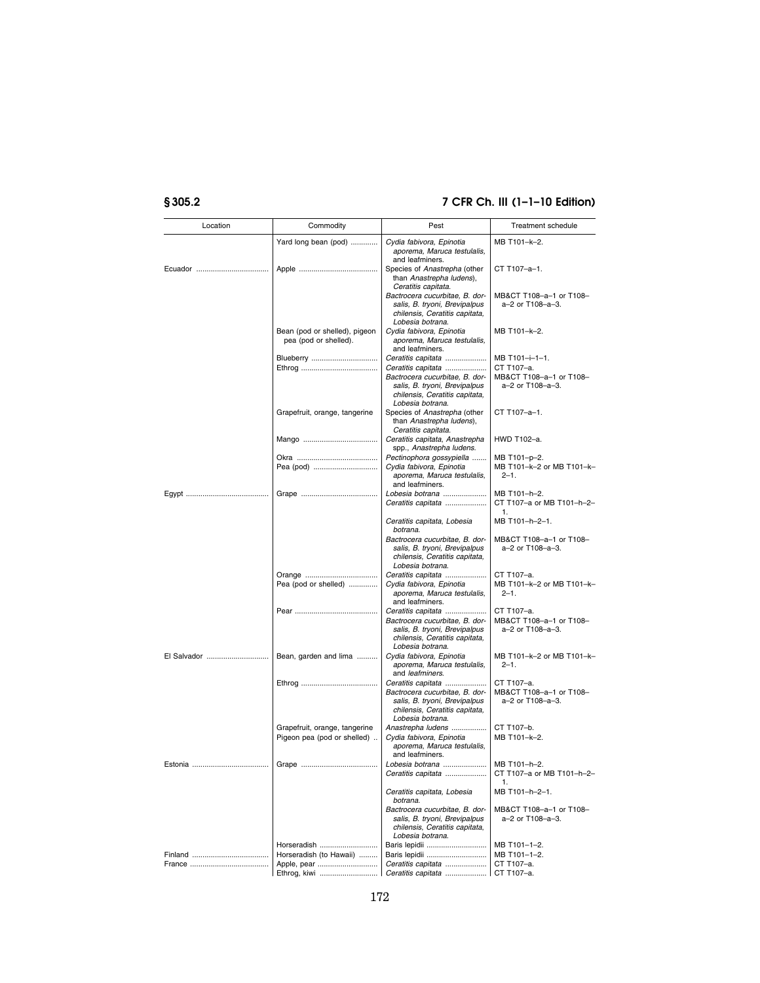| Location    | Commodity                                                    | Pest                                                                                                                                        | Treatment schedule                                        |
|-------------|--------------------------------------------------------------|---------------------------------------------------------------------------------------------------------------------------------------------|-----------------------------------------------------------|
|             | Yard long bean (pod)                                         | Cydia fabivora, Epinotia<br>aporema, Maruca testulalis,                                                                                     | MB T101-k-2.                                              |
|             |                                                              | and leafminers.<br>Species of Anastrepha (other<br>than Anastrepha ludens),<br>Ceratitis capitata.                                          | CT T107-a-1.                                              |
|             |                                                              | Bactrocera cucurbitae, B. dor-<br>salis, B. tryoni, Brevipalpus<br>chilensis, Ceratitis capitata,<br>Lobesia botrana.                       | MB&CT T108-a-1 or T108-<br>a-2 or T108-a-3.               |
|             | Bean (pod or shelled), pigeon<br>pea (pod or shelled).       | Cydia fabivora, Epinotia<br>aporema, Maruca testulalis,<br>and leafminers.                                                                  | MB T101-k-2.                                              |
|             | Blueberry                                                    | Ceratitis capitata                                                                                                                          | MB T101-i-1-1.<br>CT T107-a.                              |
|             |                                                              | Ceratitis capitata<br>Bactrocera cucurbitae, B. dor-<br>salis, B. tryoni, Brevipalpus<br>chilensis, Ceratitis capitata,<br>Lobesia botrana. | MB&CT T108-a-1 or T108-<br>a-2 or T108-a-3.               |
|             | Grapefruit, orange, tangerine                                | Species of Anastrepha (other<br>than Anastrepha ludens),<br>Ceratitis capitata.                                                             | CT T107-a-1.                                              |
|             |                                                              | Ceratitis capitata, Anastrepha<br>spp., Anastrepha ludens.                                                                                  | HWD T102-a.                                               |
|             | Pea (pod)                                                    | Pectinophora gossypiella<br>Cydia fabivora, Epinotia<br>aporema, Maruca testulalis,<br>and leafminers.                                      | MB T101-p-2.<br>MB T101-k-2 or MB T101-k-<br>$2 - 1$ .    |
|             |                                                              | Lobesia botrana<br>Ceratitis capitata                                                                                                       | MB T101-h-2.<br>CT T107-a or MB T101-h-2-<br>1.           |
|             |                                                              | Ceratitis capitata, Lobesia<br>botrana.                                                                                                     | MB T101-h-2-1.                                            |
|             |                                                              | Bactrocera cucurbitae. B. dor-<br>salis, B. tryoni, Brevipalpus<br>chilensis, Ceratitis capitata,<br>Lobesia botrana.                       | MB&CT T108-a-1 or T108-<br>a-2 or T108-a-3.               |
|             |                                                              | Ceratitis capitata                                                                                                                          | CT T107-a.                                                |
|             | Pea (pod or shelled)                                         | Cydia fabivora, Epinotia<br>aporema, Maruca testulalis,<br>and leafminers.                                                                  | MB T101-k-2 or MB T101-k-<br>$2 - 1$ .                    |
|             |                                                              | Ceratitis capitata<br>Bactrocera cucurbitae, B. dor-<br>salis, B. tryoni, Brevipalpus<br>chilensis, Ceratitis capitata,<br>Lobesia botrana. | CT T107-a.<br>MB&CT T108-a-1 or T108-<br>a-2 or T108-a-3. |
| El Salvador | Bean, garden and lima                                        | Cydia fabivora, Epinotia<br>aporema, Maruca testulalis,<br>and leafminers.                                                                  | MB T101-k-2 or MB T101-k-<br>$2 - 1$ .                    |
|             |                                                              | Ceratitis capitata<br>Bactrocera cucurbitae, B. dor-<br>salis, B. tryoni, Brevipalpus<br>chilensis, Ceratitis capitata,<br>Lobesia botrana. | CT T107-a.<br>MB&CT T108-a-1 or T108-<br>a-2 or T108-a-3. |
|             | Grapefruit, orange, tangerine<br>Pigeon pea (pod or shelled) | Anastrepha ludens<br>Cydia fabivora, Epinotia<br>aporema, Maruca testulalis,<br>and leafminers.                                             | CT T107-b.<br>MB T101-k-2.                                |
|             |                                                              | Lobesia botrana<br>Ceratitis capitata                                                                                                       | MB T101-h-2.<br>CI 1107-a or MB 1101-h-2-<br>1.           |
|             |                                                              | Ceratitis capitata, Lobesia<br>botrana.                                                                                                     | MB T101-h-2-1.                                            |
|             |                                                              | Bactrocera cucurbitae, B. dor-<br>salis, B. tryoni, Brevipalpus<br>chilensis, Ceratitis capitata,<br>Lobesia botrana.                       | MB&CT T108-a-1 or T108-<br>a-2 or T108-a-3.               |
|             | Horseradish                                                  | Baris lepidii                                                                                                                               | MB T101-1-2.                                              |
|             | Horseradish (to Hawaii)                                      | Baris lepidii                                                                                                                               | MB T101-1-2.<br>CT T107-a.                                |
|             | Ethrog, kiwi                                                 | Ceratitis capitata<br>Ceratitis capitata                                                                                                    | CT T107-a.                                                |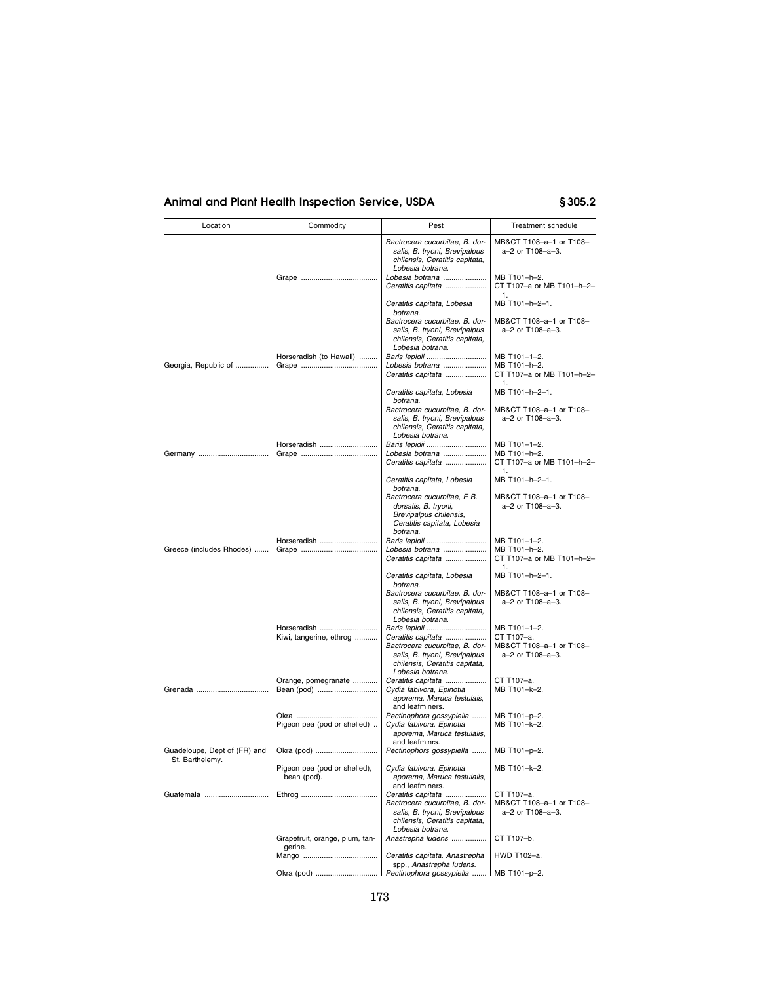| Location                                        | Commodity                                   | Pest                                                                                                                                        | Treatment schedule                                          |
|-------------------------------------------------|---------------------------------------------|---------------------------------------------------------------------------------------------------------------------------------------------|-------------------------------------------------------------|
|                                                 |                                             | Bactrocera cucurbitae, B. dor-<br>salis, B. tryoni, Brevipalpus<br>chilensis, Ceratitis capitata,<br>Lobesia botrana.                       | MB&CT T108-a-1 or T108-<br>a-2 or T108-a-3.                 |
|                                                 |                                             | Lobesia botrana<br>Ceratitis capitata                                                                                                       | MB T101-h-2.<br>CT T107-a or MB T101-h-2-<br>1.             |
|                                                 |                                             | Ceratitis capitata, Lobesia<br>botrana.                                                                                                     | MB T101-h-2-1.                                              |
|                                                 | Horseradish (to Hawaii)                     | Bactrocera cucurbitae, B. dor-<br>salis, B. tryoni, Brevipalpus<br>chilensis, Ceratitis capitata,<br>Lobesia botrana.<br>Baris lepidii      | MB&CT T108-a-1 or T108-<br>a-2 or T108-a-3.<br>MB T101-1-2. |
| Georgia, Republic of                            |                                             | Lobesia botrana<br>Ceratitis capitata                                                                                                       | MB T101-h-2.<br>CT T107-a or MB T101-h-2-<br>1.             |
|                                                 |                                             | Ceratitis capitata, Lobesia<br>botrana.                                                                                                     | MB T101-h-2-1.                                              |
|                                                 |                                             | Bactrocera cucurbitae, B. dor-<br>salis, B. tryoni, Brevipalpus<br>chilensis, Ceratitis capitata,<br>Lobesia botrana.                       | MB&CT T108-a-1 or T108-<br>a-2 or T108-a-3.                 |
|                                                 | Horseradish                                 | Baris lepidii                                                                                                                               | MB T101-1-2.                                                |
|                                                 |                                             | Lobesia botrana<br>Ceratitis capitata                                                                                                       | MB T101-h-2.<br>CT T107-a or MB T101-h-2-<br>1.             |
|                                                 |                                             | Ceratitis capitata, Lobesia<br>botrana.                                                                                                     | MB T101-h-2-1.                                              |
|                                                 |                                             | Bactrocera cucurbitae, E B.<br>dorsalis, B. tryoni,<br>Brevipalpus chilensis,<br>Ceratitis capitata, Lobesia<br>botrana.                    | MB&CT T108-a-1 or T108-<br>a-2 or T108-a-3.                 |
|                                                 | Horseradish                                 | Baris lepidii                                                                                                                               | MB T101-1-2.                                                |
| Greece (includes Rhodes)                        |                                             | Lobesia botrana<br>Ceratitis capitata                                                                                                       | MB T101-h-2.<br>CT T107-a or MB T101-h-2-<br>1.             |
|                                                 |                                             | Ceratitis capitata, Lobesia<br>botrana.                                                                                                     | MB T101-h-2-1.                                              |
|                                                 |                                             | Bactrocera cucurbitae, B. dor-<br>salis, B. tryoni, Brevipalpus<br>chilensis, Ceratitis capitata,<br>Lobesia botrana.                       | MB&CT T108-a-1 or T108-<br>a-2 or T108-a-3.                 |
|                                                 | Horseradish                                 | Baris lepidii                                                                                                                               | MB T101-1-2.                                                |
|                                                 | Kiwi, tangerine, ethrog                     | Ceratitis capitata<br>Bactrocera cucurbitae, B. dor-<br>salis, B. tryoni, Brevipalpus<br>chilensis, Ceratitis capitata,<br>Lobesia botrana. | CT T107-a.<br>MB&CT T108-a-1 or T108-<br>a-2 or T108-a-3.   |
|                                                 | Orange, pomegranate<br>Bean (pod)           | Ceratitis capitata<br>Cydia fabivora, Epinotia<br>aporema, Maruca testulais,                                                                | CT T107-a.<br>MB T101-k-2.                                  |
|                                                 |                                             | and leafminers.                                                                                                                             |                                                             |
|                                                 | Pigeon pea (pod or shelled)                 | Pectinophora gossypiella<br>Cydia fabivora, Epinotia<br>aporema, Maruca testulalis,                                                         | MB T101-p-2.<br>MB T101-k-2.                                |
| Guadeloupe, Dept of (FR) and<br>St. Barthelemy. | Okra (pod)                                  | and leafminrs.<br>Pectinophors gossypiella                                                                                                  | MB T101-p-2.                                                |
|                                                 | Pigeon pea (pod or shelled),<br>bean (pod). | Cydia fabivora, Epinotia<br>aporema, Maruca testulalis,<br>and leafminers.                                                                  | MB T101-k-2.                                                |
| Guatemala                                       |                                             | Ceratitis capitata<br>Bactrocera cucurbitae, B. dor-<br>salis, B. tryoni, Brevipalpus<br>chilensis, Ceratitis capitata,<br>Lobesia botrana. | CT T107-a.<br>MB&CT T108-a-1 or T108-<br>a-2 or T108-a-3.   |
|                                                 | Grapefruit, orange, plum, tan-<br>gerine.   | Anastrepha ludens                                                                                                                           | CT T107-b.                                                  |
|                                                 |                                             | Ceratitis capitata, Anastrepha<br>spp., Anastrepha ludens.                                                                                  | HWD T102-a.                                                 |
|                                                 |                                             | Pectinophora gossypiella                                                                                                                    | MB T101-p-2.                                                |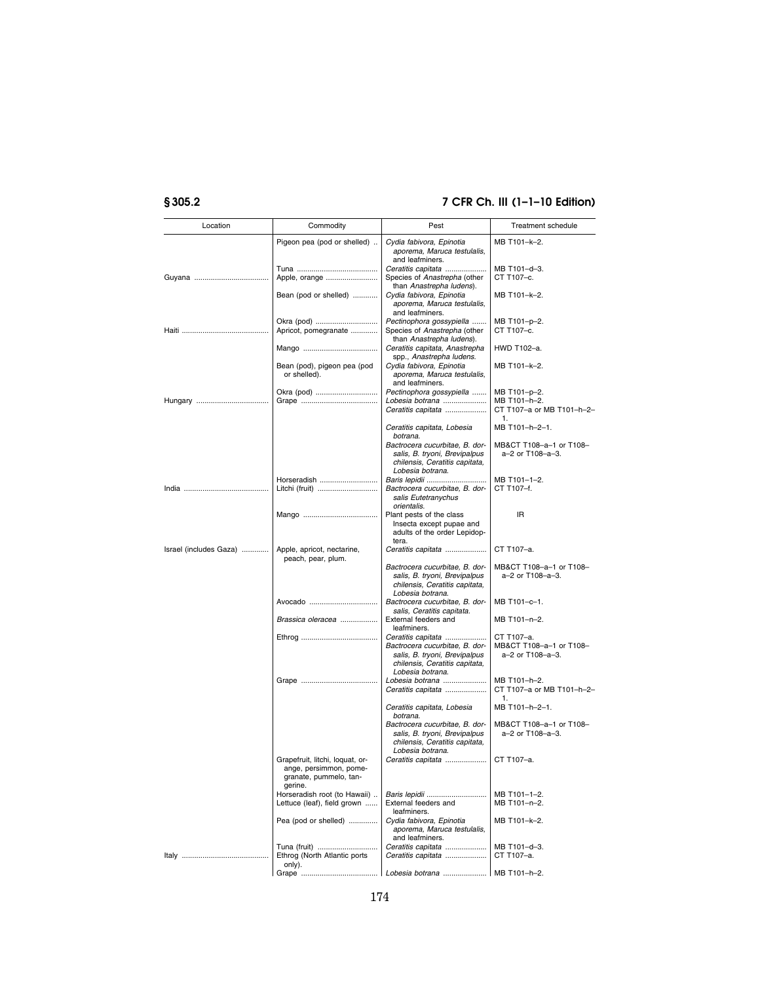| Location               | Commodity                                                                           | Pest                                                                                                                                        | Treatment schedule                                        |
|------------------------|-------------------------------------------------------------------------------------|---------------------------------------------------------------------------------------------------------------------------------------------|-----------------------------------------------------------|
|                        | Pigeon pea (pod or shelled)                                                         | Cydia fabivora, Epinotia<br>aporema, Maruca testulalis,                                                                                     | MB T101-k-2.                                              |
|                        | Apple, orange                                                                       | and leafminers.<br>Ceratitis capitata<br>Species of Anastrepha (other                                                                       | MB T101-d-3.<br>CT T107-c.                                |
|                        | Bean (pod or shelled)                                                               | than Anastrepha ludens).<br>Cydia fabivora, Epinotia<br>aporema, Maruca testulalis,                                                         | MB T101-k-2.                                              |
|                        | Okra (pod)                                                                          | and leafminers.<br>Pectinophora gossypiella                                                                                                 | MB T101-p-2.                                              |
|                        | Apricot, pomegranate                                                                | Species of Anastrepha (other<br>than Anastrepha ludens).                                                                                    | CT T107-c.                                                |
|                        |                                                                                     | Ceratitis capitata, Anastrepha<br>spp., Anastrepha ludens.                                                                                  | HWD T102-a.                                               |
|                        | Bean (pod), pigeon pea (pod<br>or shelled).                                         | Cydia fabivora, Epinotia<br>aporema, Maruca testulalis,<br>and leafminers.                                                                  | MB T101-k-2.                                              |
|                        | Okra (pod)                                                                          | Pectinophora gossypiella                                                                                                                    | MB T101-p-2.                                              |
|                        |                                                                                     | Lobesia botrana<br>Ceratitis capitata                                                                                                       | MB T101-h-2.<br>CT T107-a or MB T101-h-2-<br>1.           |
|                        |                                                                                     | Ceratitis capitata, Lobesia<br>botrana.                                                                                                     | MB T101-h-2-1.                                            |
|                        |                                                                                     | Bactrocera cucurbitae, B. dor-<br>salis, B. tryoni, Brevipalpus<br>chilensis, Ceratitis capitata,<br>Lobesia botrana.                       | MB&CT T108-a-1 or T108-<br>a-2 or T108-a-3.               |
|                        | Horseradish                                                                         | Baris lepidii<br>Bactrocera cucurbitae, B. dor-<br>salis Eutetranychus                                                                      | MB T101-1-2.<br>CT T107-f.                                |
|                        |                                                                                     | orientalis.<br>Plant pests of the class<br>Insecta except pupae and<br>adults of the order Lepidop-                                         | ΙR                                                        |
| Israel (includes Gaza) | Apple, apricot, nectarine,                                                          | tera.<br>Ceratitis capitata                                                                                                                 | CT T107-a.                                                |
|                        | peach, pear, plum.                                                                  | Bactrocera cucurbitae. B. dor-<br>salis, B. tryoni, Brevipalpus<br>chilensis, Ceratitis capitata,                                           | MB&CT T108-a-1 or T108-<br>a-2 or T108-a-3.               |
|                        | Avocado                                                                             | Lobesia botrana.<br>Bactrocera cucurbitae, B. dor-<br>salis, Ceratitis capitata.                                                            | MB T101-c-1.                                              |
|                        | Brassica oleracea                                                                   | External feeders and<br>leafminers.                                                                                                         | MB T101-n-2.                                              |
|                        |                                                                                     | Ceratitis capitata<br>Bactrocera cucurbitae, B. dor-<br>salis, B. tryoni, Brevipalpus<br>chilensis, Ceratitis capitata,<br>Lobesia botrana. | CT T107-a.<br>MB&CT T108-a-1 or T108-<br>a-2 or T108-a-3. |
|                        |                                                                                     | Lobesia botrana<br>Ceratitis capitata                                                                                                       | MB T101-h-2.<br>CT T107-a or MB T101-h-2-<br>1.           |
|                        |                                                                                     | Ceratitis capitata, Lobesia<br>botrana.                                                                                                     | MB T101-h-2-1.                                            |
|                        |                                                                                     | Bactrocera cucurbitae, B. dor-<br>salis, B. tryoni, Brevipalpus<br>chilensis, Ceratitis capitata,                                           | MB&CT T108-a-1 or T108-<br>a-2 or T108-a-3.               |
|                        | Grapefruit, litchi, loquat, or-<br>ange, persimmon, pome-<br>granate, pummelo, tan- | Lobesia botrana.<br>Ceratitis capitata                                                                                                      | CT T107-a.                                                |
|                        | gerine.<br>Horseradish root (to Hawaii)<br>Lettuce (leaf), field grown              | Baris lepidii<br>External feeders and<br>leafminers.                                                                                        | MB T101-1-2.<br>MB T101-n-2.                              |
|                        | Pea (pod or shelled)                                                                | Cydia fabivora, Epinotia<br>aporema, Maruca testulalis,<br>and leafminers.                                                                  | MB T101-k-2.                                              |
|                        | Tuna (fruit)<br>Ethrog (North Atlantic ports<br>only).                              | Ceratitis capitata<br>Ceratitis capitata                                                                                                    | MB T101-d-3.<br>CT T107-a.                                |
|                        |                                                                                     |                                                                                                                                             | MB T101-h-2.                                              |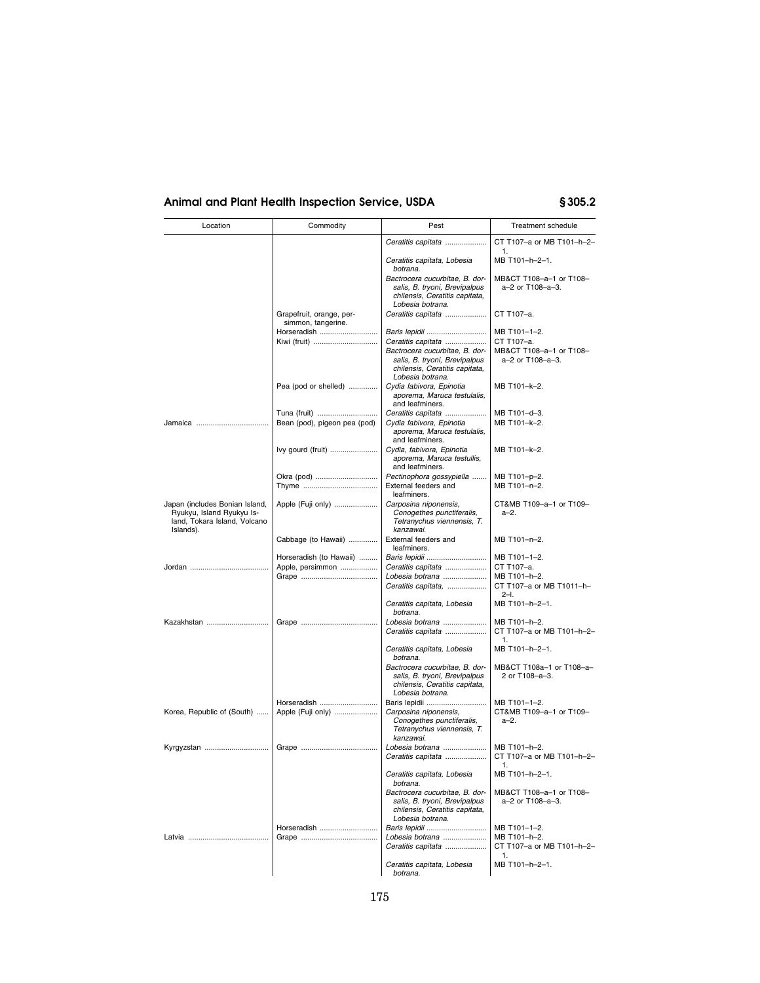| Location                                                                                                 | Commodity                                      | Pest                                                                                                                                        | <b>Treatment schedule</b>                                 |
|----------------------------------------------------------------------------------------------------------|------------------------------------------------|---------------------------------------------------------------------------------------------------------------------------------------------|-----------------------------------------------------------|
|                                                                                                          |                                                | Ceratitis capitata                                                                                                                          | CT T107-a or MB T101-h-2-                                 |
|                                                                                                          |                                                | Ceratitis capitata, Lobesia<br>botrana.                                                                                                     | 1.<br>MB T101-h-2-1.                                      |
|                                                                                                          |                                                | Bactrocera cucurbitae, B. dor-<br>salis, B. tryoni, Brevipalpus<br>chilensis, Ceratitis capitata,<br>Lobesia botrana.                       | MB&CT T108-a-1 or T108-<br>a-2 or T108-a-3.               |
|                                                                                                          | Grapefruit, orange, per-<br>simmon, tangerine. | Ceratitis capitata                                                                                                                          | CT T107-a.                                                |
|                                                                                                          | Horseradish                                    | Baris lepidii                                                                                                                               | MB T101-1-2.                                              |
|                                                                                                          | Kiwi (fruit)                                   | Ceratitis capitata<br>Bactrocera cucurbitae, B. dor-<br>salis, B. tryoni, Brevipalpus<br>chilensis, Ceratitis capitata,<br>Lobesia botrana. | CT T107-a.<br>MB&CT T108-a-1 or T108-<br>a-2 or T108-a-3. |
|                                                                                                          | Pea (pod or shelled)                           | Cydia fabivora, Epinotia<br>aporema, Maruca testulalis,<br>and leafminers.                                                                  | MB T101-k-2.                                              |
|                                                                                                          | Tuna (fruit)                                   | Ceratitis capitata                                                                                                                          | MB T101-d-3.                                              |
|                                                                                                          | Bean (pod), pigeon pea (pod)                   | Cydia fabivora, Epinotia<br>aporema, Maruca testulalis,<br>and leafminers.                                                                  | MB T101-k-2.                                              |
|                                                                                                          | lvy gourd (fruit)                              | Cydia, fabivora, Epinotia<br>aporema, Maruca testullis,<br>and leafminers.                                                                  | MB T101-k-2.                                              |
|                                                                                                          | Okra (pod)                                     | Pectinophora gossypiella                                                                                                                    | MB T101-p-2.                                              |
|                                                                                                          |                                                | External feeders and<br>leafminers.                                                                                                         | MB T101-n-2.                                              |
| Japan (includes Bonian Island,<br>Ryukyu, Island Ryukyu Is-<br>land, Tokara Island, Volcano<br>Islands). | Apple (Fuji only)                              | Carposina niponensis,<br>Conogethes punctiferalis,<br>Tetranychus viennensis, T.<br>kanzawai.                                               | CT&MB T109-a-1 or T109-<br>a-2.                           |
|                                                                                                          | Cabbage (to Hawaii)                            | External feeders and<br>leafminers.                                                                                                         | MB T101-n-2.                                              |
|                                                                                                          | Horseradish (to Hawaii)                        | Baris lepidii                                                                                                                               | MB T101-1-2.                                              |
|                                                                                                          | Apple, persimmon                               | Ceratitis capitata<br>Lobesia botrana                                                                                                       | CT T107-a.<br>MB T101-h-2.                                |
|                                                                                                          |                                                | Ceratitis capitata,                                                                                                                         | CT T107-a or MB T1011-h-<br>$2 - 1$ .                     |
|                                                                                                          |                                                | Ceratitis capitata, Lobesia<br>botrana.                                                                                                     | MB T101-h-2-1.                                            |
| Kazakhstan                                                                                               |                                                | Lobesia botrana                                                                                                                             | MB T101-h-2.                                              |
|                                                                                                          |                                                | Ceratitis capitata                                                                                                                          | CT T107-a or MB T101-h-2-<br>1.                           |
|                                                                                                          |                                                | Ceratitis capitata, Lobesia<br>botrana.                                                                                                     | MB T101-h-2-1.                                            |
|                                                                                                          |                                                | Bactrocera cucurbitae, B. dor-<br>salis, B. tryoni, Brevipalpus<br>chilensis, Ceratitis capitata,<br>Lobesia botrana.                       | MB&CT T108a-1 or T108-a-<br>2 or T108-a-3.                |
|                                                                                                          | Horseradish                                    | Baris lepidii                                                                                                                               | MB T101-1-2.                                              |
| Korea, Republic of (South)                                                                               | Apple (Fuji only)                              | Carposina niponensis,<br>Conogethes punctiferalis,<br>Tetranychus viennensis, T.<br>kanzawai.                                               | CT&MB T109-a-1 or T109-<br>a-2.                           |
|                                                                                                          |                                                | Lobesia botrana<br>Ceratitis capitata                                                                                                       | MB T101-h-2.<br>CT T107-a or MB T101-h-2-                 |
|                                                                                                          |                                                | Ceratitis capitata, Lobesia<br>botrana.                                                                                                     | 1.<br>MB T101-h-2-1.                                      |
|                                                                                                          |                                                | Bactrocera cucurbitae, B. dor-<br>salis, B. tryoni, Brevipalpus<br>chilensis, Ceratitis capitata,<br>Lobesia botrana.                       | MB&CT T108-a-1 or T108-<br>a-2 or T108-a-3.               |
|                                                                                                          | Horseradish                                    | Baris lepidii                                                                                                                               | MB T101-1-2.                                              |
|                                                                                                          |                                                | Lobesia botrana<br>Ceratitis capitata                                                                                                       | MB T101-h-2.<br>CT T107-a or MB T101-h-2-                 |
|                                                                                                          |                                                | Ceratitis capitata, Lobesia<br>botrana.                                                                                                     | 1.<br>MB T101-h-2-1.                                      |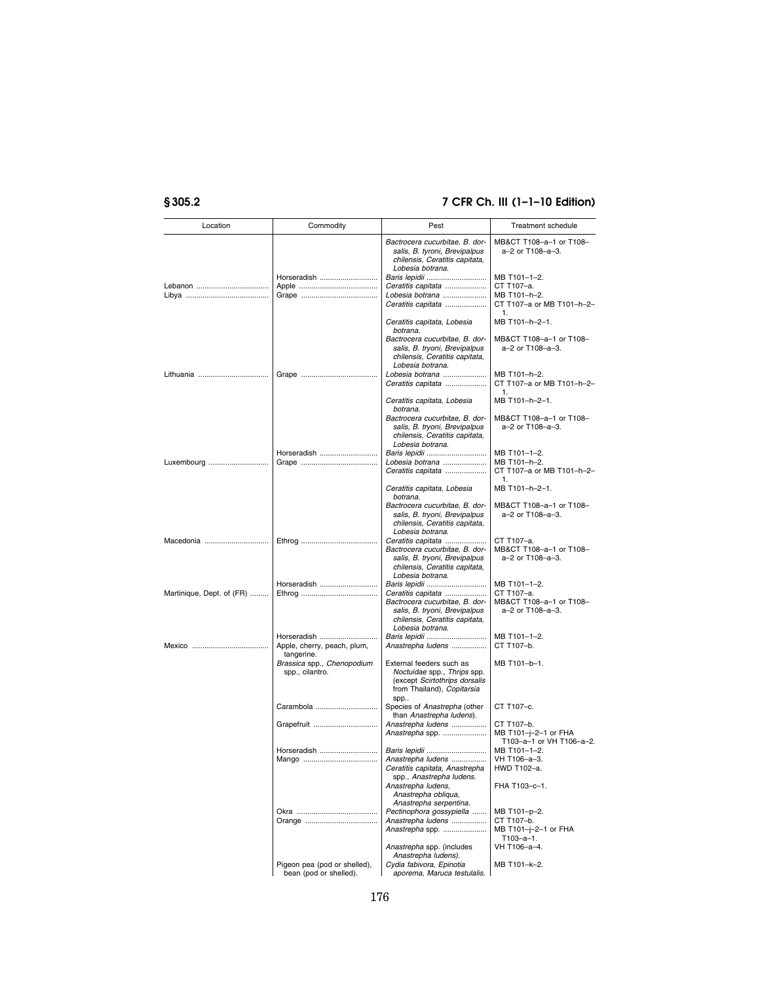| Location                  | Commodity                                              | Pest                                                                                                                                        | <b>Treatment schedule</b>                                      |
|---------------------------|--------------------------------------------------------|---------------------------------------------------------------------------------------------------------------------------------------------|----------------------------------------------------------------|
|                           |                                                        | Bactrocera cucurbitae, B. dor-<br>salis, B. tyroni, Brevipalpus<br>chilensis, Ceratitis capitata,<br>Lobesia botrana.                       | MB&CT T108-a-1 or T108-<br>a-2 or T108-a-3.                    |
|                           | Horseradish                                            | Baris lepidii                                                                                                                               | MB T101-1-2.                                                   |
|                           |                                                        | Ceratitis capitata                                                                                                                          | CT T107-a.                                                     |
|                           |                                                        | Lobesia botrana                                                                                                                             | MB T101-h-2.                                                   |
|                           |                                                        | Ceratitis capitata                                                                                                                          | CT T107-a or MB T101-h-2-<br>1.                                |
|                           |                                                        | Ceratitis capitata, Lobesia<br>botrana.                                                                                                     | MB T101-h-2-1.                                                 |
|                           |                                                        | Bactrocera cucurbitae, B. dor-<br>salis, B. tryoni, Brevipalpus<br>chilensis, Ceratitis capitata,<br>Lobesia botrana.                       | MB&CT T108-a-1 or T108-<br>a-2 or T108-a-3.                    |
| Lithuania                 |                                                        | Lobesia botrana<br>Ceratitis capitata                                                                                                       | MB T101-h-2.<br>CT T107-a or MB T101-h-2-<br>1.                |
|                           |                                                        | Ceratitis capitata, Lobesia<br>botrana.                                                                                                     | MB T101-h-2-1.                                                 |
|                           |                                                        | Bactrocera cucurbitae, B. dor-<br>salis, B. tryoni, Brevipalpus<br>chilensis, Ceratitis capitata,<br>Lobesia botrana.                       | MB&CT T108-a-1 or T108-<br>a-2 or T108-a-3.                    |
|                           | Horseradish                                            | Baris lepidii                                                                                                                               | MB T101-1-2.                                                   |
| Luxembourg                |                                                        | Lobesia botrana                                                                                                                             | MB T101-h-2.                                                   |
|                           |                                                        | Ceratitis capitata                                                                                                                          | CT T107-a or MB T101-h-2-<br>1.                                |
|                           |                                                        | Ceratitis capitata, Lobesia<br>botrana.                                                                                                     | MB T101-h-2-1.                                                 |
|                           |                                                        | Bactrocera cucurbitae. B. dor-<br>salis, B. tryoni, Brevipalpus<br>chilensis, Ceratitis capitata,<br>Lobesia botrana.                       | MB&CT T108-a-1 or T108-<br>a-2 or T108-a-3.                    |
| Macedonia                 |                                                        | Ceratitis capitata                                                                                                                          | CT T107-a.                                                     |
|                           |                                                        | Bactrocera cucurbitae, B. dor-<br>salis, B. tryoni, Brevipalpus<br>chilensis, Ceratitis capitata,<br>Lobesia botrana.                       | MB&CT T108-a-1 or T108-<br>a-2 or T108-a-3.                    |
|                           | Horseradish                                            | Baris lepidii                                                                                                                               | MB T101-1-2.                                                   |
| Martinique, Dept. of (FR) |                                                        | Ceratitis capitata<br>Bactrocera cucurbitae, B. dor-<br>salis, B. tryoni, Brevipalpus<br>chilensis, Ceratitis capitata,<br>Lobesia botrana. | CT T107-a.<br>MB&CT T108-a-1 or T108-<br>a-2 or T108-a-3.      |
|                           | Horseradish                                            | Baris lepidii                                                                                                                               | MB T101-1-2.                                                   |
|                           | Apple, cherry, peach, plum,<br>tangerine.              | Anastrepha ludens                                                                                                                           | CT T107-b.                                                     |
|                           | Brassica spp., Chenopodium<br>spp., cilantro.          | External feeders such as<br>Noctuidae spp., Thrips spp.<br>(except Scirtothrips dorsalis<br>from Thailand), Copitarsia<br>spp               | MB T101-b-1.                                                   |
|                           | Carambola                                              | Species of Anastrepha (other<br>than Anastrepha ludens).                                                                                    | CT T107-c.                                                     |
|                           | Grapefruit                                             | Anastrepha ludens<br>Anastrepha spp.                                                                                                        | CT T107-b.<br>MB T101-j-2-1 or FHA<br>T103-a-1 or VH T106-a-2. |
|                           | Horseradish                                            | Baris lepidii<br>Anastrepha ludens<br>Ceratitis capitata, Anastrepha                                                                        | MB T101-1-2.<br>VH T106-a-3.<br>HWD T102-a.                    |
|                           |                                                        | spp., Anastrepha ludens.<br>Anastrepha ludens,<br>Anastrepha obliqua,<br>Anastrepha serpentina.                                             | FHA T103-c-1.                                                  |
|                           |                                                        | Pectinophora gossypiella                                                                                                                    | MB T101-p-2.                                                   |
|                           |                                                        | Anastrepha ludens                                                                                                                           | CT T107-b.                                                     |
|                           |                                                        | Anastrepha spp.                                                                                                                             | MB T101-j-2-1 or FHA<br>T103-a-1.                              |
|                           |                                                        | Anastrepha spp. (includes<br>Anastrepha ludens).                                                                                            | VH T106-a-4.                                                   |
|                           | Pigeon pea (pod or shelled),<br>bean (pod or shelled). | Cydia fabivora, Epinotia<br>aporema, Maruca testulalis.                                                                                     | MB T101-k-2.                                                   |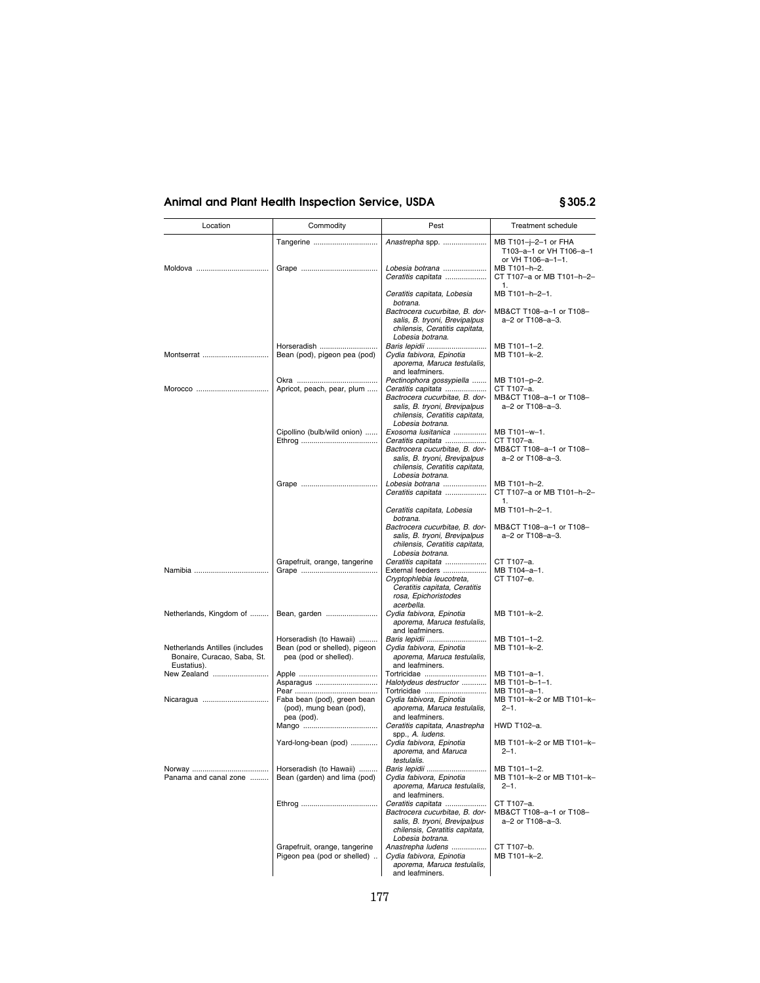| Location                                                                     | Commodity                                               | Pest                                                                                                                                        | Treatment schedule                                                   |
|------------------------------------------------------------------------------|---------------------------------------------------------|---------------------------------------------------------------------------------------------------------------------------------------------|----------------------------------------------------------------------|
|                                                                              | Tangerine                                               | Anastrepha spp.                                                                                                                             | MB T101-j-2-1 or FHA<br>T103-a-1 or VH T106-a-1<br>or VH T106-a-1-1. |
| Moldova                                                                      |                                                         | Lobesia botrana<br>Ceratitis capitata                                                                                                       | MB T101-h-2.<br>CT T107-a or MB T101-h-2-                            |
|                                                                              |                                                         | Ceratitis capitata, Lobesia<br>botrana.                                                                                                     | 1.<br>MB T101-h-2-1.                                                 |
|                                                                              |                                                         | Bactrocera cucurbitae, B. dor-<br>salis, B. tryoni, Brevipalpus<br>chilensis, Ceratitis capitata,<br>Lobesia botrana.                       | MB&CT T108-a-1 or T108-<br>a-2 or T108-a-3.                          |
|                                                                              | Horseradish                                             | Baris lepidii                                                                                                                               | MB T101-1-2.                                                         |
| Montserrat                                                                   | Bean (pod), pigeon pea (pod)                            | Cydia fabivora, Epinotia<br>aporema, Maruca testulalis,<br>and leafminers.                                                                  | MB T101-k-2.                                                         |
|                                                                              |                                                         | Pectinophora gossypiella                                                                                                                    | MB T101-p-2.                                                         |
|                                                                              | Apricot, peach, pear, plum                              | Ceratitis capitata<br>Bactrocera cucurbitae, B. dor-<br>salis, B. tryoni, Brevipalpus<br>chilensis, Ceratitis capitata,                     | CT T107-a.<br>MB&CT T108-a-1 or T108-<br>a-2 or T108-a-3.            |
|                                                                              |                                                         | Lobesia botrana.                                                                                                                            |                                                                      |
|                                                                              | Cipollino (bulb/wild onion)                             | Exosoma lusitanica<br>Ceratitis capitata                                                                                                    | MB T101-w-1.<br>CT T107-a.                                           |
|                                                                              |                                                         | Bactrocera cucurbitae, B. dor-                                                                                                              | MB&CT T108-a-1 or T108-                                              |
|                                                                              |                                                         | salis, B. tryoni, Brevipalpus<br>chilensis, Ceratitis capitata,<br>Lobesia botrana.                                                         | a-2 or T108-a-3.                                                     |
|                                                                              |                                                         | Lobesia botrana                                                                                                                             | MB T101-h-2.                                                         |
|                                                                              |                                                         | Ceratitis capitata                                                                                                                          | CT T107-a or MB T101-h-2-<br>1.                                      |
|                                                                              |                                                         | Ceratitis capitata, Lobesia<br>botrana.<br>Bactrocera cucurbitae, B. dor-                                                                   | MB T101-h-2-1.<br>MB&CT T108-a-1 or T108-                            |
|                                                                              |                                                         | salis, B. tryoni, Brevipalpus<br>chilensis, Ceratitis capitata,<br>Lobesia botrana.                                                         | a-2 or T108-a-3.                                                     |
|                                                                              | Grapefruit, orange, tangerine                           | Ceratitis capitata<br>External feeders                                                                                                      | CT T107-a.                                                           |
|                                                                              |                                                         | Cryptophlebia leucotreta,<br>Ceratitis capitata, Ceratitis<br>rosa, Epichoristodes<br>acerbella.                                            | MB T104-a-1.<br>CT T107-e.                                           |
| Netherlands, Kingdom of                                                      | Bean, garden                                            | Cydia fabivora, Epinotia<br>aporema, Maruca testulalis,<br>and leafminers.                                                                  | MB T101-k-2.                                                         |
|                                                                              | Horseradish (to Hawaii)                                 | Baris lepidii                                                                                                                               | MB T101-1-2.                                                         |
| Netherlands Antilles (includes<br>Bonaire, Curacao, Saba, St.<br>Eustatius). | Bean (pod or shelled), pigeon<br>pea (pod or shelled).  | Cydia fabivora, Epinotia<br>aporema, Maruca testulalis,<br>and leafminers.                                                                  | MB T101-k-2.                                                         |
| New Zealand                                                                  |                                                         | Tortricidae                                                                                                                                 | MB T101-a-1.                                                         |
|                                                                              | Asparagus                                               | Halotydeus destructor<br>Tortricidae                                                                                                        | MB T101-b-1-1.<br>MB T101-a-1.                                       |
| Nicaragua                                                                    | Faba bean (pod), green bean<br>(pod), mung bean (pod),  | Cydia fabivora, Epinotia<br>aporema, Maruca testulalis,                                                                                     | MB T101-k-2 or MB T101-k-<br>$2 - 1$ .                               |
|                                                                              | pea (pod).                                              | and leafminers.<br>Ceratitis capitata, Anastrepha<br>spp., A. ludens.                                                                       | HWD T102-a.                                                          |
|                                                                              | Yard-long-bean (pod)                                    | Cydia fabivora, Epinotia<br>aporema, and Maruca<br>testulalis.                                                                              | MB T101-k-2 or MB T101-k-<br>$2 - 1$ .                               |
| Norway<br>Panama and canal zone                                              | Horseradish (to Hawaii)<br>Bean (garden) and lima (pod) | Baris lepidii<br>Cydia fabivora, Epinotia<br>aporema, Maruca testulalis,<br>and leafminers.                                                 | MB T101-1-2<br>MB T101-k-2 or MB T101-k-<br>$2 - 1$ .                |
|                                                                              |                                                         | Ceratitis capitata<br>Bactrocera cucurbitae, B. dor-<br>salis, B. tryoni, Brevipalpus<br>chilensis, Ceratitis capitata,<br>Lobesia botrana. | CT T107-a.<br>MB&CT T108-a-1 or T108-<br>a-2 or T108-a-3.            |
|                                                                              | Grapefruit, orange, tangerine                           | Anastrepha ludens                                                                                                                           | CT T107-b.                                                           |
|                                                                              | Pigeon pea (pod or shelled)                             | Cydia fabivora, Epinotia<br>aporema, Maruca testulalis,<br>and leafminers.                                                                  | MB T101-k-2.                                                         |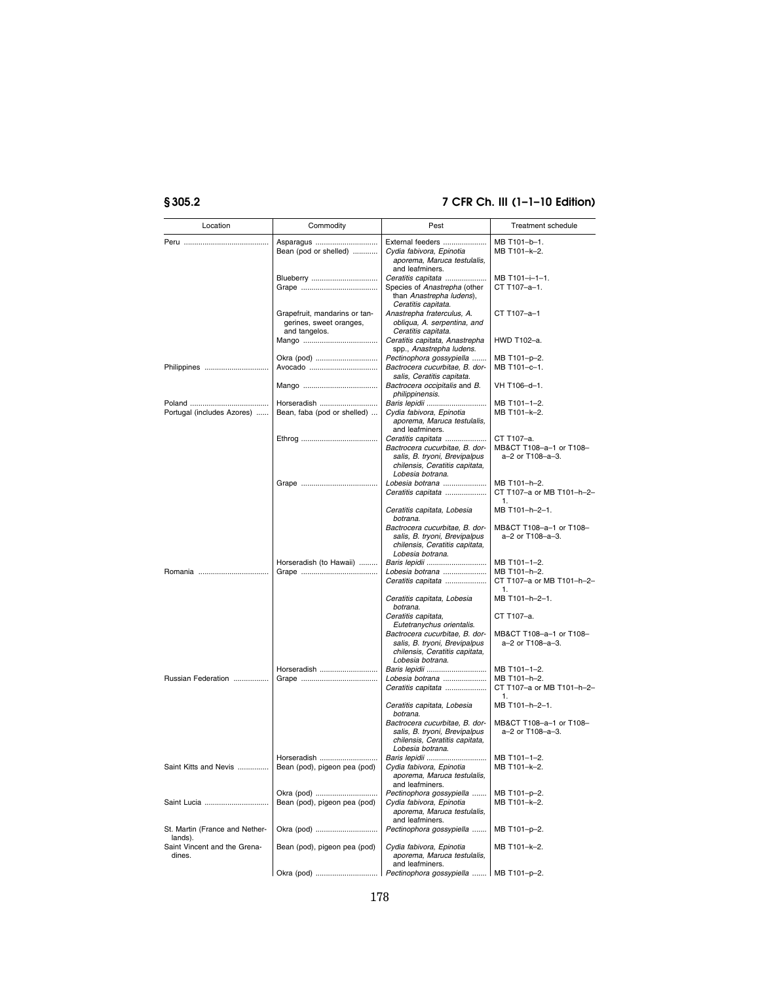| Location                                  | Commodity                                                                 | Pest                                                                                                                  | <b>Treatment schedule</b>                       |
|-------------------------------------------|---------------------------------------------------------------------------|-----------------------------------------------------------------------------------------------------------------------|-------------------------------------------------|
|                                           | Asparagus                                                                 | External feeders                                                                                                      | MB T101-b-1.                                    |
|                                           | Bean (pod or shelled)                                                     | Cvdia fabivora. Epinotia<br>aporema, Maruca testulalis,<br>and leafminers.                                            | MB T101-k-2.                                    |
|                                           | Blueberry                                                                 | Ceratitis capitata                                                                                                    | MB T101-i-1-1.                                  |
|                                           |                                                                           | Species of Anastrepha (other<br>than Anastrepha ludens),<br>Ceratitis capitata.                                       | CT T107-a-1.                                    |
|                                           | Grapefruit, mandarins or tan-<br>gerines, sweet oranges,<br>and tangelos. | Anastrepha fraterculus, A.<br>obliqua, A. serpentina, and<br>Ceratitis capitata.                                      | CT T107-a-1                                     |
|                                           |                                                                           | Ceratitis capitata, Anastrepha<br>spp., Anastrepha ludens.                                                            | HWD T102-a.                                     |
| Philippines                               | Okra (pod)<br>Avocado                                                     | Pectinophora gossypiella<br>Bactrocera cucurbitae, B. dor-<br>salis, Ceratitis capitata.                              | MB T101-p-2.<br>MB T101-c-1.                    |
|                                           |                                                                           | Bactrocera occipitalis and B.<br>philippinensis.                                                                      | VH T106-d-1.                                    |
|                                           | Horseradish                                                               | Baris lepidii                                                                                                         | MB T101-1-2.                                    |
| Portugal (includes Azores)                | Bean, faba (pod or shelled)                                               | Cydia fabivora, Epinotia<br>aporema, Maruca testulalis,<br>and leafminers.                                            | MB T101-k-2.                                    |
|                                           |                                                                           | Ceratitis capitata                                                                                                    | CT T107-a.                                      |
|                                           |                                                                           | Bactrocera cucurbitae, B. dor-<br>salis, B. tryoni, Brevipalpus<br>chilensis, Ceratitis capitata,<br>Lobesia botrana. | MB&CT T108-a-1 or T108-<br>a-2 or T108-a-3.     |
|                                           |                                                                           | Lobesia botrana<br>Ceratitis capitata                                                                                 | MB T101-h-2.<br>CT T107-a or MB T101-h-2-<br>1. |
|                                           |                                                                           | Ceratitis capitata, Lobesia<br>botrana.                                                                               | MB T101-h-2-1.                                  |
|                                           |                                                                           | Bactrocera cucurbitae, B. dor-<br>salis, B. tryoni, Brevipalpus<br>chilensis, Ceratitis capitata,<br>Lobesia botrana. | MB&CT T108-a-1 or T108-<br>a-2 or T108-a-3.     |
|                                           | Horseradish (to Hawaii)                                                   | Baris lepidii                                                                                                         | MB T101-1-2.                                    |
|                                           |                                                                           | Lobesia botrana                                                                                                       | MB T101-h-2.                                    |
|                                           |                                                                           | Ceratitis capitata                                                                                                    | CT T107-a or MB T101-h-2-<br>1.                 |
|                                           |                                                                           | Ceratitis capitata, Lobesia<br>botrana.<br>Ceratitis capitata,                                                        | MB T101-h-2-1.<br>CT T107-a.                    |
|                                           |                                                                           | Eutetranychus orientalis.                                                                                             |                                                 |
|                                           |                                                                           | Bactrocera cucurbitae, B. dor-<br>salis, B. tryoni, Brevipalpus<br>chilensis, Ceratitis capitata,<br>Lobesia botrana. | MB&CT T108-a-1 or T108-<br>a-2 or T108-a-3.     |
|                                           | Horseradish                                                               | Baris lepidii                                                                                                         | MB T101-1-2.                                    |
| Russian Federation                        |                                                                           | Lobesia botrana<br>Ceratitis capitata                                                                                 | MB T101-h-2.<br>CT T107-a or MB T101-h-2-<br>1. |
|                                           |                                                                           | Ceratitis capitata, Lobesia<br>botrana.                                                                               | MB T101-h-2-1.                                  |
|                                           |                                                                           | Bactrocera cucurbitae, B. dor-<br>salis, B. tryoni, Brevipalpus<br>chilensis, Ceratitis capitata,<br>Lobesia botrana. | MB&CT T108-a-1 or T108-<br>a-2 or T108-a-3.     |
|                                           | Horseradish                                                               | Baris lepidii                                                                                                         | MB T101-1-2.                                    |
| Saint Kitts and Nevis                     | Bean (pod), pigeon pea (pod)                                              | Cydia fabivora, Epinotia<br>aporema, Maruca testulalis,<br>and leafminers.                                            | MB T101-k-2.                                    |
| Saint Lucia                               | Bean (pod), pigeon pea (pod)                                              | Pectinophora gossypiella<br>Cydia fabivora, Epinotia<br>aporema, Maruca testulalis,                                   | MB T101-p-2.<br>MB T101-k-2.                    |
| St. Martin (France and Nether-<br>lands). |                                                                           | and leafminers.<br>Pectinophora gossypiella                                                                           | MB T101-p-2.                                    |
| Saint Vincent and the Grena-<br>dines.    | Bean (pod), pigeon pea (pod)                                              | Cydia fabivora, Epinotia<br>aporema, Maruca testulalis,<br>and leafminers.                                            | MB T101-k-2.                                    |
|                                           |                                                                           | Pectinophora gossypiella    MB T101-p-2.                                                                              |                                                 |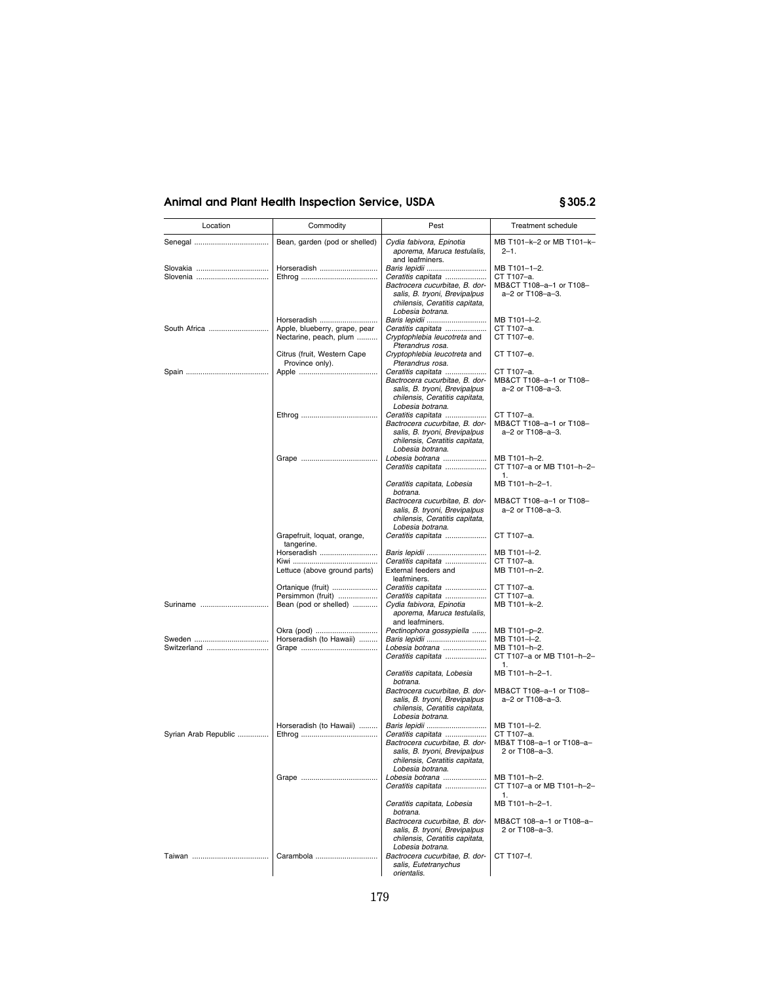| Location             | Commodity                                             | Pest                                                                                                                                                            | Treatment schedule                                                        |
|----------------------|-------------------------------------------------------|-----------------------------------------------------------------------------------------------------------------------------------------------------------------|---------------------------------------------------------------------------|
|                      | Bean, garden (pod or shelled)                         | Cydia fabivora, Epinotia<br>aporema, Maruca testulalis,                                                                                                         | MB T101-k-2 or MB T101-k-<br>$2 - 1$ .                                    |
|                      | Horseradish                                           | and leafminers.<br>Baris lepidii<br>Ceratitis capitata<br>Bactrocera cucurbitae, B. dor-<br>salis, B. tryoni, Brevipalpus<br>chilensis, Ceratitis capitata,     | MB T101-1-2.<br>CT T107-a.<br>MB&CT T108-a-1 or T108-<br>a-2 or T108-a-3. |
| South Africa         | Horseradish<br>Apple, blueberry, grape, pear          | Lobesia botrana.<br>Baris lepidii<br>Ceratitis capitata                                                                                                         | MB T101-I-2.<br>CT T107-a.                                                |
|                      | Nectarine, peach, plum<br>Citrus (fruit, Western Cape | Cryptophlebia leucotreta and<br>Pterandrus rosa.<br>Cryptophlebia leucotreta and                                                                                | CT T107-e.<br>CT T107-e.                                                  |
|                      | Province only).                                       | Pterandrus rosa.<br>Ceratitis capitata<br>Bactrocera cucurbitae, B. dor-<br>salis, B. tryoni, Brevipalpus<br>chilensis, Ceratitis capitata,<br>Lobesia botrana. | CT T107-a.<br>MB&CT T108-a-1 or T108-<br>a-2 or T108-a-3.                 |
|                      |                                                       | Ceratitis capitata<br>Bactrocera cucurbitae, B. dor-<br>salis, B. tryoni, Brevipalpus<br>chilensis, Ceratitis capitata,<br>Lobesia botrana.                     | CT T107-a.<br>MB&CT T108-a-1 or T108-<br>a-2 or T108-a-3.                 |
|                      |                                                       | Lobesia botrana<br>Ceratitis capitata                                                                                                                           | MB T101-h-2.<br>CT T107-a or MB T101-h-2-<br>1.                           |
|                      |                                                       | Ceratitis capitata, Lobesia<br>botrana.                                                                                                                         | MB T101-h-2-1.<br>MB&CT T108-a-1 or T108-                                 |
|                      |                                                       | Bactrocera cucurbitae, B. dor-<br>salis, B. tryoni, Brevipalpus<br>chilensis, Ceratitis capitata,<br>Lobesia botrana.                                           | a-2 or T108-a-3.                                                          |
|                      | Grapefruit, loquat, orange,<br>tangerine.             | Ceratitis capitata                                                                                                                                              | CT T107-a.                                                                |
|                      | Horseradish                                           | Baris lepidii<br>Ceratitis capitata                                                                                                                             | MB T101-I-2.<br>CT T107-a.                                                |
|                      | Lettuce (above ground parts)                          | External feeders and<br>leafminers.                                                                                                                             | MB T101-n-2.                                                              |
|                      | Ortanique (fruit)<br>Persimmon (fruit)                | Ceratitis capitata<br>Ceratitis capitata                                                                                                                        | CT T107-a.<br>CT T107-a.                                                  |
| Suriname             | Bean (pod or shelled)                                 | Cydia fabivora, Epinotia<br>aporema, Maruca testulalis,<br>and leafminers.                                                                                      | MB T101-k-2.                                                              |
|                      | Okra (pod)                                            | Pectinophora gossypiella                                                                                                                                        | MB T101-p-2.                                                              |
| Switzerland          | Horseradish (to Hawaii)                               | Baris lepidii<br>Lobesia botrana<br>Ceratitis capitata                                                                                                          | MB T101-I-2.<br>MB T101-h-2.<br>CT T107-a or MB T101-h-2-<br>1.           |
|                      |                                                       | Ceratitis capitata, Lobesia<br>botrana.                                                                                                                         | MB T101-h-2-1.                                                            |
|                      |                                                       | Bactrocera cucurbitae, B. dor-<br>salis, B. tryoni, Brevipalpus<br>chilensis, Ceratitis capitata,<br>Lobesia botrana.                                           | MB&CT T108-a-1 or T108-<br>a-2 or T108-a-3.                               |
|                      | Horseradish (to Hawaii)                               | Baris lepidii                                                                                                                                                   | MB T101-l-2.                                                              |
| Syrian Arab Republic |                                                       | Ceratitis capitata<br>Bactrocera cucurbitae, B. dor-<br>salis, B. tryoni, Brevipalpus<br>chilensis, Ceratitis capitata,<br>Lobesia botrana.                     | CT T107-a.<br>MB&T T108-a-1 or T108-a-<br>2 or T108-a-3.                  |
|                      |                                                       | Lobesia botrana<br>Ceratitis capitata                                                                                                                           | MB T101-h-2.<br>CT T107-a or MB T101-h-2-                                 |
|                      |                                                       | Ceratitis capitata, Lobesia<br>botrana.                                                                                                                         | 1.<br>MB T101-h-2-1.                                                      |
|                      |                                                       | Bactrocera cucurbitae, B. dor-<br>salis, B. tryoni, Brevipalpus<br>chilensis, Ceratitis capitata,<br>Lobesia botrana.                                           | MB&CT 108-a-1 or T108-a-<br>2 or T108-a-3.                                |
|                      | Carambola                                             | Bactrocera cucurbitae, B. dor-<br>salis, Eutetranychus<br>orientalis.                                                                                           | CT T107-f.                                                                |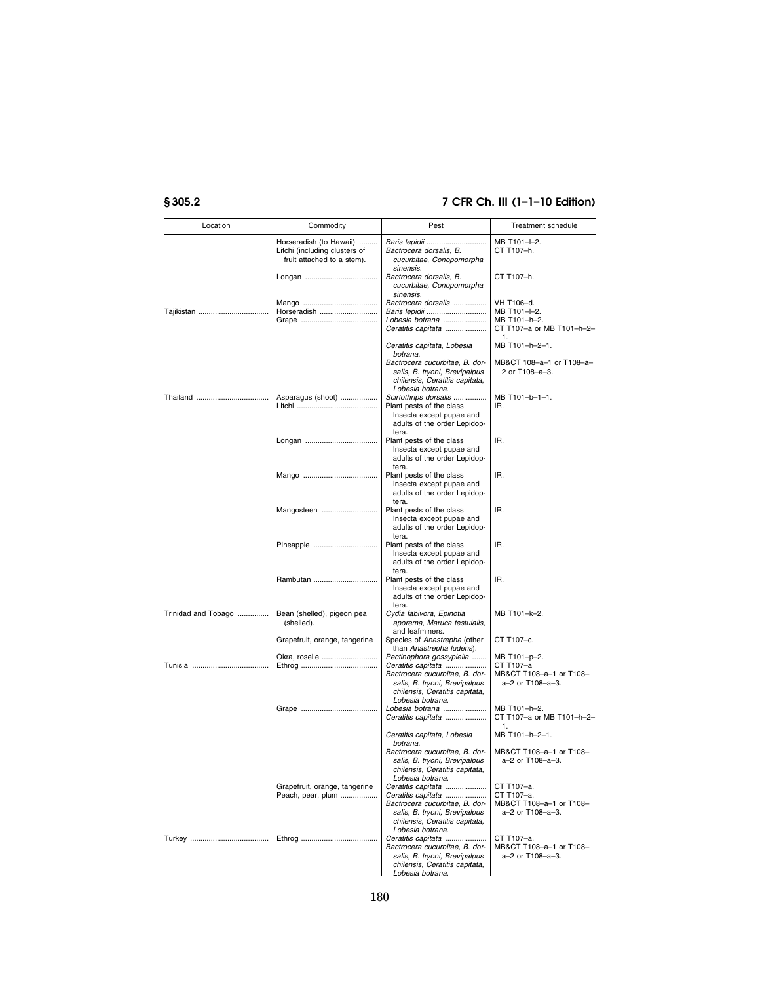| Location            | Commodity                                                                              | Pest                                                                                                                                                            | Treatment schedule                                                       |
|---------------------|----------------------------------------------------------------------------------------|-----------------------------------------------------------------------------------------------------------------------------------------------------------------|--------------------------------------------------------------------------|
|                     | Horseradish (to Hawaii)<br>Litchi (including clusters of<br>fruit attached to a stem). | Baris lepidii<br>Bactrocera dorsalis, B.<br>cucurbitae, Conopomorpha<br>sinensis.                                                                               | MB T101--2.<br>CT T107-h.                                                |
|                     |                                                                                        | Bactrocera dorsalis, B.<br>cucurbitae, Conopomorpha<br>sinensis.                                                                                                | CT T107-h.                                                               |
| Tajikistan          | Horseradish                                                                            | Bactrocera dorsalis<br>Lobesia botrana<br>Ceratitis capitata                                                                                                    | VH T106-d.<br>MB T101-I-2.<br>MB T101-h-2.<br>CT T107-a or MB T101-h-2-  |
|                     |                                                                                        | Ceratitis capitata, Lobesia<br>botrana.<br>Bactrocera cucurbitae, B. dor-                                                                                       | 1.<br>MB T101-h-2-1.<br>MB&CT 108-a-1 or T108-a-                         |
|                     |                                                                                        | salis, B. tryoni, Brevipalpus<br>chilensis, Ceratitis capitata,<br>Lobesia botrana.                                                                             | 2 or T108-a-3.                                                           |
| Thailand            | Asparagus (shoot)                                                                      | Scirtothrips dorsalis<br>Plant pests of the class<br>Insecta except pupae and<br>adults of the order Lepidop-<br>tera.                                          | MB T101-b-1-1.<br>IR.                                                    |
|                     |                                                                                        | Plant pests of the class<br>Insecta except pupae and<br>adults of the order Lepidop-                                                                            | IR.                                                                      |
|                     |                                                                                        | tera.<br>Plant pests of the class<br>Insecta except pupae and<br>adults of the order Lepidop-<br>tera.                                                          | IR.                                                                      |
|                     | Mangosteen                                                                             | Plant pests of the class<br>Insecta except pupae and<br>adults of the order Lepidop-<br>tera.                                                                   | IR.                                                                      |
|                     | Pineapple                                                                              | Plant pests of the class<br>Insecta except pupae and<br>adults of the order Lepidop-<br>tera.                                                                   | IR.                                                                      |
|                     | Rambutan                                                                               | Plant pests of the class<br>Insecta except pupae and<br>adults of the order Lepidop-<br>tera.                                                                   | IR.                                                                      |
| Trinidad and Tobago | Bean (shelled), pigeon pea<br>(shelled).                                               | Cydia fabivora, Epinotia<br>aporema, Maruca testulalis,<br>and leafminers.                                                                                      | MB T101-k-2.                                                             |
|                     | Grapefruit, orange, tangerine                                                          | Species of Anastrepha (other<br>than Anastrepha ludens).<br>Pectinophora gossypiella                                                                            | CT T107-c.                                                               |
|                     | Okra, roselle                                                                          | Ceratitis capitata<br>Bactrocera cucurbitae, B. dor-<br>salis, B. tryoni, Brevipalpus<br>chilensis, Ceratitis capitata,<br>Lobesia botrana.                     | MB T101-p-2.<br>CT T107-a<br>MB&CT T108-a-1 or T108-<br>a-2 or T108-a-3. |
|                     |                                                                                        | Lobesia botrana<br>Ceratitis capitata                                                                                                                           | MB T101-h-2.<br>CT T107-a or MB T101-h-2-<br>1.                          |
|                     |                                                                                        | Ceratitis capitata, Lobesia<br>botrana.<br>Bactrocera cucurbitae, B. dor-<br>salis, B. tryoni, Brevipalpus                                                      | MB T101-h-2-1.<br>MB&CT T108-a-1 or T108-<br>a-2 or T108-a-3.            |
|                     |                                                                                        | chilensis, Ceratitis capitata,<br>Lobesia botrana.                                                                                                              |                                                                          |
|                     | Grapefruit, orange, tangerine<br>Peach, pear, plum                                     | Ceratitis capitata<br>Ceratitis capitata<br>Bactrocera cucurbitae, B. dor-<br>salis, B. tryoni, Brevipalpus<br>chilensis, Ceratitis capitata,                   | CT T107-a.<br>CT T107-a.<br>MB&CT T108-a-1 or T108-<br>a-2 or T108-a-3.  |
|                     |                                                                                        | Lobesia botrana.<br>Ceratitis capitata<br>Bactrocera cucurbitae, B. dor-<br>salis, B. tryoni, Brevipalpus<br>chilensis, Ceratitis capitata,<br>Lobesia botrana. | CT T107-a.<br>MB&CT T108-a-1 or T108-<br>a-2 or T108-a-3.                |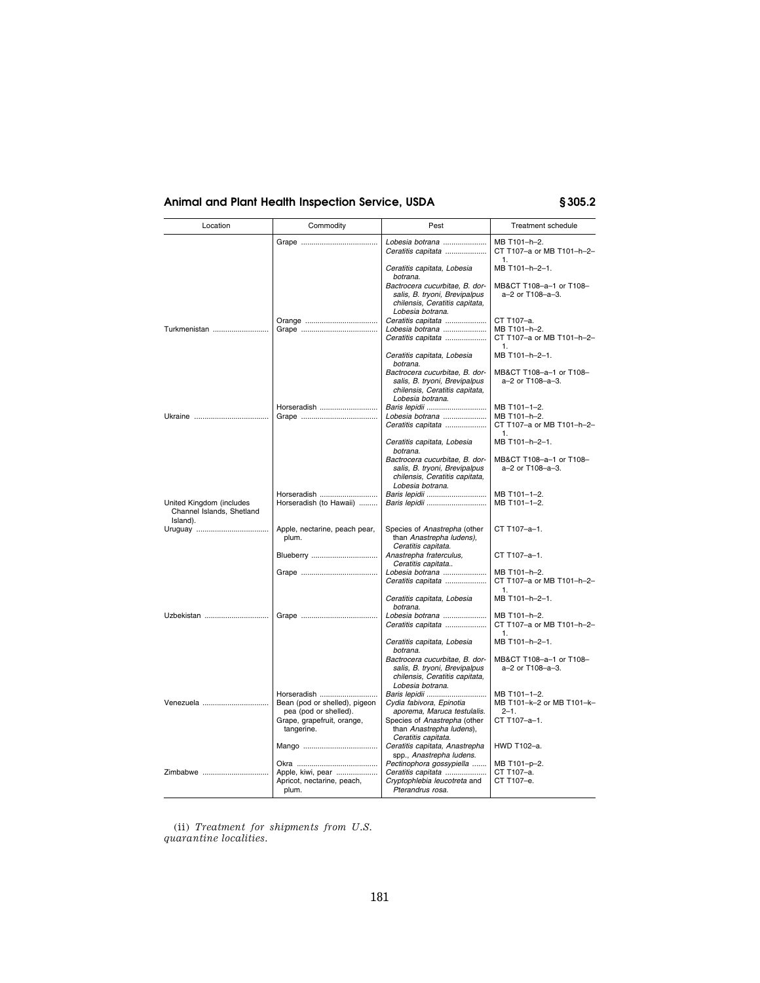| Location                                                          | Commodity                                                         | Pest                                                                                                                  | <b>Treatment schedule</b>                       |
|-------------------------------------------------------------------|-------------------------------------------------------------------|-----------------------------------------------------------------------------------------------------------------------|-------------------------------------------------|
|                                                                   |                                                                   | Lobesia botrana<br>Ceratitis capitata                                                                                 | MB T101-h-2.<br>CT T107-a or MB T101-h-2-<br>1. |
|                                                                   |                                                                   | Ceratitis capitata, Lobesia<br>botrana.                                                                               | MB T101-h-2-1.                                  |
|                                                                   |                                                                   | Bactrocera cucurbitae. B. dor-<br>salis, B. tryoni, Brevipalpus<br>chilensis, Ceratitis capitata,<br>Lobesia botrana. | MB&CT T108-a-1 or T108-<br>a-2 or T108-a-3.     |
|                                                                   |                                                                   | Ceratitis capitata                                                                                                    | CT T107-a.                                      |
| Turkmenistan                                                      |                                                                   | Lobesia botrana                                                                                                       | MB T101-h-2.<br>CT T107-a or MB T101-h-2-       |
|                                                                   |                                                                   | Ceratitis capitata                                                                                                    | $\mathbf{1}$                                    |
|                                                                   |                                                                   | Ceratitis capitata, Lobesia<br>botrana.                                                                               | MB T101-h-2-1.                                  |
|                                                                   |                                                                   | Bactrocera cucurbitae, B. dor-<br>salis, B. tryoni, Brevipalpus<br>chilensis, Ceratitis capitata,                     | MB&CT T108-a-1 or T108-<br>a-2 or T108-a-3.     |
|                                                                   | Horseradish                                                       | Lobesia botrana.<br>Baris lepidii                                                                                     | MB T101-1-2.                                    |
|                                                                   |                                                                   | Lobesia botrana                                                                                                       | MB T101-h-2.                                    |
|                                                                   |                                                                   | Ceratitis capitata                                                                                                    | CT T107-a or MB T101-h-2-<br>1                  |
|                                                                   |                                                                   | Ceratitis capitata, Lobesia<br>botrana.                                                                               | MB T101-h-2-1.                                  |
|                                                                   |                                                                   | Bactrocera cucurbitae, B. dor-<br>salis, B. tryoni, Brevipalpus<br>chilensis, Ceratitis capitata,<br>Lobesia botrana. | MB&CT T108-a-1 or T108-<br>a-2 or T108-a-3.     |
|                                                                   | Horseradish                                                       | Baris lepidii                                                                                                         | MB T101-1-2.                                    |
| United Kingdom (includes<br>Channel Islands, Shetland<br>Island). | Horseradish (to Hawaii)                                           | Baris lepidii                                                                                                         | MB T101-1-2.                                    |
|                                                                   | Apple, nectarine, peach pear,<br>plum.                            | Species of Anastrepha (other<br>than Anastrepha ludens),<br>Ceratitis capitata.                                       | CT T107-a-1.                                    |
|                                                                   | Blueberry                                                         | Anastrepha fraterculus,<br>Ceratitis capitata                                                                         | CT T107-a-1.                                    |
|                                                                   |                                                                   | Lobesia botrana<br>Ceratitis capitata                                                                                 | MB T101-h-2.<br>CT T107-a or MB T101-h-2-<br>1. |
|                                                                   |                                                                   | Ceratitis capitata, Lobesia<br>botrana.                                                                               | MB T101-h-2-1.                                  |
| Uzbekistan                                                        |                                                                   | Lobesia botrana                                                                                                       | MB T101-h-2.                                    |
|                                                                   |                                                                   | Ceratitis capitata                                                                                                    | CT T107-a or MB T101-h-2-<br>1.                 |
|                                                                   |                                                                   | Ceratitis capitata, Lobesia<br>botrana.                                                                               | MB T101-h-2-1.                                  |
|                                                                   |                                                                   | Bactrocera cucurbitae, B. dor-<br>salis, B. tryoni, Brevipalpus<br>chilensis, Ceratitis capitata,<br>Lobesia botrana. | MB&CT T108-a-1 or T108-<br>a-2 or T108-a-3.     |
|                                                                   | Horseradish                                                       | Baris lepidii                                                                                                         | MB T101-1-2.                                    |
| Venezuela                                                         | Bean (pod or shelled), pigeon                                     | Cydia fabivora, Epinotia                                                                                              | MB T101-k-2 or MB T101-k-                       |
|                                                                   | pea (pod or shelled).<br>Grape, grapefruit, orange,<br>tangerine. | aporema, Maruca testulalis.<br>Species of Anastrepha (other<br>than Anastrepha ludens),<br>Ceratitis capitata.        | $2 - 1$ .<br>CT T107-a-1.                       |
|                                                                   |                                                                   | Ceratitis capitata, Anastrepha<br>spp., Anastrepha ludens.                                                            | HWD T102-a.                                     |
|                                                                   |                                                                   | Pectinophora gossypiella                                                                                              | MB T101-p-2.                                    |
| Zimbabwe                                                          | Apple, kiwi, pear                                                 | Ceratitis capitata<br>Cryptophlebia leucotreta and                                                                    | CT T107-a.<br>CT T107-e.                        |
|                                                                   | Apricot, nectarine, peach,<br>plum.                               | Pterandrus rosa.                                                                                                      |                                                 |

(ii) *Treatment for shipments from U.S. quarantine localities.*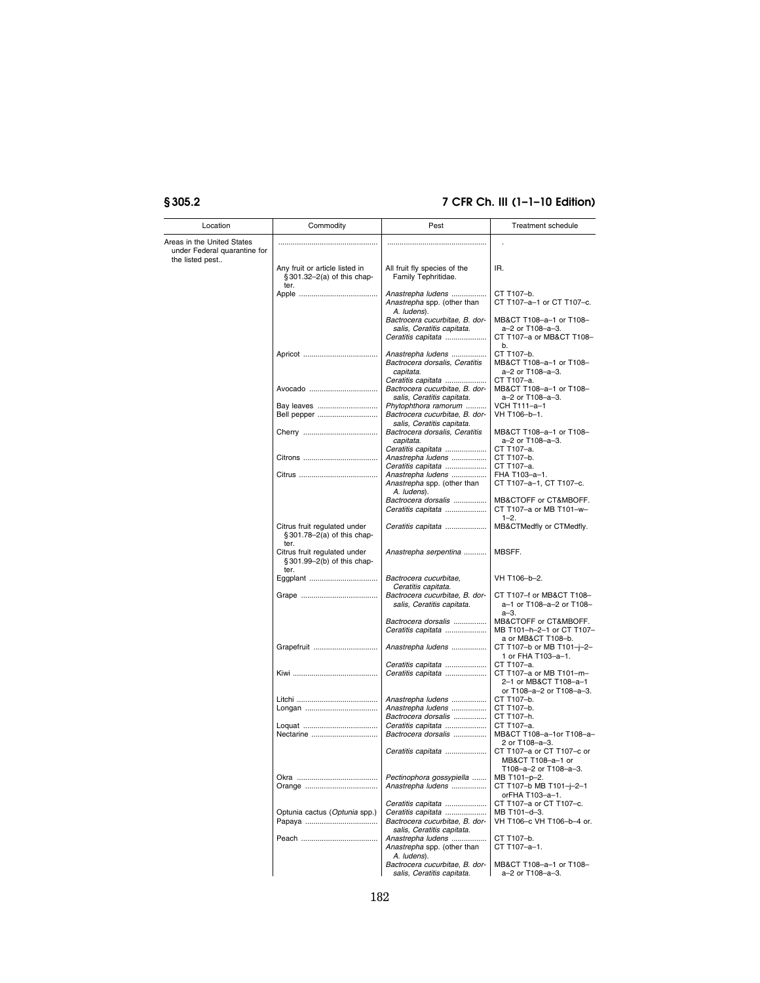| Location                                                                      | Commodity                                                           | Pest                                                                                              | <b>Treatment schedule</b>                                                                  |
|-------------------------------------------------------------------------------|---------------------------------------------------------------------|---------------------------------------------------------------------------------------------------|--------------------------------------------------------------------------------------------|
| Areas in the United States<br>under Federal quarantine for<br>the listed pest |                                                                     |                                                                                                   |                                                                                            |
|                                                                               | Any fruit or article listed in<br>§301.32-2(a) of this chap-        | All fruit fly species of the<br>Family Tephritidae.                                               | IR.                                                                                        |
|                                                                               | ter.                                                                | Anastrepha ludens<br>Anastrepha spp. (other than                                                  | CT T107-b.<br>CT T107-a-1 or CT T107-c.                                                    |
|                                                                               |                                                                     | A. ludens).<br>Bactrocera cucurbitae, B. dor-<br>salis, Ceratitis capitata.<br>Ceratitis capitata | MB&CT T108-a-1 or T108-<br>a-2 or T108-a-3.<br>CT T107-a or MB&CT T108-                    |
|                                                                               |                                                                     | Anastrepha ludens<br>Bactrocera dorsalis, Ceratitis<br>capitata.                                  | b.<br>CT T107-b.<br>MB&CT T108-a-1 or T108-<br>a-2 or T108-a-3.                            |
|                                                                               | Avocado                                                             | Ceratitis capitata<br>Bactrocera cucurbitae, B. dor-<br>salis, Ceratitis capitata.                | CT T107-a.<br>MB&CT T108-a-1 or T108-<br>a-2 or T108-a-3.                                  |
|                                                                               | Bay leaves<br>Bell pepper                                           | Phytophthora ramorum<br>Bactrocera cucurbitae, B. dor-                                            | VCH T111-a-1<br>VH T106-b-1.                                                               |
|                                                                               |                                                                     | salis, Ceratitis capitata.<br>Bactrocera dorsalis, Ceratitis<br>capitata.                         | MB&CT T108-a-1 or T108-<br>a-2 or T108-a-3.                                                |
|                                                                               |                                                                     | Ceratitis capitata<br>Anastrepha ludens<br>Ceratitis capitata                                     | CT T107-a.<br>CT T107-b.<br>CT T107-a.                                                     |
|                                                                               |                                                                     | Anastrepha ludens<br>Anastrepha spp. (other than<br>A. ludens).                                   | FHA T103-a-1.<br>СТ Т107-а–1, СТ Т107-с.                                                   |
|                                                                               |                                                                     | Bactrocera dorsalis<br>Ceratitis capitata                                                         | MB&CTOFF or CT&MBOFF.<br>CT T107-a or MB T101-w-                                           |
|                                                                               | Citrus fruit regulated under<br>§301.78-2(a) of this chap-<br>ter.  | Ceratitis capitata                                                                                | $1 - 2.$<br>MB&CTMedfly or CTMedfly.                                                       |
|                                                                               | Citrus fruit regulated under<br>§ 301.99-2(b) of this chap-<br>ter. | Anastrepha serpentina                                                                             | MBSFF.                                                                                     |
|                                                                               |                                                                     | Bactrocera cucurbitae,<br>Ceratitis capitata.                                                     | VH T106-b-2.                                                                               |
|                                                                               |                                                                     | Bactrocera cucurbitae, B. dor-<br>salis, Ceratitis capitata.                                      | CT T107-f or MB&CT T108-<br>a-1 or T108-a-2 or T108-<br>a-3.                               |
|                                                                               |                                                                     | Bactrocera dorsalis<br>Ceratitis capitata                                                         | MB&CTOFF or CT&MBOFF.<br>MB T101-h-2-1 or CT T107-<br>a or MB&CT T108-b.                   |
|                                                                               | Grapefruit                                                          | Anastrepha ludens                                                                                 | CT T107-b or MB T101-j-2-<br>1 or FHA T103-a-1.                                            |
|                                                                               |                                                                     | Ceratitis capitata<br>Ceratitis capitata                                                          | CT T107-a.<br>CT T107-a or MB T101-m-<br>2-1 or MB&CT T108-a-1<br>or T108-a-2 or T108-a-3. |
|                                                                               |                                                                     | Anastrepha ludens<br>Anastrepha ludens                                                            | CT T107-b.<br>CT T107-b.                                                                   |
|                                                                               |                                                                     | Bactrocera dorsalis                                                                               | CT T107-h.                                                                                 |
|                                                                               |                                                                     | Ceratitis capitata<br>Bactrocera dorsalis                                                         | CT T107-a.<br>MB&CT T108-a-1or T108-a-<br>2 or T108-a-3.                                   |
|                                                                               |                                                                     | Ceratitis capitata                                                                                | CT T107-a or CT T107-c or<br>MB&CT T108-a-1 or<br>T108-a-2 or T108-a-3.                    |
|                                                                               |                                                                     | Pectinophora gossypiella<br>Anastrepha ludens                                                     | MB T101-p-2.<br>CT T107-b MB T101-j-2-1<br>orFHA T103-a-1.                                 |
|                                                                               | Optunia cactus (Optunia spp.)                                       | Ceratitis capitata<br>Ceratitis capitata<br>Bactrocera cucurbitae, B. dor-                        | CT T107-a or CT T107-c.<br>MB T101-d-3.<br>VH T106-c VH T106-b-4 or.                       |
|                                                                               |                                                                     | salis, Ceratitis capitata.                                                                        | CT T107-b.                                                                                 |
|                                                                               |                                                                     | Anastrepha ludens<br>Anastrepha spp. (other than                                                  | CT T107-a-1.                                                                               |
|                                                                               |                                                                     | A. ludens).<br>Bactrocera cucurbitae, B. dor-<br>salis, Ceratitis capitata.                       | MB&CT T108-a-1 or T108-<br>a-2 or T108-a-3.                                                |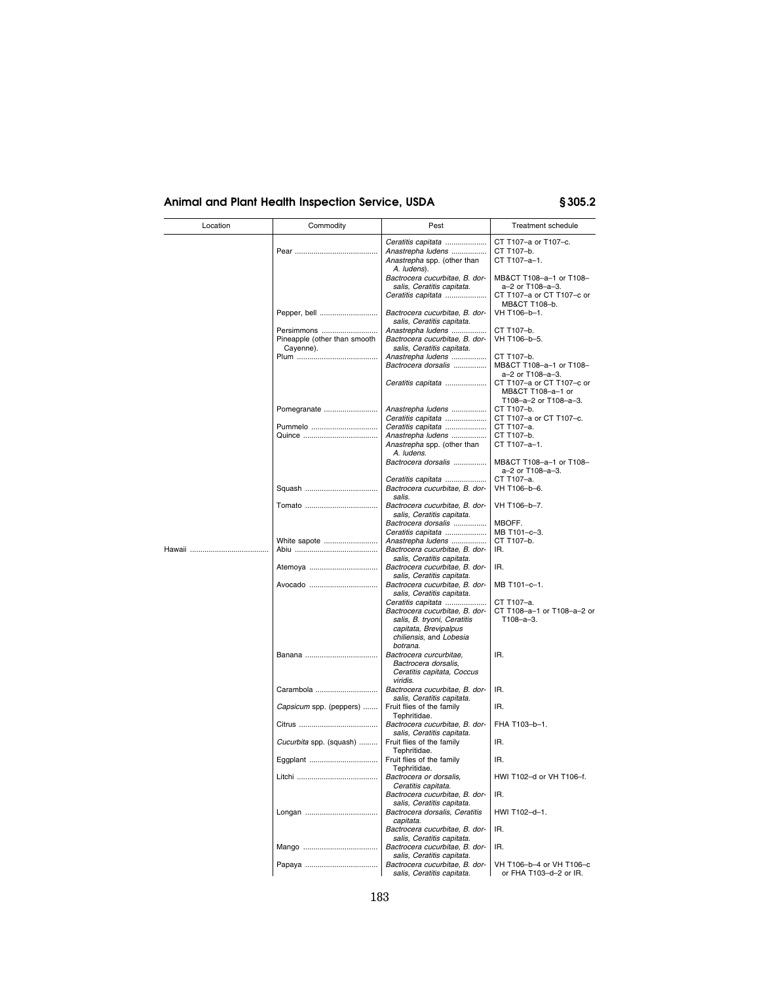| Location | Commodity                                  | Pest                                                                                                              | Treatment schedule                                                       |
|----------|--------------------------------------------|-------------------------------------------------------------------------------------------------------------------|--------------------------------------------------------------------------|
|          |                                            | Ceratitis capitata                                                                                                | CT T107-a or T107-c.                                                     |
|          |                                            | Anastrepha ludens<br>Anastrepha spp. (other than<br>A. ludens).                                                   | CT T107-b.<br>CT T107-a-1.                                               |
|          |                                            | Bactrocera cucurbitae, B. dor-<br>salis, Ceratitis capitata.<br>Ceratitis capitata                                | MB&CT T108-a-1 or T108-<br>a-2 or T108-a-3.<br>CT T107-a or CT T107-c or |
|          | Pepper, bell                               | Bactrocera cucurbitae, B. dor-<br>salis, Ceratitis capitata.                                                      | MB&CT T108-b.<br>VH T106-b-1.                                            |
|          | Persimmons<br>Pineapple (other than smooth | Anastrepha ludens<br>Bactrocera cucurbitae, B. dor-                                                               | CT T107-b.<br>VH T106-b-5.                                               |
|          | Cayenne).                                  | salis, Ceratitis capitata.<br>Anastrepha ludens                                                                   | CT T107-b.                                                               |
|          |                                            | Bactrocera dorsalis<br>Ceratitis capitata                                                                         | MB&CT T108-a-1 or T108-<br>a-2 or T108-a-3.<br>CT T107-a or CT T107-c or |
|          |                                            |                                                                                                                   | MB&CT T108-a-1 or<br>T108-a-2 or T108-a-3.                               |
|          | Pomegranate                                | Anastrepha ludens<br>Ceratitis capitata                                                                           | CT T107-b.<br>CT T107-a or CT T107-c.                                    |
|          | Pummelo                                    | Ceratitis capitata                                                                                                | CT T107-a.                                                               |
|          |                                            | Anastrepha ludens                                                                                                 | CT T107-b.                                                               |
|          |                                            | Anastrepha spp. (other than<br>A. ludens.                                                                         | CT T107-a-1.                                                             |
|          |                                            | Bactrocera dorsalis                                                                                               | MB&CT T108-a-1 or T108-<br>a-2 or T108-a-3.                              |
|          |                                            | Ceratitis capitata<br>Bactrocera cucurbitae, B. dor-<br>salis.                                                    | CT T107-a.<br>VH T106-b-6.                                               |
|          |                                            | Bactrocera cucurbitae. B. dor-<br>salis, Ceratitis capitata.                                                      | VH T106-b-7.                                                             |
|          |                                            | Bactrocera dorsalis                                                                                               | MBOFF.                                                                   |
|          |                                            | Ceratitis capitata                                                                                                | MB T101-c-3.                                                             |
|          | White sapote                               | Anastrepha ludens<br>Bactrocera cucurbitae, B. dor-<br>salis, Ceratitis capitata.                                 | CT T107-b.<br>IR.                                                        |
|          | Atemova                                    | Bactrocera cucurbitae. B. dor-<br>salis, Ceratitis capitata.                                                      | IR.                                                                      |
|          | Avocado                                    | Bactrocera cucurbitae, B. dor-<br>salis, Ceratitis capitata.                                                      | MB T101-c-1.                                                             |
|          |                                            | Ceratitis capitata                                                                                                | CT T107-a.                                                               |
|          |                                            | Bactrocera cucurbitae, B. dor-<br>salis, B. tryoni, Ceratitis<br>capitata, Brevipalpus<br>chiliensis, and Lobesia | CT T108-a-1 or T108-a-2 or<br>T108-a-3.                                  |
|          |                                            | botrana.                                                                                                          |                                                                          |
|          |                                            | Bactrocera curcurbitae,<br>Bactrocera dorsalis,<br>Ceratitis capitata, Coccus                                     | IR.                                                                      |
|          | Carambola                                  | viridis.<br>Bactrocera cucurbitae, B. dor-<br>salis, Ceratitis capitata.                                          | IR.                                                                      |
|          | Capsicum spp. (peppers)                    | Fruit flies of the family<br>Tephritidae.                                                                         | IR.                                                                      |
|          |                                            | Bactrocera cucurbitae, B. dor-<br>salis, Ceratitis capitata.                                                      | FHA T103-b-1.                                                            |
|          | Cucurbita spp. (squash)                    | Fruit flies of the family<br>Tephritidae.                                                                         | IR.                                                                      |
|          | Eggplant                                   | Fruit flies of the family<br>Tephritidae.<br>Bactrocera or dorsalis,                                              | IR.<br>HWI T102-d or VH T106-f.                                          |
|          |                                            | Ceratitis capitata.<br>Bactrocera cucurbitae, B. dor-                                                             | IR.                                                                      |
|          |                                            | salis, Ceratitis capitata.<br>Bactrocera dorsalis, Ceratitis                                                      | HWI T102-d-1.                                                            |
|          |                                            | capitata.<br>Bactrocera cucurbitae, B. dor-<br>salis, Ceratitis capitata.                                         | IR.                                                                      |
|          |                                            | Bactrocera cucurbitae. B. dor-<br>salis, Ceratitis capitata.                                                      | IR.                                                                      |
|          |                                            | Bactrocera cucurbitae, B. dor-<br>salis, Ceratitis capitata.                                                      | VH T106-b-4 or VH T106-c<br>or FHA T103-d-2 or IR.                       |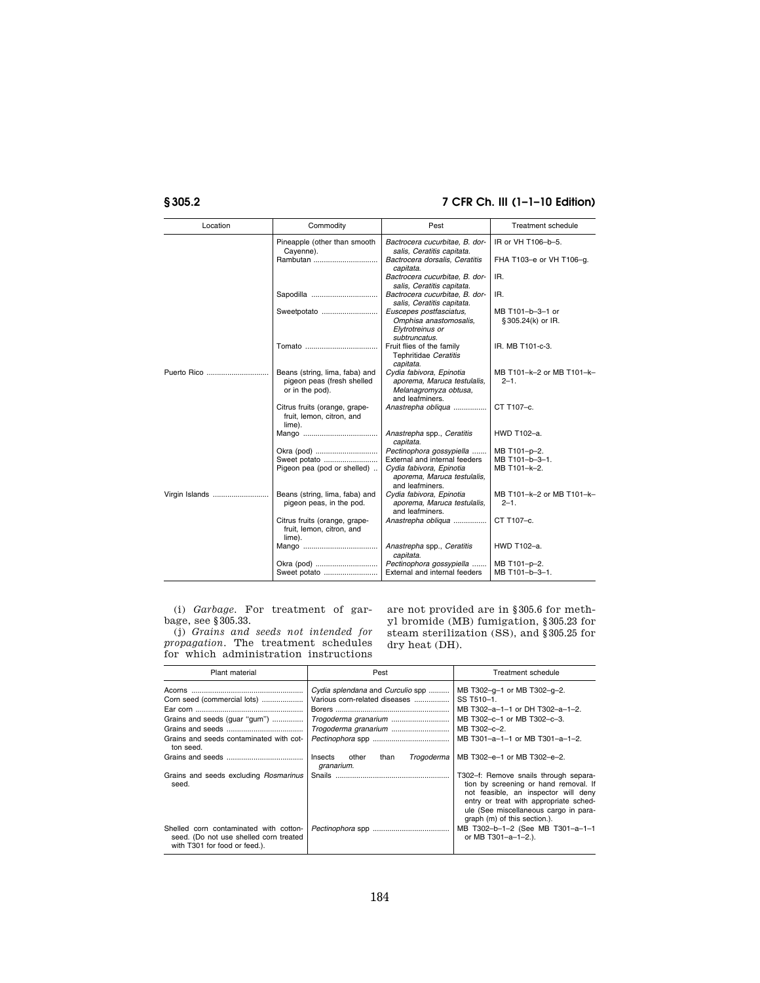| Location       | Commodity                                                                       | Pest                                                                                                | <b>Treatment schedule</b>              |
|----------------|---------------------------------------------------------------------------------|-----------------------------------------------------------------------------------------------------|----------------------------------------|
|                | Pineapple (other than smooth<br>Cayenne).                                       | Bactrocera cucurbitae, B. dor-<br>salis, Ceratitis capitata.                                        | IR or VH T106-b-5.                     |
|                | Rambutan                                                                        | Bactrocera dorsalis, Ceratitis<br>capitata.                                                         | FHA T103-e or VH T106-g.               |
|                |                                                                                 | Bactrocera cucurbitae, B. dor-<br>salis, Ceratitis capitata.                                        | IR.                                    |
|                |                                                                                 | Bactrocera cucurbitae. B. dor-<br>salis, Ceratitis capitata.                                        | IR.                                    |
|                | Sweetpotato                                                                     | Euscepes postfasciatus,<br>Omphisa anastomosalis,<br>Elytrotreinus or<br>subtruncatus.              | MB T101-b-3-1 or<br>§ 305.24(k) or IR. |
|                |                                                                                 | Fruit flies of the family<br>Tephritidae Ceratitis<br>capitata.                                     | IR. MB T101-c-3.                       |
|                | Beans (string, lima, faba) and<br>pigeon peas (fresh shelled<br>or in the pod). | Cydia fabivora, Epinotia<br>aporema, Maruca testulalis,<br>Melanagromyza obtusa,<br>and leafminers. | MB T101-k-2 or MB T101-k-<br>$2 - 1$ . |
|                | Citrus fruits (orange, grape-<br>fruit, lemon, citron, and<br>lime).            | Anastrepha obliqua                                                                                  | CT T107-c.                             |
|                |                                                                                 | Anastrepha spp., Ceratitis<br>capitata.                                                             | HWD T102-a.                            |
|                |                                                                                 | Pectinophora gossypiella                                                                            | MB T101-p-2.                           |
|                | Sweet potato                                                                    | External and internal feeders                                                                       | MB T101-b-3-1.                         |
|                | Pigeon pea (pod or shelled)                                                     | Cydia fabivora, Epinotia<br>aporema, Maruca testulalis,<br>and leafminers.                          | MB T101-k-2.                           |
| Virgin Islands | Beans (string, lima, faba) and<br>pigeon peas, in the pod.                      | Cydia fabivora, Epinotia<br>aporema, Maruca testulalis,<br>and leafminers.                          | MB T101-k-2 or MB T101-k-<br>$2 - 1$ . |
|                | Citrus fruits (orange, grape-<br>fruit, lemon, citron, and<br>lime).            | Anastrepha obliqua                                                                                  | CT T107-c.                             |
|                |                                                                                 | Anastrepha spp., Ceratitis<br>capitata.                                                             | HWD T102-a.                            |
|                | Okra (pod)                                                                      | Pectinophora gossypiella                                                                            | MB T101-p-2.                           |
|                | Sweet potato                                                                    | External and internal feeders                                                                       | MB T101-b-3-1.                         |

(i) *Garbage.* For treatment of garbage, see §305.33.

(j) *Grains and seeds not intended for propagation.* The treatment schedules for which administration instructions

are not provided are in §305.6 for methyl bromide (MB) fumigation, §305.23 for steam sterilization (SS), and §305.25 for dry heat (DH).

| Plant material                                                                                                    | Pest                                                                                                              | Treatment schedule                                                                                                                                                                                                                        |
|-------------------------------------------------------------------------------------------------------------------|-------------------------------------------------------------------------------------------------------------------|-------------------------------------------------------------------------------------------------------------------------------------------------------------------------------------------------------------------------------------------|
| Corn seed (commercial lots)<br>Grains and seeds (guar "gum")<br>Grains and seeds contaminated with cot-           | Cydia splendana and Curculio spp<br>Various corn-related diseases<br>Trogoderma granarium<br>Trogoderma granarium | MB T302-g-1 or MB T302-g-2.<br>SS T510-1.<br>MB T302-a-1-1 or DH T302-a-1-2.<br>MB T302-c-1 or MB T302-c-3.<br>MB T302-c-2.<br>MB T301-a-1-1 or MB T301-a-1-2.                                                                            |
| ton seed.                                                                                                         | Insects<br>other<br>than<br>Trogoderma<br>granarium.                                                              | MB T302-e-1 or MB T302-e-2.                                                                                                                                                                                                               |
| Grains and seeds excluding <i>Rosmarinus</i><br>seed.                                                             |                                                                                                                   | T302-f: Remove snails through separa-<br>tion by screening or hand removal. If<br>not feasible, an inspector will deny<br>entry or treat with appropriate sched-<br>ule (See miscellaneous cargo in para-<br>graph (m) of this section.). |
| Shelled corn contaminated with cotton-<br>seed. (Do not use shelled corn treated<br>with T301 for food or feed.). |                                                                                                                   | MB T302-b-1-2 (See MB T301-a-1-1<br>or MB T301-a-1-2.).                                                                                                                                                                                   |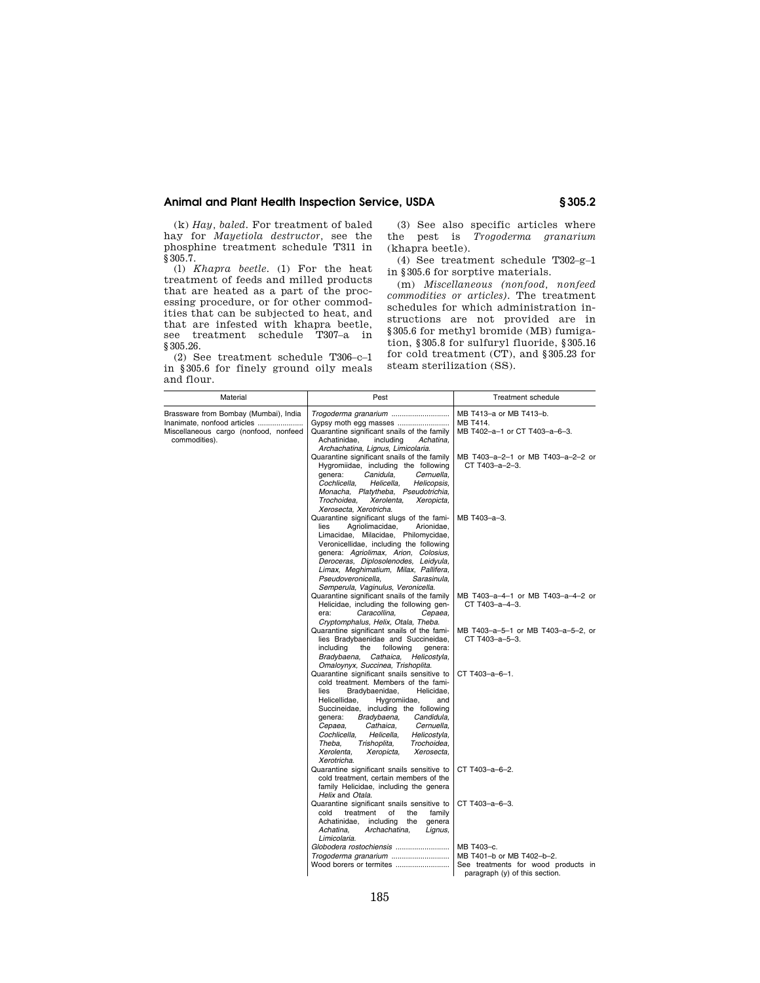(k) *Hay, baled.* For treatment of baled hay for *Mayetiola destructor,* see the phosphine treatment schedule T311 in §305.7.

(l) *Khapra beetle.* (1) For the heat treatment of feeds and milled products that are heated as a part of the processing procedure, or for other commodities that can be subjected to heat, and that are infested with khapra beetle, see treatment schedule T307–a in §305.26.

(2) See treatment schedule T306–c–1 in §305.6 for finely ground oily meals and flour.

(3) See also specific articles where the pest is *Trogoderma granarium*  (khapra beetle).

(4) See treatment schedule T302–g–1 in §305.6 for sorptive materials.

(m) *Miscellaneous (nonfood, nonfeed commodities or articles).* The treatment schedules for which administration instructions are not provided are in §305.6 for methyl bromide (MB) fumigation, §305.8 for sulfuryl fluoride, §305.16 for cold treatment (CT), and §305.23 for steam sterilization (SS).

| Material                                                                                                                       | Pest                                                                                                                                                                                                                                                                                                                                                                                                                                                               | Treatment schedule                                                                                                          |
|--------------------------------------------------------------------------------------------------------------------------------|--------------------------------------------------------------------------------------------------------------------------------------------------------------------------------------------------------------------------------------------------------------------------------------------------------------------------------------------------------------------------------------------------------------------------------------------------------------------|-----------------------------------------------------------------------------------------------------------------------------|
| Brassware from Bombay (Mumbai), India<br>Inanimate, nonfood articles<br>Miscellaneous cargo (nonfood, nonfeed<br>commodities). | Trogoderma granarium<br>Gypsy moth egg masses<br>Quarantine significant snails of the family<br>Achatinidae.<br>including<br>Achatina.<br>Archachatina, Lignus, Limicolaria.<br>Quarantine significant snails of the family<br>Hygromiidae, including the following<br>genera:<br>Canidula,<br>Cernuella,<br>Cochlicella,<br>Helicella,<br>Helicopsis,<br>Monacha, Platytheba, Pseudotrichia,<br>Trochoidea.<br>Xerolenta.<br>Xeropicta,<br>Xerosecta, Xerotricha. | MB T413-a or MB T413-b.<br>MB T414.<br>MB T402-a-1 or CT T403-a-6-3.<br>MB T403-a-2-1 or MB T403-a-2-2 or<br>CT T403-a-2-3. |
|                                                                                                                                | Quarantine significant slugs of the fami-<br>Agriolimacidae,<br>Arionidae,<br>lies<br>Limacidae, Milacidae, Philomycidae,<br>Veronicellidae, including the following<br>genera: Agriolimax, Arion, Colosius,<br>Deroceras, Diplosolenodes, Leidyula,<br>Limax, Meghimatium, Milax, Pallifera,<br>Pseudoveronicella.<br>Sarasinula.<br>Semperula, Vaginulus, Veronicella.                                                                                           | MB T403-a-3.                                                                                                                |
|                                                                                                                                | Quarantine significant snails of the family<br>Helicidae, including the following gen-<br>era:<br>Caracollina.<br>Cepaea,<br>Cryptomphalus, Helix, Otala, Theba.                                                                                                                                                                                                                                                                                                   | MB T403-a-4-1 or MB T403-a-4-2 or<br>CT T403-a-4-3.                                                                         |
|                                                                                                                                | Quarantine significant snails of the fami-<br>lies Bradybaenidae and Succineidae,<br>including<br>the<br>following<br>genera:<br>Bradybaena, Cathaica,<br>Helicostyla,<br>Omaloynyx, Succinea, Trishoplita.                                                                                                                                                                                                                                                        | MB T403-a-5-1 or MB T403-a-5-2, or<br>CT T403-a-5-3.                                                                        |
|                                                                                                                                | Quarantine significant snails sensitive to<br>cold treatment. Members of the fami-<br>lies<br>Bradybaenidae,<br>Helicidae,<br>Helicellidae,<br>Hygromiidae,<br>and<br>Succineidae, including the following<br>Bradybaena,<br>Candidula,<br>genera:<br>Cepaea,<br>Cathaica.<br>Cernuella.<br>Cochlicella.<br>Helicella.<br>Helicostyla,<br>Trishoplita,<br>Theba.<br>Trochoidea,<br>Xerolenta,<br>Xeropicta,<br>Xerosecta,<br>Xerotricha.                           | CT T403-a-6-1.                                                                                                              |
|                                                                                                                                | Quarantine significant snails sensitive to<br>cold treatment, certain members of the<br>family Helicidae, including the genera<br>Helix and Otala.                                                                                                                                                                                                                                                                                                                 | CT T403-a-6-2.                                                                                                              |
|                                                                                                                                | Quarantine significant snails sensitive to<br>treatment<br>of<br>the<br>family<br>cold<br>Achatinidae,<br>including<br>the<br>genera<br>Achatina.<br>Archachatina,<br>Lignus,<br>Limicolaria.                                                                                                                                                                                                                                                                      | CT T403-a-6-3.                                                                                                              |
|                                                                                                                                | Trogoderma granarium<br>Wood borers or termites                                                                                                                                                                                                                                                                                                                                                                                                                    | MB T403-c.<br>MB T401-b or MB T402-b-2.<br>See treatments for wood products in<br>paragraph (y) of this section.            |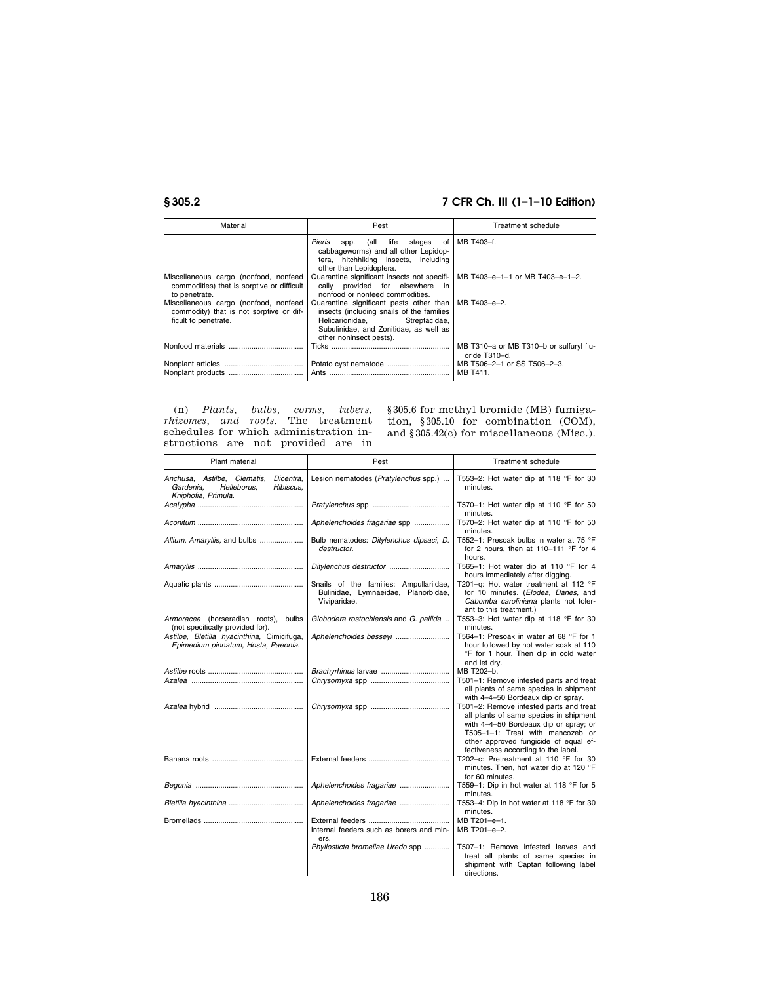| Material                                                                                                 | Pest                                                                                                                                                                                          | <b>Treatment schedule</b>                                |
|----------------------------------------------------------------------------------------------------------|-----------------------------------------------------------------------------------------------------------------------------------------------------------------------------------------------|----------------------------------------------------------|
|                                                                                                          | Pieris<br>spp. (all<br>life<br>stages of<br>cabbageworms) and all other Lepidop-<br>hitchhiking insects, including<br>tera.<br>other than Lepidoptera.                                        | MB T403-f.                                               |
| Miscellaneous cargo (nonfood, nonfeed<br>commodities) that is sorptive or difficult<br>to penetrate.     | Quarantine significant insects not specifi-<br>cally provided for elsewhere<br>in<br>nonfood or nonfeed commodities.                                                                          | MB T403-e-1-1 or MB T403-e-1-2.                          |
| Miscellaneous cargo (nonfood, nonfeed<br>commodity) that is not sorptive or dif-<br>ficult to penetrate. | Quarantine significant pests other than<br>insects (including snails of the families<br>Helicarionidae.<br>Streptacidae,<br>Subulinidae, and Zonitidae, as well as<br>other noninsect pests). | MB T403-e-2.                                             |
|                                                                                                          |                                                                                                                                                                                               | MB T310-a or MB T310-b or sulfuryl flu-<br>oride T310-d. |
|                                                                                                          |                                                                                                                                                                                               | MB T506-2-1 or SS T506-2-3.<br>MB T411.                  |

(n) *Plants, bulbs, corms, tubers, rhizomes, and roots.* The treatment schedules for which administration instructions are not provided are in §305.6 for methyl bromide (MB) fumigation, §305.10 for combination (COM), and §305.42(c) for miscellaneous (Misc.).

| Plant material                                                                                           | Pest                                                                                          | <b>Treatment schedule</b>                                                                                                                                                                                                                      |
|----------------------------------------------------------------------------------------------------------|-----------------------------------------------------------------------------------------------|------------------------------------------------------------------------------------------------------------------------------------------------------------------------------------------------------------------------------------------------|
| Anchusa, Astilbe, Clematis,<br>Dicentra.<br>Helleborus,<br>Hibiscus.<br>Gardenia,<br>Kniphofia, Primula. | Lesion nematodes (Pratylenchus spp.)                                                          | T553-2: Hot water dip at 118 °F for 30<br>minutes.                                                                                                                                                                                             |
|                                                                                                          |                                                                                               | T570-1: Hot water dip at 110 $\degree$ F for 50<br>minutes.                                                                                                                                                                                    |
|                                                                                                          | Aphelenchoides fragariae spp                                                                  | T570-2: Hot water dip at 110 °F for 50<br>minutes.                                                                                                                                                                                             |
|                                                                                                          | Bulb nematodes: Ditylenchus dipsaci, D.<br>destructor.                                        | T552-1: Presoak bulbs in water at 75 °F<br>for 2 hours, then at 110-111 °F for 4<br>hours.                                                                                                                                                     |
|                                                                                                          |                                                                                               | T565-1: Hot water dip at 110 °F for 4<br>hours immediately after digging.                                                                                                                                                                      |
|                                                                                                          | Snails of the families: Ampullariidae,<br>Bulinidae, Lymnaeidae, Planorbidae,<br>Viviparidae. | T201-g: Hot water treatment at 112 °F<br>for 10 minutes. (Elodea, Danes, and<br>Cabomba caroliniana plants not toler-<br>ant to this treatment.)                                                                                               |
| Armoracea (horseradish roots), bulbs<br>(not specifically provided for).                                 | Globodera rostochiensis and G. pallida                                                        | T553-3: Hot water dip at 118 °F for 30<br>minutes.                                                                                                                                                                                             |
| Astilbe, Bletilla hyacinthina, Cimicifuga,<br>Epimedium pinnatum, Hosta, Paeonia.                        |                                                                                               | T564-1: Presoak in water at 68 °F for 1<br>hour followed by hot water soak at 110<br>°F for 1 hour. Then dip in cold water<br>and let dry.                                                                                                     |
|                                                                                                          |                                                                                               | MB T202-b.                                                                                                                                                                                                                                     |
|                                                                                                          |                                                                                               | T501-1: Remove infested parts and treat<br>all plants of same species in shipment<br>with 4-4-50 Bordeaux dip or spray.                                                                                                                        |
|                                                                                                          |                                                                                               | T501-2: Remove infested parts and treat<br>all plants of same species in shipment<br>with 4-4-50 Bordeaux dip or spray; or<br>T505-1-1: Treat with mancozeb or<br>other approved fungicide of equal ef-<br>fectiveness according to the label. |
|                                                                                                          |                                                                                               | T202-c: Pretreatment at 110 °F for 30<br>minutes. Then, hot water dip at 120 °F<br>for 60 minutes.                                                                                                                                             |
|                                                                                                          |                                                                                               | T559-1: Dip in hot water at 118 °F for 5<br>minutes.                                                                                                                                                                                           |
|                                                                                                          |                                                                                               | T553-4: Dip in hot water at 118 °F for 30<br>minutes.                                                                                                                                                                                          |
|                                                                                                          | Internal feeders such as borers and min-<br>ers.                                              | MB T201-e-1.<br>MB T201-e-2.                                                                                                                                                                                                                   |
|                                                                                                          | Phyllosticta bromeliae Uredo spp                                                              | T507-1: Remove infested leaves and<br>treat all plants of same species in<br>shipment with Captan following label<br>directions.                                                                                                               |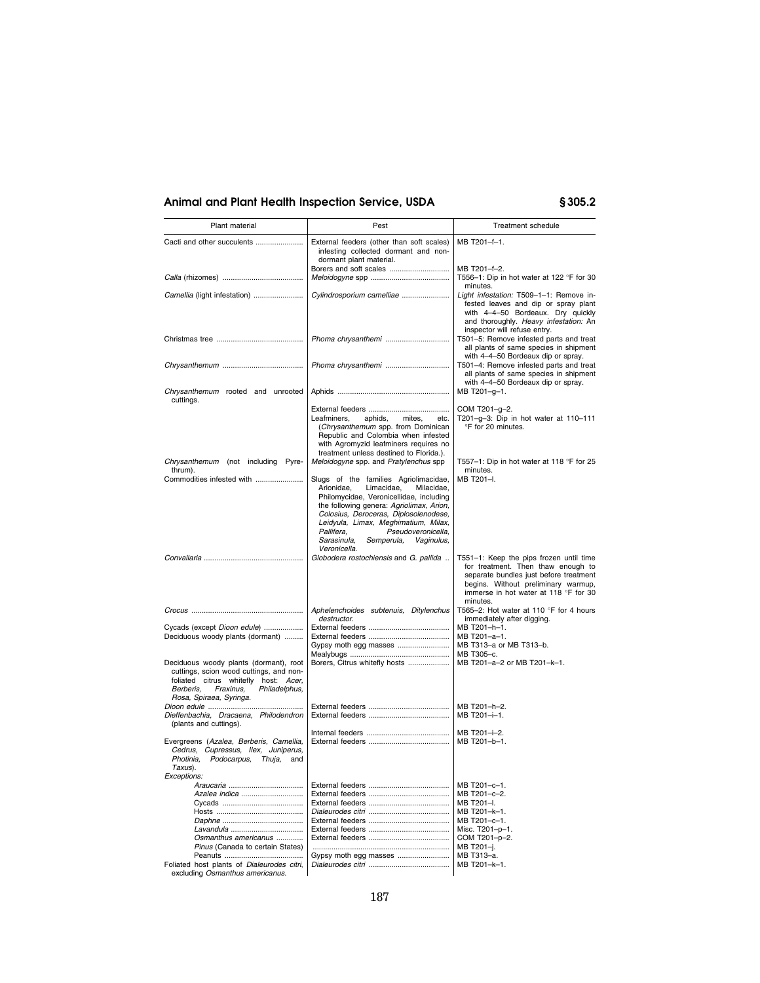| Plant material                                                                                                                                                                                  | Pest                                                                                                                                                                                                                                                                                                                                                   | Treatment schedule                                                                                                                                                                                                  |
|-------------------------------------------------------------------------------------------------------------------------------------------------------------------------------------------------|--------------------------------------------------------------------------------------------------------------------------------------------------------------------------------------------------------------------------------------------------------------------------------------------------------------------------------------------------------|---------------------------------------------------------------------------------------------------------------------------------------------------------------------------------------------------------------------|
| Cacti and other succulents                                                                                                                                                                      | External feeders (other than soft scales)<br>infesting collected dormant and non-<br>dormant plant material.                                                                                                                                                                                                                                           | MB T201-f-1.                                                                                                                                                                                                        |
|                                                                                                                                                                                                 | Borers and soft scales                                                                                                                                                                                                                                                                                                                                 | MB T201-f-2.<br>T556-1: Dip in hot water at 122 °F for 30                                                                                                                                                           |
| Camellia (light infestation)                                                                                                                                                                    | Cylindrosporium camelliae                                                                                                                                                                                                                                                                                                                              | minutes.<br>Light infestation: T509-1-1: Remove in-<br>fested leaves and dip or spray plant<br>with 4-4-50 Bordeaux. Dry quickly<br>and thoroughly. Heavy infestation: An<br>inspector will refuse entry.           |
|                                                                                                                                                                                                 | Phoma chrysanthemi                                                                                                                                                                                                                                                                                                                                     | T501-5: Remove infested parts and treat<br>all plants of same species in shipment<br>with 4-4-50 Bordeaux dip or spray.                                                                                             |
|                                                                                                                                                                                                 | Phoma chrysanthemi                                                                                                                                                                                                                                                                                                                                     | T501-4: Remove infested parts and treat<br>all plants of same species in shipment<br>with 4-4-50 Bordeaux dip or spray.                                                                                             |
| Chrysanthemum rooted and unrooted<br>cuttings.                                                                                                                                                  |                                                                                                                                                                                                                                                                                                                                                        | MB T201-g-1.                                                                                                                                                                                                        |
|                                                                                                                                                                                                 | aphids,<br>mites,<br>Leafminers,<br>etc.<br>(Chrysanthemum spp. from Dominican<br>Republic and Colombia when infested<br>with Agromyzid leafminers requires no<br>treatment unless destined to Florida.).                                                                                                                                              | COM T201-g-2.<br>T201-g-3: Dip in hot water at $110-111$<br>°F for 20 minutes.                                                                                                                                      |
| Chrysanthemum (not including Pyre-<br>thrum).                                                                                                                                                   | Meloidogyne spp. and Pratylenchus spp                                                                                                                                                                                                                                                                                                                  | T557-1: Dip in hot water at 118 °F for 25<br>minutes.                                                                                                                                                               |
| Commodities infested with                                                                                                                                                                       | Slugs of the families Agriolimacidae,<br>Arionidae,<br>Limacidae.<br>Milacidae.<br>Philomycidae, Veronicellidae, including<br>the following genera: Agriolimax, Arion,<br>Colosius, Deroceras, Diplosolenodese,<br>Leidyula, Limax, Meghimatium, Milax,<br>Pallifera.<br>Pseudoveronicella.<br>Sarasinula,<br>Semperula,<br>Vaginulus,<br>Veronicella. | MB T201-I.                                                                                                                                                                                                          |
|                                                                                                                                                                                                 | Globodera rostochiensis and G. pallida                                                                                                                                                                                                                                                                                                                 | T551-1: Keep the pips frozen until time<br>for treatment. Then thaw enough to<br>separate bundles just before treatment<br>begins. Without preliminary warmup,<br>immerse in hot water at 118 °F for 30<br>minutes. |
|                                                                                                                                                                                                 | Aphelenchoides subtenuis, Ditylenchus<br>destructor.                                                                                                                                                                                                                                                                                                   | T565-2: Hot water at 110 $\degree$ F for 4 hours<br>immediately after digging.                                                                                                                                      |
| Cycads (except Dioon edule)<br>Deciduous woody plants (dormant)                                                                                                                                 | Gypsy moth egg masses                                                                                                                                                                                                                                                                                                                                  | MB T201-h-1.<br>MB T201-a-1.<br>MB T313-a or MB T313-b.<br>MB T305-c.                                                                                                                                               |
| Deciduous woody plants (dormant), root<br>cuttings, scion wood cuttings, and non-<br>foliated citrus whitefly host: Acer,<br>Berberis,<br>Fraxinus,<br>Philadelphus,<br>Rosa, Spiraea, Syringa. | Borers, Citrus whitefly hosts                                                                                                                                                                                                                                                                                                                          | MB T201-a-2 or MB T201-k-1.                                                                                                                                                                                         |
| Dieffenbachia, Dracaena, Philodendron<br>(plants and cuttings).                                                                                                                                 |                                                                                                                                                                                                                                                                                                                                                        | MB T201-h-2.<br>MB T201-i-1.                                                                                                                                                                                        |
| Evergreens (Azalea, Berberis, Camellia,<br>Cedrus, Cupressus, Ilex, Juniperus,<br>Photinia, Podocarpus,<br><i>Thuja,</i> and<br>Taxus).                                                         |                                                                                                                                                                                                                                                                                                                                                        | MB T201-i-2.<br>MB T201-b-1.                                                                                                                                                                                        |
| <i>Exceptions:</i>                                                                                                                                                                              |                                                                                                                                                                                                                                                                                                                                                        | MB T201-c-1.                                                                                                                                                                                                        |
| Azalea indica                                                                                                                                                                                   |                                                                                                                                                                                                                                                                                                                                                        | MB T201-c-2.<br>MB T201-I.                                                                                                                                                                                          |
|                                                                                                                                                                                                 |                                                                                                                                                                                                                                                                                                                                                        | MB T201-k-1.                                                                                                                                                                                                        |
|                                                                                                                                                                                                 |                                                                                                                                                                                                                                                                                                                                                        | MB T201-c-1.<br>Misc. T201-p-1.                                                                                                                                                                                     |
| Osmanthus americanus                                                                                                                                                                            |                                                                                                                                                                                                                                                                                                                                                        | COM T201-p-2.                                                                                                                                                                                                       |
| Pinus (Canada to certain States)                                                                                                                                                                | Gypsy moth egg masses                                                                                                                                                                                                                                                                                                                                  | MB T201-j.<br>MB T313-a.                                                                                                                                                                                            |
| Foliated host plants of Dialeurodes citri,<br>excluding Osmanthus americanus.                                                                                                                   |                                                                                                                                                                                                                                                                                                                                                        | MB T201-k-1.                                                                                                                                                                                                        |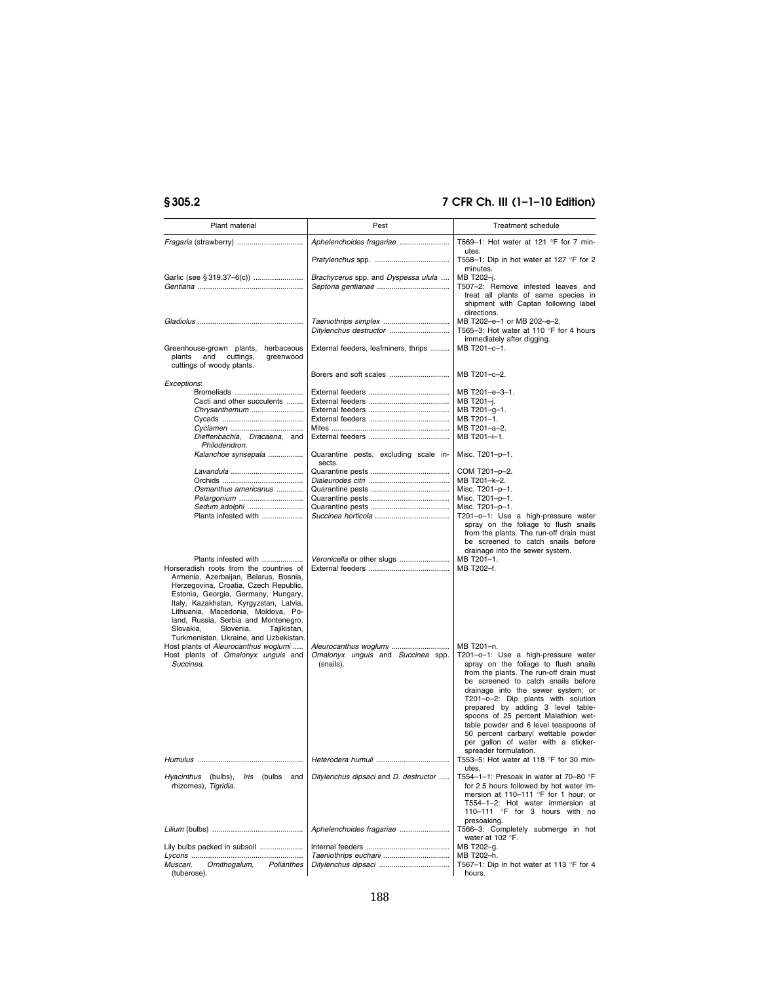| Plant material                                                                                                                                                                                                                                                                                                                                                                                      | Pest                                            | Treatment schedule                                                                                                                                                                                                                                                                                                                                                                                                                                                   |
|-----------------------------------------------------------------------------------------------------------------------------------------------------------------------------------------------------------------------------------------------------------------------------------------------------------------------------------------------------------------------------------------------------|-------------------------------------------------|----------------------------------------------------------------------------------------------------------------------------------------------------------------------------------------------------------------------------------------------------------------------------------------------------------------------------------------------------------------------------------------------------------------------------------------------------------------------|
|                                                                                                                                                                                                                                                                                                                                                                                                     | Aphelenchoides fragariae                        | T569-1: Hot water at 121 °F for 7 min-<br>utes.                                                                                                                                                                                                                                                                                                                                                                                                                      |
|                                                                                                                                                                                                                                                                                                                                                                                                     |                                                 | T558-1: Dip in hot water at 127 °F for 2<br>minutes.                                                                                                                                                                                                                                                                                                                                                                                                                 |
|                                                                                                                                                                                                                                                                                                                                                                                                     | Brachycerus spp. and Dyspessa ulula             | MB T202-j.<br>T507-2: Remove infested leaves and<br>treat all plants of same species in<br>shipment with Captan following label<br>directions.                                                                                                                                                                                                                                                                                                                       |
|                                                                                                                                                                                                                                                                                                                                                                                                     | Ditylenchus destructor                          | MB T202-e-1 or MB 202-e-2.<br>T565-3: Hot water at 110 $\degree$ F for 4 hours<br>immediately after digging.                                                                                                                                                                                                                                                                                                                                                         |
| Greenhouse-grown plants,<br>herbaceous<br>plants<br>and<br>cuttings,<br>greenwood<br>cuttings of woody plants.                                                                                                                                                                                                                                                                                      | External feeders, leafminers, thrips            | MB T201-c-1.                                                                                                                                                                                                                                                                                                                                                                                                                                                         |
| Exceptions:                                                                                                                                                                                                                                                                                                                                                                                         | Borers and soft scales                          | MB T201-c-2.                                                                                                                                                                                                                                                                                                                                                                                                                                                         |
| Bromeliads<br>Cacti and other succulents                                                                                                                                                                                                                                                                                                                                                            |                                                 | MB T201-e-3-1.<br>MB T201-j.                                                                                                                                                                                                                                                                                                                                                                                                                                         |
| Chrysanthemum                                                                                                                                                                                                                                                                                                                                                                                       |                                                 | MB T201-g-1.                                                                                                                                                                                                                                                                                                                                                                                                                                                         |
|                                                                                                                                                                                                                                                                                                                                                                                                     |                                                 | MB T201-1.                                                                                                                                                                                                                                                                                                                                                                                                                                                           |
| Dieffenbachia, Dracaena, and<br>Philodendron.                                                                                                                                                                                                                                                                                                                                                       |                                                 | MB T201-a-2.<br>MB T201-i-1.                                                                                                                                                                                                                                                                                                                                                                                                                                         |
| Kalanchoe synsepala                                                                                                                                                                                                                                                                                                                                                                                 | Quarantine pests, excluding scale in-<br>sects. | Misc. T201-p-1.                                                                                                                                                                                                                                                                                                                                                                                                                                                      |
|                                                                                                                                                                                                                                                                                                                                                                                                     |                                                 | COM T201-p-2.                                                                                                                                                                                                                                                                                                                                                                                                                                                        |
|                                                                                                                                                                                                                                                                                                                                                                                                     |                                                 | MB T201-k-2.                                                                                                                                                                                                                                                                                                                                                                                                                                                         |
| Osmanthus americanus<br>Pelargonium                                                                                                                                                                                                                                                                                                                                                                 |                                                 | Misc. T201-p-1.<br>Misc. T201-p-1.                                                                                                                                                                                                                                                                                                                                                                                                                                   |
| Sedum adolphi                                                                                                                                                                                                                                                                                                                                                                                       |                                                 | Misc. T201-p-1.                                                                                                                                                                                                                                                                                                                                                                                                                                                      |
| Plants infested with                                                                                                                                                                                                                                                                                                                                                                                |                                                 | T201-o-1: Use a high-pressure water<br>spray on the foliage to flush snails<br>from the plants. The run-off drain must<br>be screened to catch snails before<br>drainage into the sewer system.                                                                                                                                                                                                                                                                      |
| Plants infested with<br>Horseradish roots from the countries of<br>Armenia, Azerbaijan, Belarus, Bosnia,<br>Herzegovina, Croatia, Czech Republic,<br>Estonia, Georgia, Germany, Hungary,<br>Italy, Kazakhstan, Kyrgyzstan, Latvia,<br>Lithuania, Macedonia, Moldova, Po-<br>land, Russia, Serbia and Montenegro,<br>Slovakia,<br>Slovenia,<br>Tajikistan,<br>Turkmenistan, Ukraine, and Uzbekistan. | Veronicella or other slugs                      | MB T201-1.<br>MB T202-f.                                                                                                                                                                                                                                                                                                                                                                                                                                             |
| Host plants of Aleurocanthus woglumi                                                                                                                                                                                                                                                                                                                                                                | Aleurocanthus woglumi                           | MB T201-n.                                                                                                                                                                                                                                                                                                                                                                                                                                                           |
| Host plants of Omalonyx unguis and<br>Succinea.                                                                                                                                                                                                                                                                                                                                                     | Omalonyx unguis and Succinea spp.<br>(snails).  | T201-o-1: Use a high-pressure water<br>spray on the foliage to flush snails<br>from the plants. The run-off drain must<br>be screened to catch snails before<br>drainage into the sewer system; or<br>T201-o-2: Dip plants with solution<br>prepared by adding 3 level table-<br>spoons of 25 percent Malathion wet-<br>table powder and 6 level teaspoons of<br>50 percent carbaryl wettable powder<br>per gallon of water with a sticker-<br>spreader formulation. |
|                                                                                                                                                                                                                                                                                                                                                                                                     |                                                 | T553-5: Hot water at 118 °F for 30 min-<br>utes.                                                                                                                                                                                                                                                                                                                                                                                                                     |
| <i>Hyacinthus</i> (bulbs),<br><i>Iris</i> (bulbs and<br>rhizomes), Tigridia.                                                                                                                                                                                                                                                                                                                        | Ditylenchus dipsaci and D. destructor           | T554–1–1: Presoak in water at 70–80 °F<br>for 2.5 hours followed by hot water im-<br>mersion at 110-111 °F for 1 hour; or<br>T554-1-2: Hot water immersion at<br>110-111 °F for 3 hours with no<br>presoaking.                                                                                                                                                                                                                                                       |
|                                                                                                                                                                                                                                                                                                                                                                                                     |                                                 | T566-3: Completely submerge in hot<br>water at 102 °F.                                                                                                                                                                                                                                                                                                                                                                                                               |
| Lily bulbs packed in subsoil                                                                                                                                                                                                                                                                                                                                                                        |                                                 | MB T202-g.<br>MB T202-h.                                                                                                                                                                                                                                                                                                                                                                                                                                             |
| Ornithogalum,<br>Muscari,<br>Polianthes<br>(tuberose).                                                                                                                                                                                                                                                                                                                                              |                                                 | T567-1: Dip in hot water at 113 °F for 4<br>hours.                                                                                                                                                                                                                                                                                                                                                                                                                   |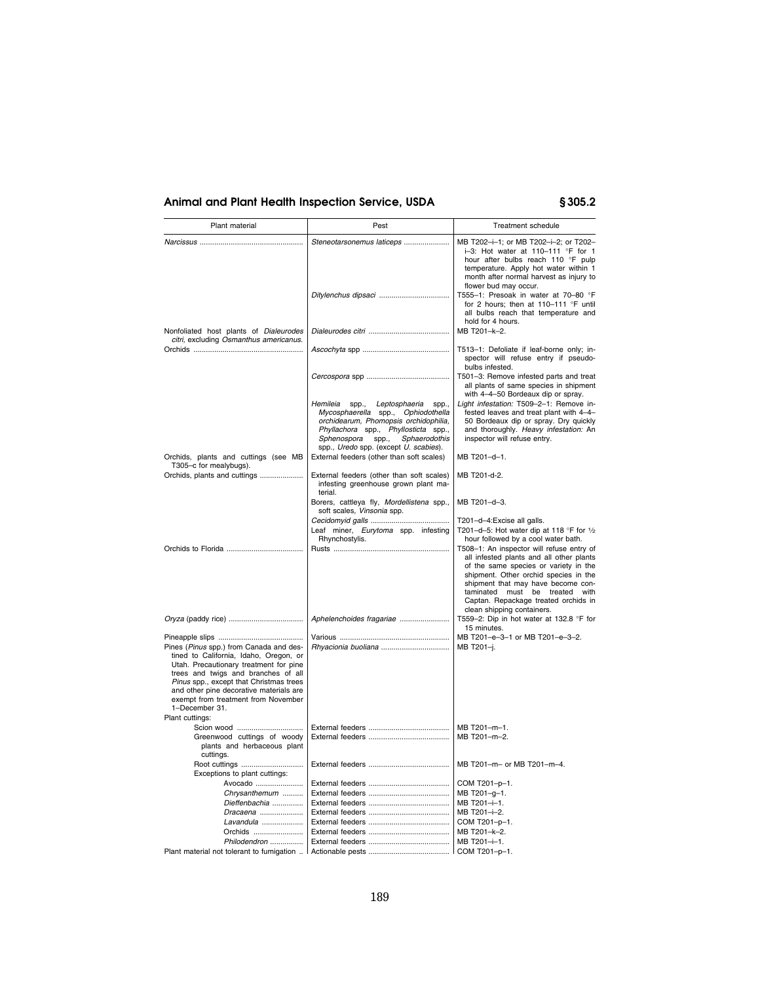| Plant material                                                                                                                                                                                                | Pest                                                                                                                                                                                                                                           | <b>Treatment schedule</b>                                                                                                                                                                                                                                                                                             |
|---------------------------------------------------------------------------------------------------------------------------------------------------------------------------------------------------------------|------------------------------------------------------------------------------------------------------------------------------------------------------------------------------------------------------------------------------------------------|-----------------------------------------------------------------------------------------------------------------------------------------------------------------------------------------------------------------------------------------------------------------------------------------------------------------------|
|                                                                                                                                                                                                               | Steneotarsonemus laticeps                                                                                                                                                                                                                      | MB T202-i-1; or MB T202-i-2; or T202-<br>i-3: Hot water at 110-111 °F for 1<br>hour after bulbs reach 110 °F pulp<br>temperature. Apply hot water within 1<br>month after normal harvest as injury to                                                                                                                 |
|                                                                                                                                                                                                               | Ditylenchus dipsaci                                                                                                                                                                                                                            | flower bud may occur.<br>T555-1: Presoak in water at 70-80 °F<br>for 2 hours; then at 110-111 °F until<br>all bulbs reach that temperature and<br>hold for 4 hours.                                                                                                                                                   |
| Nonfoliated host plants of Dialeurodes<br>citri, excluding Osmanthus americanus.                                                                                                                              |                                                                                                                                                                                                                                                | MB T201-k-2.                                                                                                                                                                                                                                                                                                          |
|                                                                                                                                                                                                               |                                                                                                                                                                                                                                                | T513-1: Defoliate if leaf-borne only; in-<br>spector will refuse entry if pseudo-<br>bulbs infested.                                                                                                                                                                                                                  |
|                                                                                                                                                                                                               |                                                                                                                                                                                                                                                | T501-3: Remove infested parts and treat<br>all plants of same species in shipment<br>with 4-4-50 Bordeaux dip or spray.                                                                                                                                                                                               |
|                                                                                                                                                                                                               | Hemileia<br>spp., Leptosphaeria<br>spp.,<br>Mycosphaerella spp., Ophiodothella<br>orchidearum, Phomopsis orchidophilia,<br>Phyllachora spp., Phyllosticta spp.,<br>Sphenospora spp.,<br>Sphaerodothis<br>spp., Uredo spp. (except U. scabies). | Light infestation: T509-2-1: Remove in-<br>fested leaves and treat plant with 4-4-<br>50 Bordeaux dip or spray. Dry quickly<br>and thoroughly. Heavy infestation: An<br>inspector will refuse entry.                                                                                                                  |
| Orchids, plants and cuttings (see MB<br>T305-c for mealybugs).                                                                                                                                                | External feeders (other than soft scales)                                                                                                                                                                                                      | MB T201-d-1.                                                                                                                                                                                                                                                                                                          |
| Orchids, plants and cuttings                                                                                                                                                                                  | External feeders (other than soft scales)<br>infesting greenhouse grown plant ma-<br>terial.                                                                                                                                                   | MB T201-d-2.                                                                                                                                                                                                                                                                                                          |
|                                                                                                                                                                                                               | Borers, cattleya fly, Mordellistena spp.,<br>soft scales, Vinsonia spp.                                                                                                                                                                        | MB T201-d-3.                                                                                                                                                                                                                                                                                                          |
|                                                                                                                                                                                                               | Leaf miner, Eurytoma spp. infesting<br>Rhynchostylis.                                                                                                                                                                                          | T201-d-4: Excise all galls.<br>T201-d-5: Hot water dip at 118 °F for 1/2<br>hour followed by a cool water bath.                                                                                                                                                                                                       |
|                                                                                                                                                                                                               |                                                                                                                                                                                                                                                | T508-1: An inspector will refuse entry of<br>all infested plants and all other plants<br>of the same species or variety in the<br>shipment. Other orchid species in the<br>shipment that may have become con-<br>taminated must be treated with<br>Captan. Repackage treated orchids in<br>clean shipping containers. |
|                                                                                                                                                                                                               | Aphelenchoides fragariae                                                                                                                                                                                                                       | T559-2: Dip in hot water at 132.8 °F for<br>15 minutes.                                                                                                                                                                                                                                                               |
| Pines (Pinus spp.) from Canada and des-<br>tined to California, Idaho, Oregon, or<br>Utah. Precautionary treatment for pine<br>trees and twigs and branches of all<br>Pinus spp., except that Christmas trees | Rhyacionia buoliana                                                                                                                                                                                                                            | MB T201-e-3-1 or MB T201-e-3-2.<br>MB T201-j.                                                                                                                                                                                                                                                                         |
| and other pine decorative materials are<br>exempt from treatment from November<br>1-December 31.                                                                                                              |                                                                                                                                                                                                                                                |                                                                                                                                                                                                                                                                                                                       |
| Plant cuttings:<br>Scion wood                                                                                                                                                                                 |                                                                                                                                                                                                                                                | MB T201-m-1.                                                                                                                                                                                                                                                                                                          |
| Greenwood cuttings of woody<br>plants and herbaceous plant<br>cuttings.                                                                                                                                       |                                                                                                                                                                                                                                                | MB T201-m-2.                                                                                                                                                                                                                                                                                                          |
| Root cuttings<br>Exceptions to plant cuttings:                                                                                                                                                                |                                                                                                                                                                                                                                                | MB T201-m- or MB T201-m-4.                                                                                                                                                                                                                                                                                            |
| Avocado                                                                                                                                                                                                       |                                                                                                                                                                                                                                                | COM T201-p-1.                                                                                                                                                                                                                                                                                                         |
| Chrysanthemum                                                                                                                                                                                                 |                                                                                                                                                                                                                                                | MB T201-g-1.                                                                                                                                                                                                                                                                                                          |
| Dieffenbachia                                                                                                                                                                                                 |                                                                                                                                                                                                                                                | MB T201-i-1.                                                                                                                                                                                                                                                                                                          |
| Dracaena<br>Lavandula                                                                                                                                                                                         |                                                                                                                                                                                                                                                | MB T201-i-2.<br>COM T201-p-1.                                                                                                                                                                                                                                                                                         |
|                                                                                                                                                                                                               |                                                                                                                                                                                                                                                | MB T201-k-2.                                                                                                                                                                                                                                                                                                          |
| Philodendron                                                                                                                                                                                                  |                                                                                                                                                                                                                                                | MB T201-i-1.                                                                                                                                                                                                                                                                                                          |
| Plant material not tolerant to fumigation                                                                                                                                                                     |                                                                                                                                                                                                                                                | COM T201-p-1.                                                                                                                                                                                                                                                                                                         |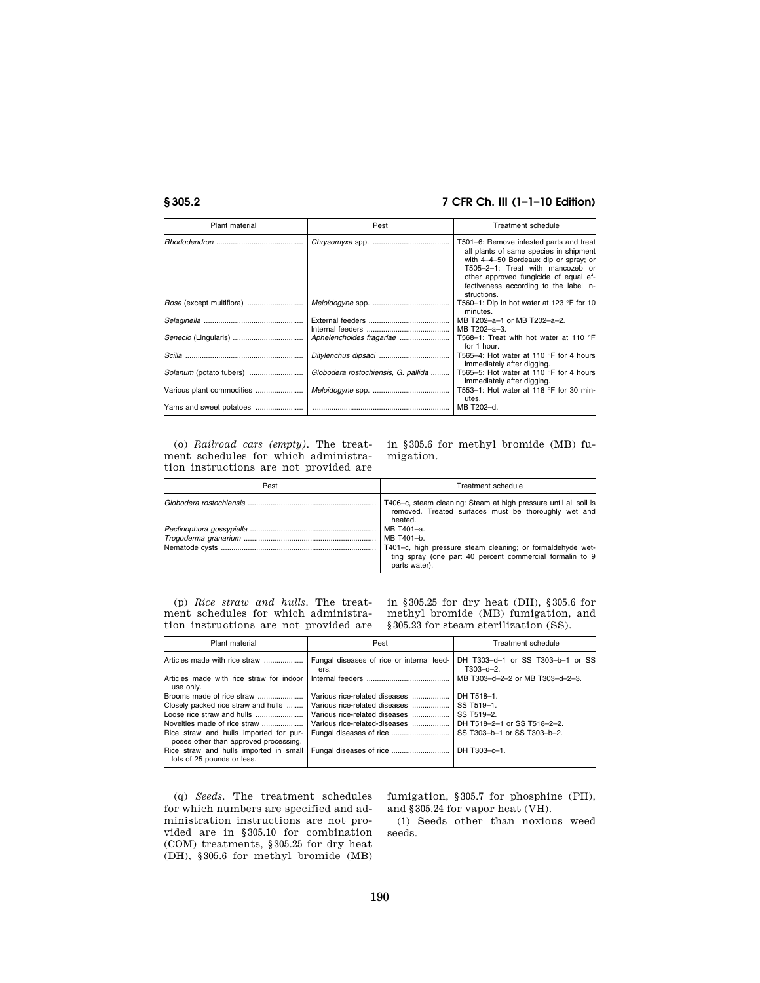| Plant material            | Pest                                | Treatment schedule                                                                                                                                                                                                                                               |
|---------------------------|-------------------------------------|------------------------------------------------------------------------------------------------------------------------------------------------------------------------------------------------------------------------------------------------------------------|
|                           |                                     | T501-6: Remove infested parts and treat<br>all plants of same species in shipment<br>with 4-4-50 Bordeaux dip or spray; or<br>T505-2-1: Treat with mancozeb or<br>other approved fungicide of equal ef-<br>fectiveness according to the label in-<br>structions. |
|                           |                                     | T560-1: Dip in hot water at 123 $\degree$ F for 10<br>minutes.                                                                                                                                                                                                   |
|                           |                                     | MB T202-a-1 or MB T202-a-2.<br>MB T202-a-3.                                                                                                                                                                                                                      |
|                           | Aphelenchoides fragariae            | T568-1: Treat with hot water at 110 °F<br>for 1 hour.                                                                                                                                                                                                            |
|                           |                                     | T565-4: Hot water at 110 °F for 4 hours<br>immediately after digging.                                                                                                                                                                                            |
|                           | Globodera rostochiensis, G. pallida | T565-5: Hot water at 110 °F for 4 hours<br>immediately after digging.                                                                                                                                                                                            |
| Various plant commodities |                                     | T553-1: Hot water at 118 °F for 30 min-<br>utes.                                                                                                                                                                                                                 |
|                           |                                     | MB T202-d.                                                                                                                                                                                                                                                       |

(o) *Railroad cars (empty).* The treatment schedules for which administration instructions are not provided are

in §305.6 for methyl bromide (MB) fumigation.

| Pest | <b>Treatment schedule</b>                                                                                                                                           |
|------|---------------------------------------------------------------------------------------------------------------------------------------------------------------------|
|      | T406–c, steam cleaning: Steam at high pressure until all soil is<br>removed. Treated surfaces must be thoroughly wet and<br>heated.                                 |
|      | MB T401-a.<br>MB T401-b.<br>T401-c, high pressure steam cleaning; or formaldehyde wet-<br>ting spray (one part 40 percent commercial formalin to 9<br>parts water). |

(p) *Rice straw and hulls.* The treatment schedules for which administration instructions are not provided are

in §305.25 for dry heat (DH), §305.6 for methyl bromide (MB) fumigation, and §305.23 for steam sterilization (SS).

| Plant material                                                                  | Pest                                              | Treatment schedule                                  |
|---------------------------------------------------------------------------------|---------------------------------------------------|-----------------------------------------------------|
|                                                                                 | Fungal diseases of rice or internal feed-<br>ers. | DH T303-d-1 or SS T303-b-1 or SS<br>$T303 - d - 2.$ |
| Articles made with rice straw for indoor<br>use only.                           |                                                   | MB T303-d-2-2 or MB T303-d-2-3.                     |
|                                                                                 | Various rice-related diseases                     | DH T518-1.                                          |
| Closely packed rice straw and hulls                                             | Various rice-related diseases                     | SS T519-1.                                          |
|                                                                                 | Various rice-related diseases                     | SS T519-2.                                          |
| Novelties made of rice straw                                                    | Various rice-related-diseases                     | DH T518-2-1 or SS T518-2-2.                         |
| Rice straw and hulls imported for pur-<br>poses other than approved processing. |                                                   | SS T303-b-1 or SS T303-b-2.                         |
| Rice straw and hulls imported in small<br>lots of 25 pounds or less.            |                                                   | DH T303-c-1.                                        |

(q) *Seeds.* The treatment schedules for which numbers are specified and administration instructions are not provided are in §305.10 for combination (COM) treatments, §305.25 for dry heat (DH), §305.6 for methyl bromide (MB)

fumigation, §305.7 for phosphine (PH), and §305.24 for vapor heat (VH).

(1) Seeds other than noxious weed seeds.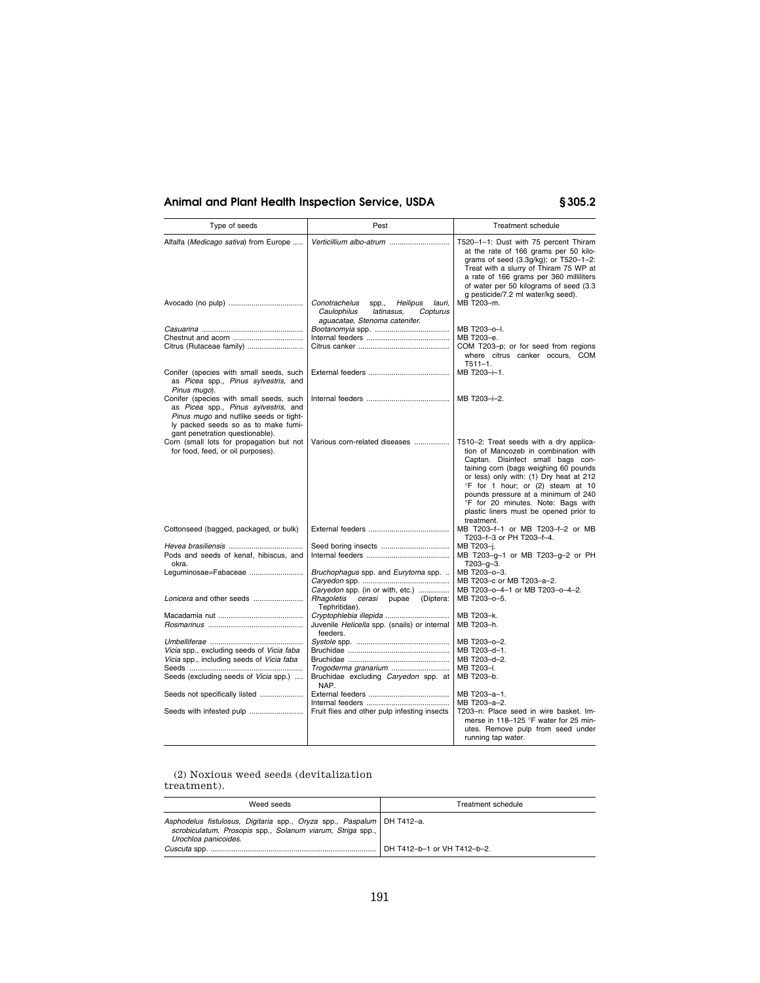| Type of seeds                                                                                                                                                                                       | Pest                                                                                                                   | Treatment schedule                                                                                                                                                                                                                                                                                                                                                                 |
|-----------------------------------------------------------------------------------------------------------------------------------------------------------------------------------------------------|------------------------------------------------------------------------------------------------------------------------|------------------------------------------------------------------------------------------------------------------------------------------------------------------------------------------------------------------------------------------------------------------------------------------------------------------------------------------------------------------------------------|
| Alfalfa (Medicago sativa) from Europe                                                                                                                                                               | Verticillium albo-atrum                                                                                                | T520-1-1: Dust with 75 percent Thiram<br>at the rate of 166 grams per 50 kilo-<br>grams of seed (3.3g/kg); or T520-1-2:<br>Treat with a slurry of Thiram 75 WP at<br>a rate of 166 grams per 360 milliliters<br>of water per 50 kilograms of seed (3.3<br>g pesticide/7.2 ml water/kg seed).                                                                                       |
|                                                                                                                                                                                                     | Conotrachelus<br>spp.,<br>Heilipus<br>lauri,<br>Caulophilus<br>latinasus,<br>Copturus<br>aguacatae, Stenoma catenifer. | MB T203-m.                                                                                                                                                                                                                                                                                                                                                                         |
| Citrus (Rutaceae family)                                                                                                                                                                            |                                                                                                                        | MB T203-o-I.<br>MB T203-e.<br>COM T203-p; or for seed from regions<br>where citrus canker occurs, COM<br>$T511 - 1.$                                                                                                                                                                                                                                                               |
| Conifer (species with small seeds, such<br>as Picea spp., Pinus sylvestris, and<br>Pinus mugo).                                                                                                     |                                                                                                                        | MB T203-i-1.                                                                                                                                                                                                                                                                                                                                                                       |
| Conifer (species with small seeds, such<br>as Picea spp., Pinus sylvestris, and<br>Pinus mugo and nutlike seeds or tight-<br>ly packed seeds so as to make fumi-<br>gant penetration questionable). |                                                                                                                        | MB T203-i-2.                                                                                                                                                                                                                                                                                                                                                                       |
| Corn (small lots for propagation but not<br>for food, feed, or oil purposes).                                                                                                                       | Various corn-related diseases                                                                                          | T510-2: Treat seeds with a dry applica-<br>tion of Mancozeb in combination with<br>Captan. Disinfect small bags con-<br>taining corn (bags weighing 60 pounds<br>or less) only with: (1) Dry heat at 212<br>°F for 1 hour; or (2) steam at 10<br>pounds pressure at a minimum of 240<br>°F for 20 minutes. Note: Bags with<br>plastic liners must be opened prior to<br>treatment. |
| Cottonseed (bagged, packaged, or bulk)                                                                                                                                                              |                                                                                                                        | MB T203-f-1 or MB T203-f-2 or MB<br>T203-f-3 or PH T203-f-4.                                                                                                                                                                                                                                                                                                                       |
| Pods and seeds of kenaf, hibiscus, and<br>okra.                                                                                                                                                     | Seed boring insects                                                                                                    | MB T203-i.<br>MB T203-g-1 or MB T203-g-2 or PH<br>$T203 - g - 3.$                                                                                                                                                                                                                                                                                                                  |
| Lequminosae=Fabaceae                                                                                                                                                                                | Bruchophagus spp. and Eurytoma spp.<br>Caryedon spp. (in or with, etc.)                                                | MB T203-o-3.<br>MB T203-c or MB T203-a-2.<br>MB T203-o-4-1 or MB T203-o-4-2.                                                                                                                                                                                                                                                                                                       |
|                                                                                                                                                                                                     | Rhagoletis<br>cerasi pupae<br>(Diptera:<br>Tephritidae).                                                               | MB T203-o-5.                                                                                                                                                                                                                                                                                                                                                                       |
|                                                                                                                                                                                                     | Cryptophlebia illepida<br>Juvenile Helicella spp. (snails) or internal<br>feeders.                                     | MB T203-k.<br>MB T203-h.                                                                                                                                                                                                                                                                                                                                                           |
|                                                                                                                                                                                                     |                                                                                                                        | MB T203-o-2.                                                                                                                                                                                                                                                                                                                                                                       |
| Vicia spp., excluding seeds of Vicia faba                                                                                                                                                           |                                                                                                                        | MB T203-d-1.                                                                                                                                                                                                                                                                                                                                                                       |
| Vicia spp., including seeds of Vicia faba                                                                                                                                                           |                                                                                                                        | MB T203-d-2.                                                                                                                                                                                                                                                                                                                                                                       |
| Seeds (excluding seeds of Vicia spp.)                                                                                                                                                               | Trogoderma granarium<br>Bruchidae excluding Caryedon spp. at<br>NAP.                                                   | MB T203-I.<br>MB T203-b.                                                                                                                                                                                                                                                                                                                                                           |
| Seeds not specifically listed                                                                                                                                                                       |                                                                                                                        | MB T203-a-1.                                                                                                                                                                                                                                                                                                                                                                       |
|                                                                                                                                                                                                     | Fruit flies and other pulp infesting insects                                                                           | MB T203-a-2.<br>T203-n: Place seed in wire basket. Im-<br>merse in 118-125 °F water for 25 min-<br>utes. Remove pulp from seed under<br>running tap water.                                                                                                                                                                                                                         |

(2) Noxious weed seeds (devitalization treatment).

| Weed seeds                                                                                                                                                     | Treatment schedule          |
|----------------------------------------------------------------------------------------------------------------------------------------------------------------|-----------------------------|
| Asphodelus fistulosus, Digitaria spp., Oryza spp., Paspalum   DH T412-a.<br>scrobiculatum, Prosopis spp., Solanum viarum, Striga spp.,<br>Urochloa panicoides. |                             |
|                                                                                                                                                                | DH T412-b-1 or VH T412-b-2. |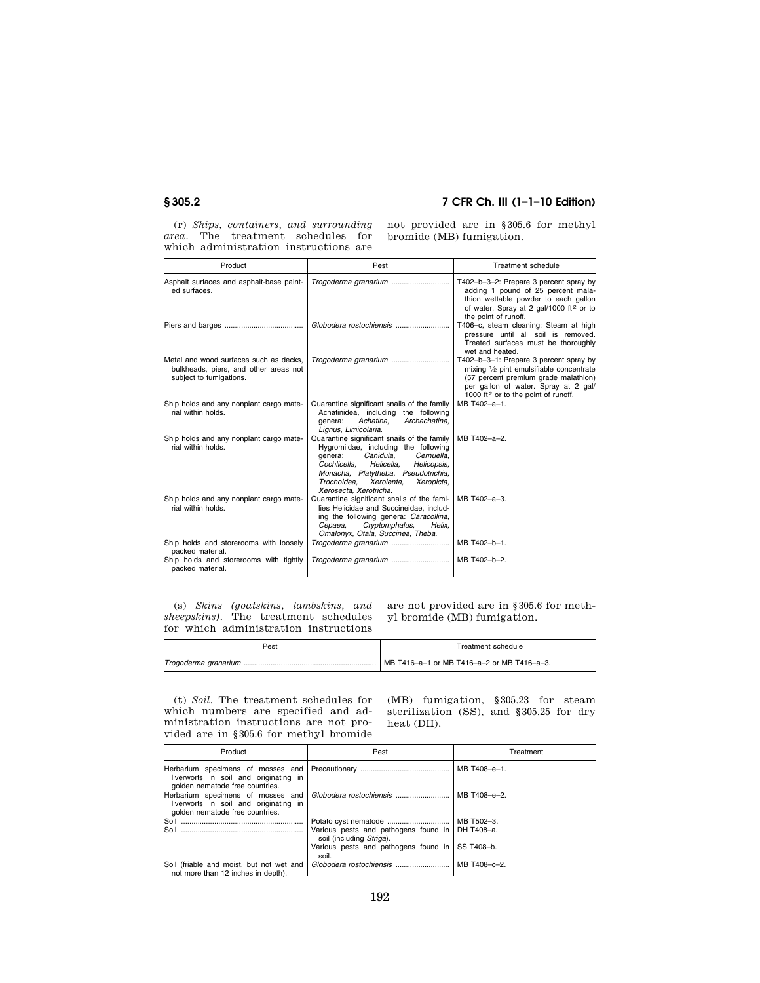(r) *Ships, containers, and surrounding area.* The treatment schedules for which administration instructions are not provided are in §305.6 for methyl bromide (MB) fumigation.

| Product                                                                                                    | Pest                                                                                                                                                                                                                                                                            | Treatment schedule                                                                                                                                                                                                    |
|------------------------------------------------------------------------------------------------------------|---------------------------------------------------------------------------------------------------------------------------------------------------------------------------------------------------------------------------------------------------------------------------------|-----------------------------------------------------------------------------------------------------------------------------------------------------------------------------------------------------------------------|
| Asphalt surfaces and asphalt-base paint-<br>ed surfaces.                                                   |                                                                                                                                                                                                                                                                                 | T402-b-3-2: Prepare 3 percent spray by<br>adding 1 pound of 25 percent mala-<br>thion wettable powder to each gallon<br>of water. Spray at 2 gal/1000 ft <sup>2</sup> or to<br>the point of runoff.                   |
|                                                                                                            |                                                                                                                                                                                                                                                                                 | T406-c, steam cleaning: Steam at high<br>pressure until all soil is removed.<br>Treated surfaces must be thoroughly<br>wet and heated.                                                                                |
| Metal and wood surfaces such as decks.<br>bulkheads, piers, and other areas not<br>subject to fumigations. | Trogoderma granarium                                                                                                                                                                                                                                                            | T402-b-3-1: Prepare 3 percent spray by<br>mixing 1/2 pint emulsifiable concentrate<br>(57 percent premium grade malathion)<br>per gallon of water. Spray at 2 gal/<br>1000 ft <sup>2</sup> or to the point of runoff. |
| Ship holds and any nonplant cargo mate-<br>rial within holds.                                              | Quarantine significant snails of the family<br>Achatinidea, including the following<br>Archachatina.<br>Achatina.<br>genera:<br>Lignus, Limicolaria.                                                                                                                            | MB T402-a-1.                                                                                                                                                                                                          |
| Ship holds and any nonplant cargo mate-<br>rial within holds.                                              | Quarantine significant snails of the family<br>Hygromiidae, including the following<br>Canidula.<br>Cernuella.<br>denera:<br>Cochlicella. Helicella.<br>Helicopsis,<br>Monacha, Platytheba, Pseudotrichia,<br>Xerolenta.<br>Trochoidea.<br>Xeropicta.<br>Xerosecta, Xerotricha. | MB T402-a-2.                                                                                                                                                                                                          |
| Ship holds and any nonplant cargo mate-<br>rial within holds.                                              | Quarantine significant snails of the fami-<br>lies Helicidae and Succineidae, includ-<br>ing the following genera: Caracollina,<br>Cryptomphalus,<br>Cepaea,<br>Helix.<br>Omalonyx, Otala, Succinea, Theba.                                                                     | MB T402-a-3.                                                                                                                                                                                                          |
| Ship holds and storerooms with loosely<br>packed material.                                                 | Trogoderma granarium                                                                                                                                                                                                                                                            | MB T402-b-1.                                                                                                                                                                                                          |
| Ship holds and storerooms with tightly<br>packed material.                                                 | Trogoderma granarium                                                                                                                                                                                                                                                            | MB T402-b-2.                                                                                                                                                                                                          |

(s) *Skins (goatskins, lambskins, and sheepskins).* The treatment schedules for which administration instructions

are not provided are in §305.6 for methyl bromide (MB) fumigation.

| Pest | Treatment schedule                         |
|------|--------------------------------------------|
|      | MB T416-a-1 or MB T416-a-2 or MB T416-a-3. |

(t) *Soil.* The treatment schedules for which numbers are specified and administration instructions are not provided are in §305.6 for methyl bromide

(MB) fumigation, §305.23 for steam sterilization (SS), and §305.25 for dry heat (DH).

| Product                                                                        | Pest                                                                          | Treatment    |
|--------------------------------------------------------------------------------|-------------------------------------------------------------------------------|--------------|
| liverworts in soil and originating in<br>golden nematode free countries.       |                                                                               | MB T408-e-1. |
| liverworts in soil and originating in<br>golden nematode free countries.       |                                                                               | MB T408-e-2. |
|                                                                                |                                                                               | MB T502-3.   |
|                                                                                | Various pests and pathogens found in   DH T408-a.<br>soil (including Striga). |              |
|                                                                                | Various pests and pathogens found in SS T408-b.<br>soil.                      |              |
| Soil (friable and moist, but not wet and<br>not more than 12 inches in depth). |                                                                               | MB T408-c-2. |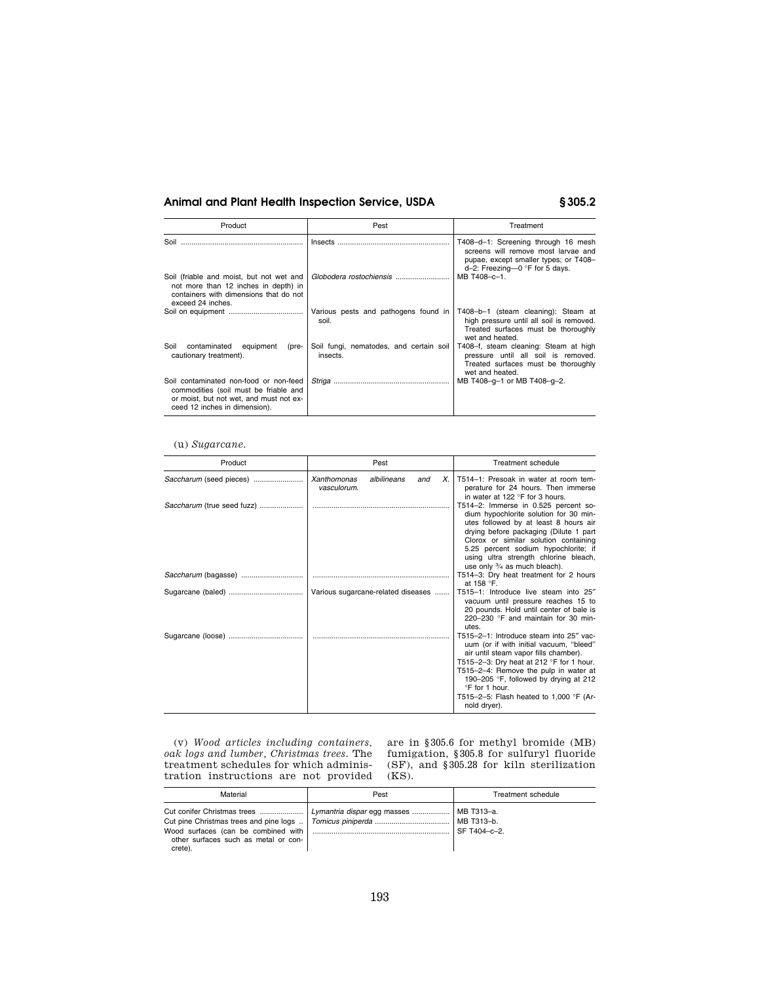| Product                                                                                                                                                     | Pest                                                | Treatment                                                                                                                                                |
|-------------------------------------------------------------------------------------------------------------------------------------------------------------|-----------------------------------------------------|----------------------------------------------------------------------------------------------------------------------------------------------------------|
| Soil                                                                                                                                                        | Insects                                             | T408-d-1: Screening through 16 mesh<br>screens will remove most larvae and<br>pupae, except smaller types; or T408-<br>$d-2$ : Freezing-0 °F for 5 days. |
| Soil (friable and moist, but not wet and<br>not more than 12 inches in depth) in<br>containers with dimensions that do not<br>exceed 24 inches.             |                                                     | MB T408-c-1.                                                                                                                                             |
|                                                                                                                                                             | Various pests and pathogens found in<br>soil.       | T408-b-1 (steam cleaning): Steam at<br>high pressure until all soil is removed.<br>Treated surfaces must be thoroughly<br>wet and heated.                |
| Soil<br>contaminated<br>equipment<br>(pre-<br>cautionary treatment).                                                                                        | Soil fungi, nematodes, and certain soil<br>insects. | T408-f, steam cleaning: Steam at high<br>pressure until all soil is removed.<br>Treated surfaces must be thoroughly<br>wet and heated.                   |
| Soil contaminated non-food or non-feed<br>commodities (soil must be friable and<br>or moist, but not wet, and must not ex-<br>ceed 12 inches in dimension). |                                                     | MB T408-g-1 or MB T408-g-2.                                                                                                                              |

### (u) *Sugarcane.*

| Product                    | Pest                                                   | Treatment schedule                                                                                                                                                                                                                                                                                                                     |
|----------------------------|--------------------------------------------------------|----------------------------------------------------------------------------------------------------------------------------------------------------------------------------------------------------------------------------------------------------------------------------------------------------------------------------------------|
| Saccharum (seed pieces)    | Xanthomonas<br>albilineans<br>X.<br>and<br>vasculorum. | T514-1: Presoak in water at room tem-<br>perature for 24 hours. Then immerse<br>in water at 122 °F for 3 hours.                                                                                                                                                                                                                        |
| Saccharum (true seed fuzz) |                                                        | T514-2: Immerse in 0.525 percent so-<br>dium hypochlorite solution for 30 min-<br>utes followed by at least 8 hours air<br>drying before packaging (Dilute 1 part<br>Clorox or similar solution containing<br>5.25 percent sodium hypochlorite; if<br>using ultra strength chlorine bleach,<br>use only 3/4 as much bleach).           |
|                            |                                                        | T514-3: Dry heat treatment for 2 hours<br>at 158 $\degree$ F.                                                                                                                                                                                                                                                                          |
|                            | Various sugarcane-related diseases                     | T515-1: Introduce live steam into 25"<br>vacuum until pressure reaches 15 to<br>20 pounds. Hold until center of bale is<br>220-230 °F and maintain for 30 min-<br>utes.                                                                                                                                                                |
|                            |                                                        | T515-2-1: Introduce steam into 25" vac-<br>uum (or if with initial vacuum, "bleed"<br>air until steam vapor fills chamber).<br>T515-2-3: Dry heat at 212 °F for 1 hour.<br>T515-2-4: Remove the pulp in water at<br>190-205 °F, followed by drying at 212<br>°F for 1 hour.<br>T515-2-5: Flash heated to 1,000 °F (Ar-<br>nold dryer). |

(v) *Wood articles including containers, oak logs and lumber, Christmas trees.* The treatment schedules for which administration instructions are not provided are in §305.6 for methyl bromide (MB) fumigation, §305.8 for sulfuryl fluoride (SF), and §305.28 for kiln sterilization (KS).

| Material                                                                                                              | Pest                        | Treatment schedule                       |
|-----------------------------------------------------------------------------------------------------------------------|-----------------------------|------------------------------------------|
| Cut conifer Christmas trees<br>Wood surfaces (can be combined with<br>other surfaces such as metal or con-<br>crete). | Lymantria dispar egg masses | MB T313-a.<br>MB T313-b.<br>SF T404-c-2. |